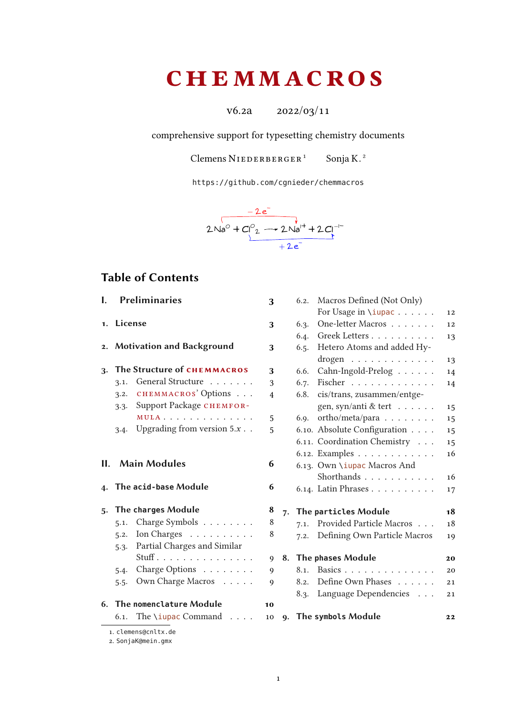# **CHEMMACROS**

 $v6.2a$   $2022/03/11$ 

comprehensive support for typesetting chemistry documents

Clemens NIEDERBERGER<sup>[1](#page-0-0)</sup> Sonja K.<sup>2</sup>

<https://github.com/cgnieder/chemmacros>



## Table of Contents

|            | I. Preliminaries                            | 3              |    |
|------------|---------------------------------------------|----------------|----|
| 1. License |                                             | 3              |    |
|            | 2. Motivation and Background                | 3              |    |
|            | 3. The Structure of CHEMMACROS              | 3              |    |
|            | 3.1. General Structure                      | 3              |    |
|            | 3.2. CHEMMACROS' Options                    | $\overline{4}$ |    |
|            | 3.3. Support Package CHEMFOR-               |                |    |
|            | MULA                                        | 5              |    |
|            | 3.4. Upgrading from version $5.x$           | 5              |    |
|            | II. Main Modules<br>4. The acid-base Module | 6<br>6         |    |
|            |                                             |                |    |
|            | 5. The charges Module                       | 8              | 7. |
|            | 5.1. Charge Symbols $\dots \dots$           | 8              |    |
|            | 5.2. Ion Charges $\dots \dots \dots$        | 8              |    |
|            | 5.3. Partial Charges and Similar            |                |    |
|            | $Stuff$ .                                   | 9              | 8. |
|            | 5.4. Charge Options                         | 9              |    |
| 5.5.       | Own Charge Macros                           | 9              |    |
|            | 6. The nomenclature Module                  | 10             |    |
|            | 6.1. The \iupac Command $\ldots$            | 10             | 9. |
|            | 1. clemens@cnltx.de                         |                |    |

|    | 6.2. | Macros Defined (Not Only)       |    |
|----|------|---------------------------------|----|
|    |      | For Usage in \iupac             | 12 |
|    | 6.3. | One-letter Macros               | 12 |
|    | 6.4. | Greek Letters                   | 13 |
|    | 6.5. | Hetero Atoms and added Hy-      |    |
|    |      | $\text{drogen}$                 | 13 |
|    | 6.6. | Cahn-Ingold-Prelog              | 14 |
|    | 6.7. | Fischer                         | 14 |
|    | 6.8. | cis/trans, zusammen/entge-      |    |
|    |      | gen, syn/anti & tert            | 15 |
|    | 6.9. | $ortho/meta/para \ldots \ldots$ | 15 |
|    |      | 6.10. Absolute Configuration    | 15 |
|    |      | 6.11. Coordination Chemistry    | 15 |
|    |      | 6.12. Examples                  | 16 |
|    |      | 6.13. Own \iupac Macros And     |    |
|    |      | Shorthands                      | 16 |
|    |      | 6.14. Latin Phrases             | 17 |
| 7. |      | The particles Module            | 18 |
|    | 7.1. | Provided Particle Macros        | 18 |
|    | 7.2. | Defining Own Particle Macros    | 19 |
| 8. |      | The phases Module               | 20 |
|    | 8.1. | Basics                          | 20 |
|    | 8.2. | Define Own Phases               | 21 |
|    | 8.3. | Language Dependencies           | 21 |
|    |      |                                 |    |
| q. |      | The symbols Module              | 22 |

<span id="page-0-0"></span>1. [clemens@cnltx.de](mailto:clemens@cnltx.de)

<span id="page-0-1"></span>2. [SonjaK@mein.gmx](mailto:SonjaK@mein.gmx)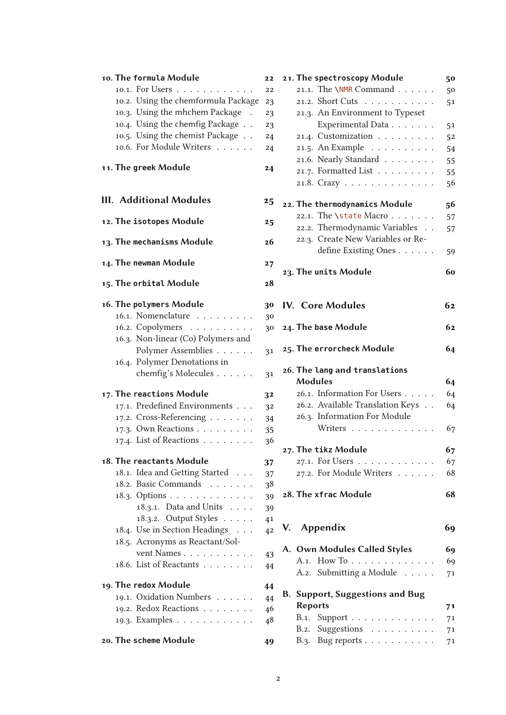| 10. The formula Module              | 22 |
|-------------------------------------|----|
| 10.1. For Users                     | 22 |
| 10.2. Using the chemformula Package | 23 |
| 10.3. Using the mhchem Package      | 23 |
| 10.4. Using the chemfig Package     | 23 |
| 10.5. Using the chemist Package     | 24 |
| 10.6. For Module Writers            | 24 |
|                                     |    |
| 11. The greek Module                | 24 |
|                                     |    |
| <b>III. Additional Modules</b>      | 25 |
| 12. The isotopes Module             | 25 |
| 13. The mechanisms Module           | 26 |
| 14. The newman Module               | 27 |
| 15. The orbital Module              | 28 |
| 16. The polymers Module             | 30 |
| 16.1. Nomenclature                  | 30 |
| 16.2. Copolymers                    | 30 |
| 16.3. Non-linear (Co) Polymers and  |    |
| Polymer Assemblies                  | 31 |
| 16.4. Polymer Denotations in        |    |
| chemfig's Molecules                 | 31 |
| 17. The reactions Module            | 32 |
| 17.1. Predefined Environments       | 32 |
| 17.2. Cross-Referencing             | 34 |
| 17.3. Own Reactions                 | 35 |
| 17.4. List of Reactions             | 36 |
|                                     |    |
| 18. The reactants Module            | 37 |
| 18.1. Idea and Getting Started      | 37 |
| 18.2. Basic Commands                | 38 |
| 18.3. Options                       | 39 |
| 18.3.1. Data and Units              | 39 |
| 18.3.2. Output Styles               | 41 |
| 18.4. Use in Section Headings       | 42 |
| 18.5. Acronyms as Reactant/Sol-     |    |
| vent Names                          | 43 |
| 18.6. List of Reactants             | 44 |
| 19. The redox Module                | 44 |
| 19.1. Oxidation Numbers             | 44 |
| 19.2. Redox Reactions               | 46 |
| 19.3. Examples                      | 48 |
| 20. The scheme Module               | 49 |

| L             | 21. The spectroscopy Module             | 50 |
|---------------|-----------------------------------------|----|
| Ż             | 21.1. The $\NMR$ Command                | 50 |
| 3             | 21.2. Short Cuts                        | 51 |
| 3             | 21.3. An Environment to Typeset         |    |
| 3             | Experimental Data                       | 51 |
| į             | 21.4. Customization                     | 52 |
| į             | 21.5. An Example                        | 54 |
|               | 21.6. Nearly Standard                   | 55 |
| ŀ             | 21.7. Formatted List                    | 55 |
|               | 21.8. Crazy                             | 56 |
|               |                                         |    |
| j             | 22. The thermodynamics Module           | 56 |
| 5             | 22.1. The \state Macro                  | 57 |
|               | 22.2. Thermodynamic Variables           | 57 |
| 5             | 22.3. Create New Variables or Re-       |    |
|               | define Existing Ones                    | 59 |
| 7             | 23. The units Module                    | 60 |
| }             |                                         |    |
|               |                                         |    |
| $\mathbf{I}$  | <b>IV.</b> Core Modules                 | 62 |
| $\mathbf{)}$  |                                         |    |
| $\mathbf{z}$  | 24. The base Module                     | 62 |
|               |                                         |    |
| Ĺ             | 25. The errorcheck Module               | 64 |
|               | 26. The lang and translations           |    |
|               | <b>Modules</b>                          | 64 |
| L             | 26.1. Information For Users             | 64 |
| Z             | 26.2. Available Translation Keys        | 64 |
| į             | 26.3. Information For Module            |    |
|               | Writers                                 | 67 |
| 5<br>5        |                                         |    |
|               | 27. The tikz Module                     | 67 |
| 7             | 27.1. For Users                         | 67 |
| 7             | 27.2. For Module Writers                | 68 |
| š             |                                         |    |
| )             | 28. The xfrac Module                    | 68 |
| $\mathfrak z$ |                                         |    |
| Ĺ             | V. Appendix                             | 69 |
| 2             |                                         |    |
|               | A. Own Modules Called Styles            | 69 |
| 3             | A.1. How To                             | 69 |
| į             | A.2. Submitting a Module                | 71 |
| ŀ             |                                         |    |
| į             | <b>B. Support, Suggestions and Bug</b>  |    |
| ć             | <b>Reports</b>                          | 71 |
| ś             | B.1.<br>Support                         | 71 |
|               | B.2. Suggestions $\ldots \ldots \ldots$ | 71 |
| )             | B.3. Bug reports $\ldots \ldots \ldots$ | 71 |
|               |                                         |    |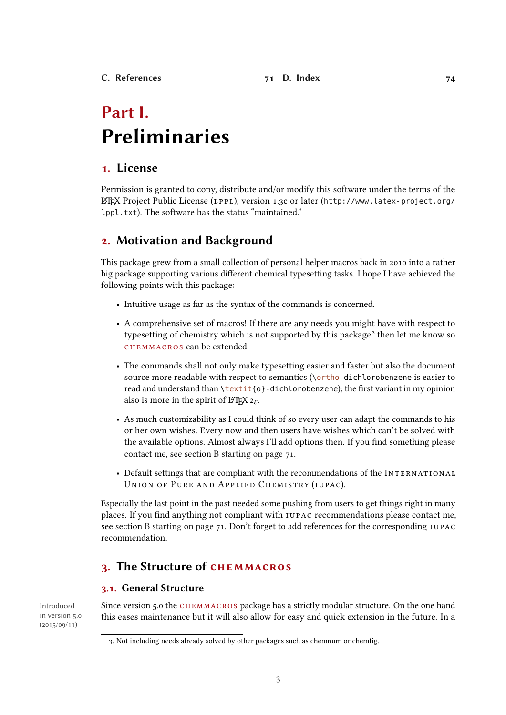## <span id="page-2-0"></span>Part I. Preliminaries

## <span id="page-2-1"></span>1. License

Permission is granted to copy, distribute and/or modify this software under the terms of the LATEX Project Public License (LPPL), version 1.3c or later ([http://www.latex-project.org/](http://www.latex-project.org/lppl.txt) [lppl.txt](http://www.latex-project.org/lppl.txt)). The software has the status "maintained."

## <span id="page-2-2"></span>2. Motivation and Background

This package grew from a small collection of personal helper macros back in 2010 into a rather big package supporting various different chemical typesetting tasks. I hope I have achieved the following points with this package:

- Intuitive usage as far as the syntax of the commands is concerned.
- A comprehensive set of macros! If there are any needs you might have with respect to typesetting of chemistry which is not supported by this package<sup>3</sup> then let me know so CHEMMACROS can be extended.
- The commands shall not only make typesetting easier and faster but also the document source more readable with respect to semantics (\ortho-dichlorobenzene is easier to read and understand than \textit{o}-dichlorobenzene); the first variant in my opinion also is more in the spirit of  $\mathbb{A}$ T<sub>F</sub>X  $2\varepsilon$ .
- As much customizability as I could think of so every user can adapt the commands to his or her own wishes. Every now and then users have wishes which can't be solved with the available options. Almost always I'll add options then. If you find something please contact me, see section [B starting on page 71.](#page-70-1)
- Default settings that are compliant with the recommendations of the INTERNATIONAL UNION OF PURE AND APPLIED CHEMISTRY (IUPAC).

Especially the last point in the past needed some pushing from users to get things right in many places. If you find anything not compliant with IUPAC recommendations please contact me, see section [B starting on page 71.](#page-70-1) Don't forget to add references for the corresponding IUPAC recommendation.

## <span id="page-2-3"></span>3. The Structure of chemmacros

## <span id="page-2-4"></span>3.1. General Structure

in version 5.0  $(2015/09/11)$ 

Introduced Since version 5.0 the CHEMMACROS package has a strictly modular structure. On the one hand this eases maintenance but it will also allow for easy and quick extension in the future. In a

<span id="page-2-5"></span><sup>3.</sup> Not including needs already solved by other packages such as chemnum or chemfig.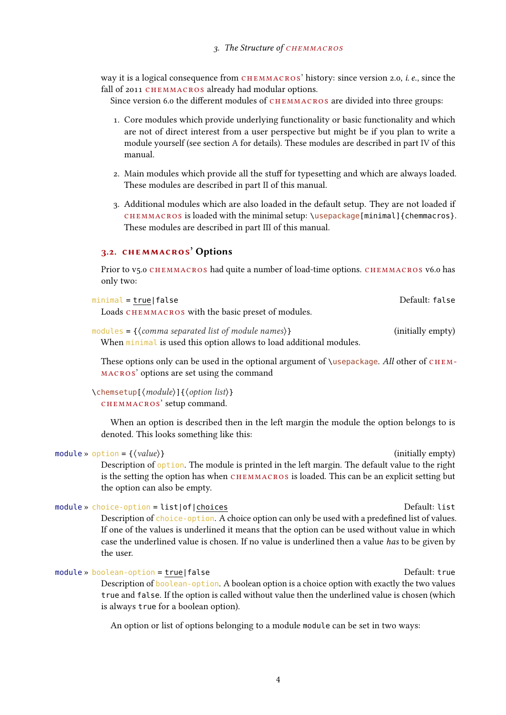way it is a logical consequence from CHEMMACROS' history: since version 2.0, *i.e.*, since the fall of 2011 CHEMMACROS already had modular options.

Since version 6.0 the different modules of CHEMMACROS are divided into three groups:

- 1. Core modules which provide underlying functionality or basic functionality and which are not of direct interest from a user perspective but might be if you plan to write a module yourself (see section [A](#page-68-1) for details). These modules are described in part [IV](#page-61-0) of this manual.
- 2. Main modules which provide all the stuff for typesetting and which are always loaded. These modules are described in part [II](#page-5-0) of this manual.
- 3. Additional modules which are also loaded in the default setup. They are not loaded if chemmacros is loaded with the minimal setup: \usepackage[minimal]{chemmacros}. These modules are described in part [III](#page-24-0) of this manual.

#### <span id="page-3-0"></span>3.2. chemmacros' Options

Prior to v5.0 CHEMMACROS had quite a number of load-time options. CHEMMACROS v6.0 has only two:

| minimal = true false                                                | Default: false    |
|---------------------------------------------------------------------|-------------------|
| Loads CHEMMACROS with the basic preset of modules.                  |                   |
| modules = { $\{command\}$ s { $\{command\}$                         | (initially empty) |
| When minimal is used this option allows to load additional modules. |                   |

These options only can be used in the optional argument of  $\iota$ usepackage. All other of CHEMmacros' options are set using the command

\chemsetup[⟨module⟩]{⟨option list⟩} chemmacros' setup command.

When an option is described then in the left margin the module the option belongs to is denoted. This looks something like this:

#### $\text{module} \rightarrow \text{option} = \{\langle value \rangle\}$  (initially empty)

Description of option. The module is printed in the left margin. The default value to the right is the setting the option has when CHEMMACROS is loaded. This can be an explicit setting but the option can also be empty.

#### module » choice-option = list|of|choices extending the control of the Default: list

Description of choice-option. A choice option can only be used with a predefined list of values. If one of the values is underlined it means that the option can be used without value in which case the underlined value is chosen. If no value is underlined then a value has to be given by the user.

#### module » boolean-option = true|false Note and Default: true Default: true

Description of boolean-option. A boolean option is a choice option with exactly the two values true and false. If the option is called without value then the underlined value is chosen (which is always true for a boolean option).

An option or list of options belonging to a module module can be set in two ways: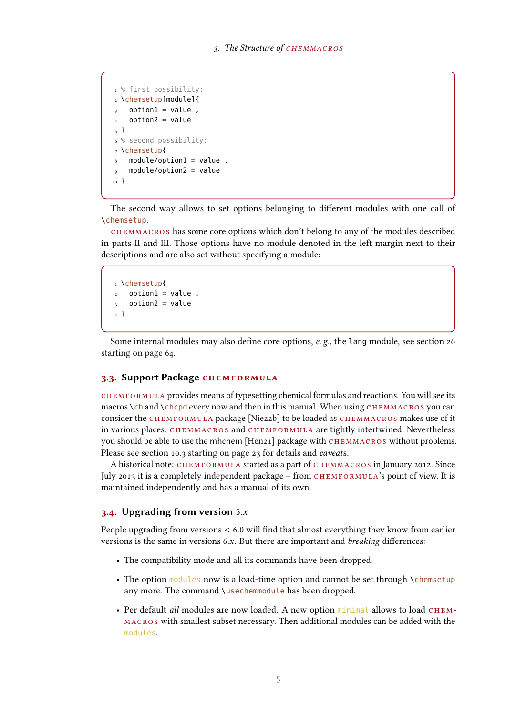```
1 % first possibility:
2 \chemsetup[module]{
3 option1 = value,
   option2 = value5 }
6 % second possibility:
7 \chemsetup{
   module/option1 = value,
    module/option2 = value10 }
```
The second way allows to set options belonging to different modules with one call of \chemsetup.

CHEMMACROS has some core options which don't belong to any of the modules described in parts [II](#page-5-0) and [III.](#page-24-0) Those options have no module denoted in the left margin next to their descriptions and are also set without specifying a module:

```
1 \chemsetup{
2 option1 = value,
3 option2 = value
4 }
```
Some internal modules may also define core options, e. g., the lang module, see section [26](#page-63-1) [starting on page 64.](#page-63-1)

#### <span id="page-4-0"></span>3.3. Support Package chemformula

chemformula provides means of typesetting chemical formulas and reactions. You will see its macros  $\ch$  and  $\ch$ chcpd every now and then in this manual. When using  $CHEMMACROS$  you can consider the CHEMFORMULA package [\[Nie22b\]](#page-71-0) to be loaded as CHEMMACROS makes use of it in various places. chemmacros and chemformula are tightly intertwined. Nevertheless you should be able to use the mhchem [\[Hen21\]](#page-71-1) package with CHEMMACROS without problems. Please see section [10.3 starting on page 23](#page-22-1) for details and *caveats*.

A historical note: chemformula started as a part of chemmacros in January 2012. Since July 2013 it is a completely independent package - from CHEMFORMULA's point of view. It is maintained independently and has a manual of its own.

#### <span id="page-4-1"></span>3.4. Upgrading from version  $5.x$

People upgrading from versions < 6.0 will find that almost everything they know from earlier versions is the same in versions  $6.x$ . But there are important and *breaking* differences:

- The compatibility mode and all its commands have been dropped.
- The option modules now is a load-time option and cannot be set through \chemsetup any more. The command \usechemmodule has been dropped.
- Per default all modules are now loaded. A new option minimal allows to load CHEMmacros with smallest subset necessary. Then additional modules can be added with the modules.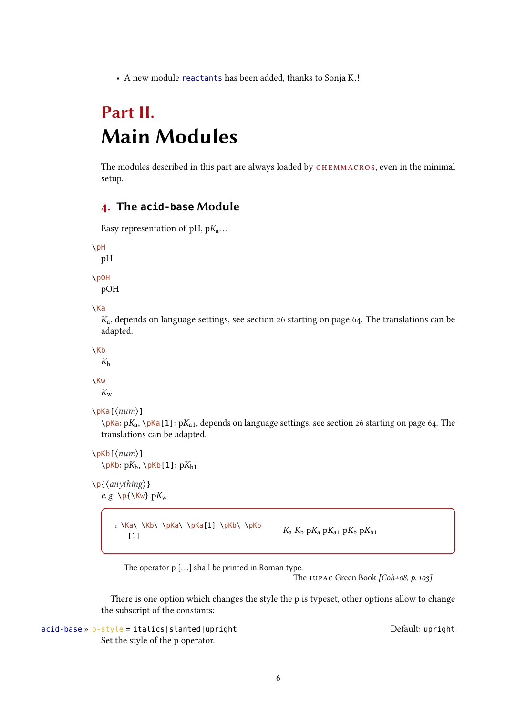• A new module reactants has been added, thanks to Sonja K.!

## <span id="page-5-0"></span>Part II. Main Modules

The modules described in this part are always loaded by CHEMMACROS, even in the minimal setup.

## <span id="page-5-1"></span>4. The **acid-base** Module

```
Easy representation of pH, pK_a...
```

```
\pH
```
pH

```
\pOH
```
pOH

```
\Ka
```
 $K_a$ , depends on language settings, see section [26 starting on page 64.](#page-63-1) The translations can be adapted.

\Kb

 $K_{h}$ 

### \Kw

 $K_{\rm w}$ 

```
\pKa[⟨num⟩]
```
 $\pi$ ka: p $K_a$ ,  $\pi$ Ka[1]: p $K_{a1}$ , depends on language settings, see section [26 starting on page 64.](#page-63-1) The translations can be adapted.

```
\pKb[⟨num⟩]
   \Delta pKb: pK_b, \Delta pKb[1]: pK_{b1}
```

```
\p{⟨anything⟩}
    e.g. \pmb{\wedge} p\{\kappa_w\} pK_w
```
 $1 \Ka \ Kb \ \pkb \ \pka[1] \pkb \ \pkb$ (a) (KD) (pka) span pand part part is the part of  $K_a K_b pK_a pK_{a1} pK_b pK_{b1}$ 

The operator p [...] shall be printed in Roman type.

The IUPAC Green Book [\[Coh+08,](#page-71-2) p. 103]

There is one option which changes the style the p is typeset, other options allow to change the subscript of the constants:

acid-base » p-style = italics|slanted|upright upright upright Default: upright Set the style of the p operator.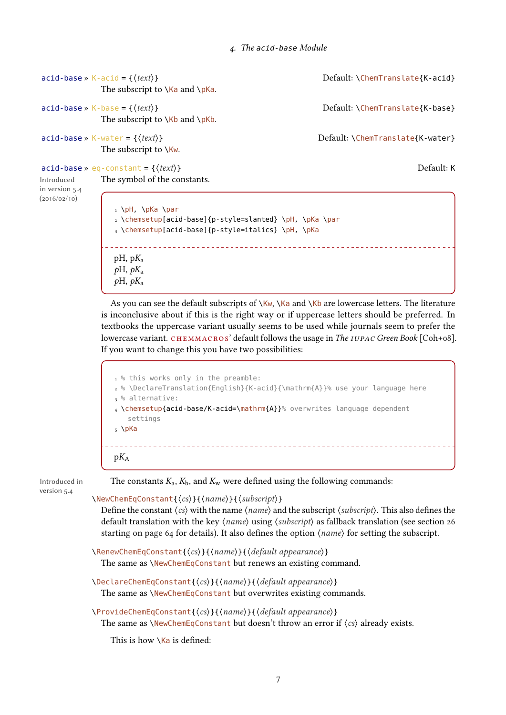```
acid-base » K-acid = {\{text\{text\{text\{text\it{text}}\}}\} \text{Default: } \{ \text{ChemTranslated} \}The subscript to \Ka and \pKa.
\text{acid}-base » K-base = {\{text\{text\{text\it{text}}\}}
             The subscript to \K and \pmb{\wedge}Kb.
acid-base \times K-water = \{\langle text \rangle\} Default: \ChemTranslate\{K-water\}The subscript to \Kw.
\text{acid-base} \times \text{eq-constant} = \{\langle \text{text}\rangle\}The symbol of the constants.
Introduced
in version 5.4
(2016/02/10)
                1 \pH, \pKa \par
                2 \chemsetup[acid-base]{p-style=slanted} \pH, \pKa \par
                3 \chemsetup[acid-base]{p-style=italics} \pH, \pKa
                               pH, pK_apH, pK_apH, pK_aAs you can see the default subscripts of \kappa, \kappa and \kappa are lowercase letters. The literature
             is inconclusive about if this is the right way or if uppercase letters should be preferred. In
             textbooks the uppercase variant usually seems to be used while journals seem to prefer the
             [Coh+08].
             If you want to change this you have two possibilities:
                1 % this works only in the preamble:
                2 % \DeclareTranslation{English}{K-acid}{\mathrm{A}}% use your language here
                3 % alternative:
                4 \chemsetup{acid-base/K-acid=\mathrm{A}}% overwrites language dependent
```

```
settings
5 \text{ } \pKa
```
 $pK_A$ 

Introduced in version 5.4

The constants  $K_a$ ,  $K_b$ , and  $K_w$  were defined using the following commands:

```
\NewChemEqConstant{⟨cs⟩}{⟨name⟩}{⟨subscript⟩}
```
Define the constant  $\langle cs \rangle$  with the name  $\langle name \rangle$  and the subscript  $\langle subscript \rangle$ . This also defines the default translation with the key ⟨name⟩ using ⟨subscript⟩ as fallback translation (see section [26](#page-63-1) [starting on page 64](#page-63-1) for details). It also defines the option  $\langle name \rangle$  for setting the subscript.

```
\RenewChemEqConstant{⟨cs⟩}{⟨name⟩}{⟨default appearance⟩}
  The same as \NewChemEqConstant but renews an existing command.
```

```
\DeclareChemEqConstant{⟨cs⟩}{⟨name⟩}{⟨default appearance⟩}
  The same as \NewChemEqConstant but overwrites existing commands.
```
\ProvideChemEqConstant{⟨cs⟩}{⟨name⟩}{⟨default appearance⟩} The same as  $\N$ ewChemEqConstant but doesn't throw an error if  $\langle cs \rangle$  already exists.

This is how  $\overline{\text{Ka}}$  is defined: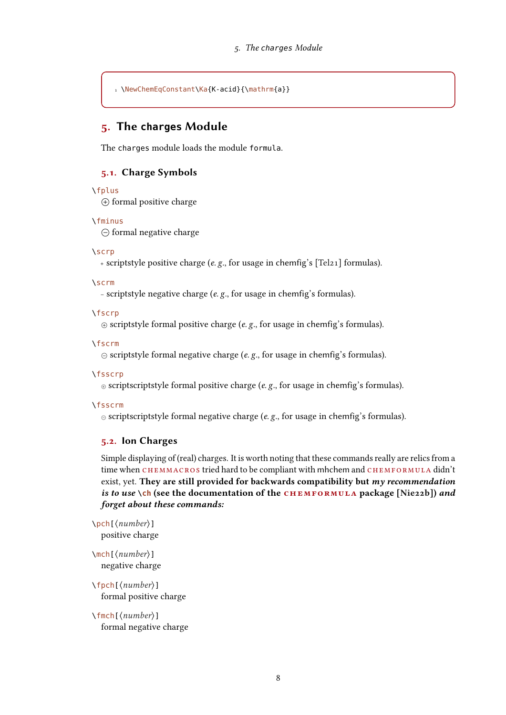1 \NewChemEqConstant\Ka{K-acid}{\mathrm{a}}

## <span id="page-7-0"></span>5. The **charges** Module

The charges module loads the module formula.

### <span id="page-7-1"></span>5.1. Charge Symbols

#### \fplus

 $\oplus$  formal positive charge

#### \fminus

 $\ominus$  formal negative charge

#### \scrp

<sup>+</sup> scriptstyle positive charge (e. g., for usage in chemfig's [\[Tel21\]](#page-72-0) formulas).

#### \scrm

– scriptstyle negative charge (e. g., for usage in chemfig's formulas).

#### \fscrp

 $\oplus$  scriptstyle formal positive charge (e. g., for usage in chemfig's formulas).

#### \fscrm

 $\odot$  scriptstyle formal negative charge (e. g., for usage in chemfig's formulas).

#### \fsscrp

 $\circ$  scriptscriptstyle formal positive charge (e. g., for usage in chemfig's formulas).

#### \fsscrm

 $\odot$  scriptscriptstyle formal negative charge (e. g., for usage in chemfig's formulas).

#### <span id="page-7-2"></span>5.2. Ion Charges

Simple displaying of (real) charges. It is worth noting that these commands really are relics from a time when CHEMMACROS tried hard to be compliant with mhchem and CHEMFORMULA didn't exist, yet. They are still provided for backwards compatibility but my recommendation is to use **\ch** (see the documentation of the CHEMFORMULA package [\[Nie22b\]](#page-71-0)) and forget about these commands:

\pch[⟨number⟩] positive charge

\mch[⟨number⟩] negative charge

\fpch[⟨number⟩] formal positive charge

\fmch[⟨number⟩] formal negative charge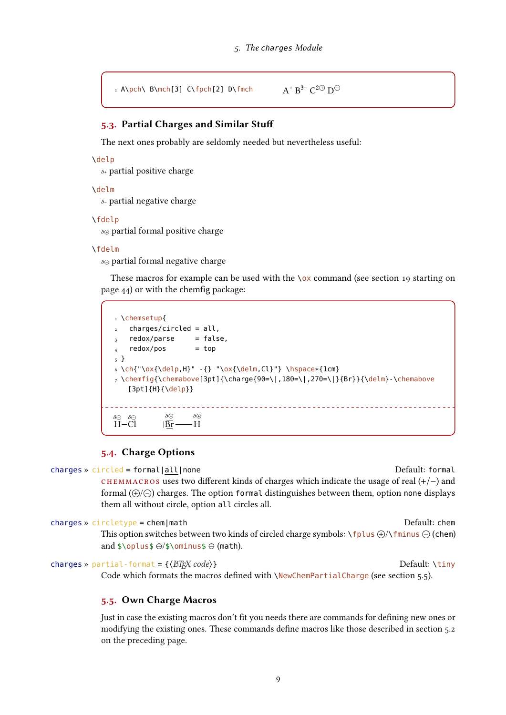```
_1 A\pch\ B\mch[3] C\fpch[2] D\fmch
                                                               + B^{3-} C^{2 \oplus} D^{\ominus}
```
### <span id="page-8-0"></span>5.3. Partial Charges and Similar Stuff

The next ones probably are seldomly needed but nevertheless useful:

```
\delp
```
 $\delta$ <sup>+</sup> partial positive charge

\delm

 $\delta$ - partial negative charge

\fdelp

 $\delta \oplus$  partial formal positive charge

#### \fdelm

 $\delta\odot$  partial formal negative charge

These macros for example can be used with the  $\alpha$  command (see section [19 starting on](#page-43-1) [page 44\)](#page-43-1) or with the chemfig package:

| 1 \chemsetup{<br>$charges/circled = all,$<br>$\overline{2}$<br>redox/parse<br>$\mathbf{3}$<br>redox/pos<br>$\overline{4}$<br>5 <sup>1</sup><br>$[3pt]{H}{\delta}$ | = false,<br>$=$ top<br>6 \ch{"\ox{\delp,H}" -{} "\ox{\delm,Cl}"} \hspace*{1cm}<br>7 \chemfiq{\chemabove[3pt]{\charqe{90=\ ,180=\ ,270=\ }{Br}}{\delm}-\chemabove |
|-------------------------------------------------------------------------------------------------------------------------------------------------------------------|------------------------------------------------------------------------------------------------------------------------------------------------------------------|
| $\delta \ominus$<br>$\delta \ominus$<br>$\delta \Theta$<br>$H - C1$                                                                                               | $\delta$ <sub><math>\oplus</math></sub><br>H                                                                                                                     |

### <span id="page-8-1"></span>5.4. Charge Options

charges » circled = formal|all|none Default: formal

chemmacros uses two different kinds of charges which indicate the usage of real (+/−) and formal  $(\bigoplus/\bigoplus)$  charges. The option formal distinguishes between them, option none displays them all without circle, option all circles all.

```
charges » circletype = chem|math Default: chem
```
This option switches between two kinds of circled charge symbols:  $\frown$  fplus  $\bigoplus$  / $\frown$  fminus  $\bigoplus$  (chem) and \$\oplus\$ ⊕/\$\ominus\$ ⊖ (math).

charges » partial-format = { $\langle BTrX code \rangle$ } Default: \tiny

Code which formats the macros defined with \NewChemPartialCharge (see section [5.5\)](#page-8-2).

### <span id="page-8-2"></span>5.5. Own Charge Macros

Just in case the existing macros don't fit you needs there are commands for defining new ones or modifying the existing ones. These commands define macros like those described in section [5.2](#page-7-2) [on the preceding page.](#page-7-2)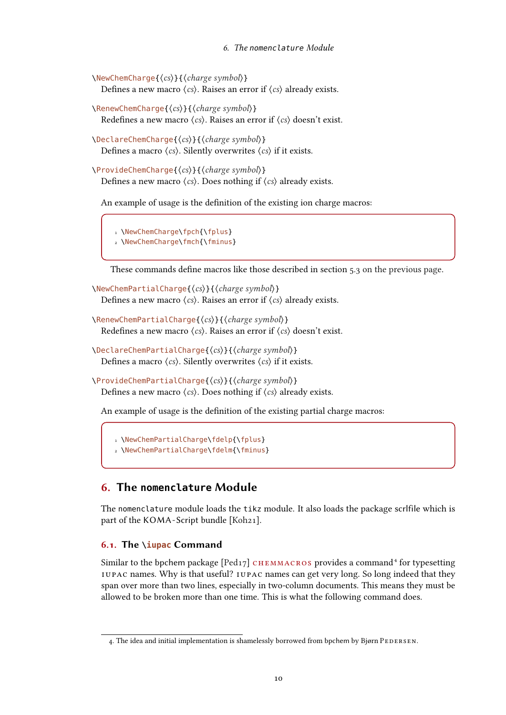```
\NewChemCharge{⟨cs⟩}{⟨charge symbol⟩}
   Defines a new macro \langle cs \rangle. Raises an error if \langle cs \rangle already exists.
```

```
\RenewChemCharge{⟨cs⟩}{⟨charge symbol⟩}
```
Redefines a new macro  $\langle cs \rangle$ . Raises an error if  $\langle cs \rangle$  doesn't exist.

\DeclareChemCharge{⟨cs⟩}{⟨charge symbol⟩} Defines a macro  $\langle cs \rangle$ . Silently overwrites  $\langle cs \rangle$  if it exists.

\ProvideChemCharge{⟨cs⟩}{⟨charge symbol⟩} Defines a new macro  $\langle cs \rangle$ . Does nothing if  $\langle cs \rangle$  already exists.

An example of usage is the definition of the existing ion charge macros:

1 \NewChemCharge\fpch{\fplus}

2 \NewChemCharge\fmch{\fminus}

These commands define macros like those described in section [5.3 on the previous page.](#page-8-0)

```
\NewChemPartialCharge{⟨cs⟩}{⟨charge symbol⟩}
   Defines a new macro \langle cs \rangle. Raises an error if \langle cs \rangle already exists.
```

```
\RenewChemPartialCharge{⟨cs⟩}{⟨charge symbol⟩}
   Redefines a new macro \langle cs \rangle. Raises an error if \langle cs \rangle doesn't exist.
```

```
\DeclareChemPartialCharge{⟨cs⟩}{⟨charge symbol⟩}
   Defines a macro \langle cs \rangle. Silently overwrites \langle cs \rangle if it exists.
```

```
\ProvideChemPartialCharge{⟨cs⟩}{⟨charge symbol⟩}
   Defines a new macro \langle cs \rangle. Does nothing if \langle cs \rangle already exists.
```
An example of usage is the definition of the existing partial charge macros:

```
1 \NewChemPartialCharge\fdelp{\fplus}
2 \NewChemPartialCharge\fdelm{\fminus}
```
## <span id="page-9-0"></span>6. The **nomenclature** Module

The nomenclature module loads the tikz module. It also loads the package scrlfile which is part of the KOMA-Script bundle [\[Koh21\]](#page-71-3).

### <span id="page-9-1"></span>6.1. The **\iupac** Command

Similar to the bpchem package  $[Ped17]$  CHEMMACROS provides a command<sup>4</sup> for typesetting IUPAC names. Why is that useful? IUPAC names can get very long. So long indeed that they span over more than two lines, especially in two-column documents. This means they must be allowed to be broken more than one time. This is what the following command does.

<span id="page-9-2"></span><sup>4.</sup> The idea and initial implementation is shamelessly borrowed from bpchem by Bjørn PEDERSEN.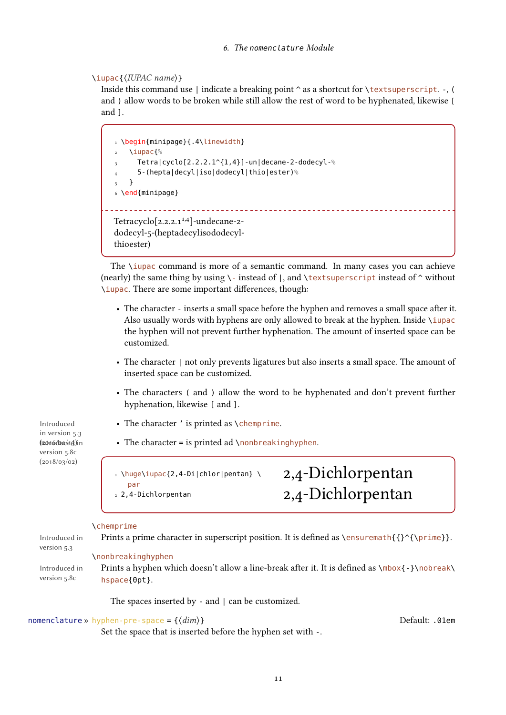#### \iupac{⟨IUPAC name⟩}

Inside this command use  $\vert$  indicate a breaking point  $\hat{\ }$  as a shortcut for  $\text{textsuperscript.}$  -, ( and ) allow words to be broken while still allow the rest of word to be hyphenated, likewise [ and 1.

```
1 \begin{minipage}{.4\linewidth}
   2 \iupac{%
     Tetra|cyclo[2.2.2.1^{1,4}]-un|decane-2-dodecyl-%
     4 5-(hepta|decyl|iso|dodecyl|thio|ester)%
   5 }
6 \end{minipage}
             Tetracyclo[z.2.2.1]<sup>1,4</sup>]-undecane-2-
dodecyl-5-(heptadecylisododecyl-
thioester)
```
The \iupac command is more of a semantic command. In many cases you can achieve (nearly) the same thing by using  $\cdot$  instead of  $\cdot$ , and  $\text{textsuperscript}$  instead of  $\cdot$  without \iupac. There are some important differences, though:

- The character inserts a small space before the hyphen and removes a small space after it. Also usually words with hyphens are only allowed to break at the hyphen. Inside \iupac the hyphen will not prevent further hyphenation. The amount of inserted space can be customized.
- The character  $\vert$  not only prevents ligatures but also inserts a small space. The amount of inserted space can be customized.
- The characters ( and ) allow the word to be hyphenated and don't prevent further hyphenation, likewise [ and ].

2,4-Dichlorpentan

2,4-Dichlorpentan

 $\cdot$  The character ' is printed as \chemprime.

 $\cdot$  The character = is printed ad \nonbreakinghyphen.

1 \huge\iupac{2,4-Di|chlor|pentan} \ par 2 2,4-Dichlorpentan

#### \chemprime

Introduced in version 5.3 Prints a prime character in superscript position. It is defined as  $\enskip$  \ensuremath{{}^{\prime}}. \nonbreakinghyphen

Introduced in version 5.8c Prints a hyphen which doesn't allow a line-break after it. It is defined as  $\mbox{box}$  +  $\mbox{box}$ hspace{0pt}.

The spaces inserted by - and <sup>|</sup> can be customized.

#### nomenclature » hyphen-pre-space =  $\{\langle dim \rangle\}$  default: .01em

Set the space that is inserted before the hyphen set with -.

in version 5.3 lpon6duced in • version 5.8c (2018/03/02)

Introduced •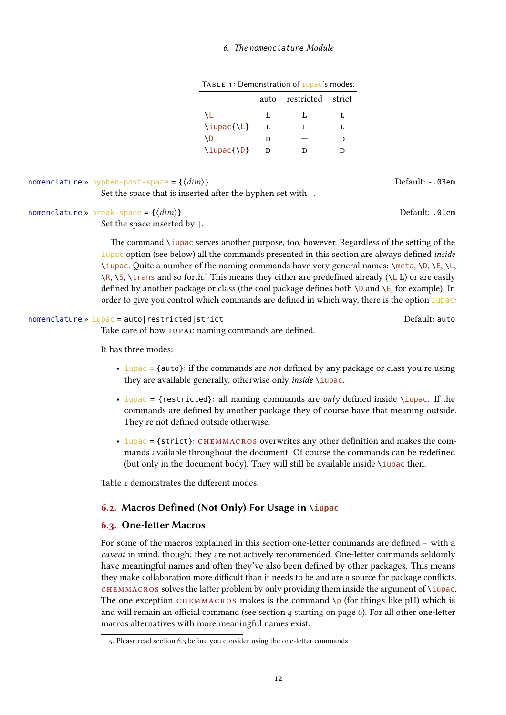#### <span id="page-11-3"></span>6. The nomenclature Module

| TABLE 1: Demonstration of <i>iupac</i> 's modes. |  |  |  |
|--------------------------------------------------|--|--|--|
|--------------------------------------------------|--|--|--|

| auto | restricted strict |   |
|------|-------------------|---|
| Ł.   | Ł                 | L |
| L    | Τ.                | L |
| D    |                   | D |
| D    | D                 |   |
|      |                   |   |

## nomenclature » hyphen-post-space =  $\{\langle dim \rangle\}$  default: -.03em

Set the space that is inserted after the hyphen set with -.

#### nomenclature » break-space = { $\{dim\}$ } Default: .01em

Set the space inserted by <sup>|</sup>.

The command \iupac serves another purpose, too, however. Regardless of the setting of the iupac option (see below) all the commands presented in this section are always defined inside \iupac. Quite a number of the naming commands have very general names: \meta, \D, \E, \L,  $\R$ ,  $\S$ ,  $\tanh$  and so forth.<sup>5</sup> This means they either are predefined already ( $\L$  Ł) or are easily defined by another package or class (the cool package defines both  $\D$  and  $\E$ , for example). In order to give you control which commands are defined in which way, there is the option iupac:

#### nomenclature » iupac = auto|restricted|strict default: auto Default: auto

Take care of how IUPAC naming commands are defined.

It has three modes:

- $\bullet$  iupac = {auto}: if the commands are *not* defined by any package or class you're using they are available generally, otherwise only *inside*  $\iota$  *iupac*.
- iupac = {restricted}: all naming commands are *only* defined inside \iupac. If the commands are defined by another package they of course have that meaning outside. They're not defined outside otherwise.
- $\cdot$  iupac = {strict}: CHEMMACROS overwrites any other definition and makes the commands available throughout the document. Of course the commands can be redefined (but only in the document body). They will still be available inside  $\iota$  upac then.

Table [1](#page-11-3) demonstrates the different modes.

### <span id="page-11-0"></span>6.2. Macros Defined (Not Only) For Usage in **\iupac**

#### <span id="page-11-1"></span>6.3. One-letter Macros

For some of the macros explained in this section one-letter commands are defined – with a caveat in mind, though: they are not actively recommended. One-letter commands seldomly have meaningful names and often they've also been defined by other packages. This means they make collaboration more difficult than it needs to be and are a source for package conflicts. CHEMMACROS solves the latter problem by only providing them inside the argument of \iupac. The one exception CHEMMACROS makes is the command  $\pmb{\rho}$  (for things like pH) which is and will remain an official command (see section [4 starting on page 6\)](#page-5-1). For all other one-letter macros alternatives with more meaningful names exist.

<span id="page-11-2"></span><sup>5.</sup> Please read section [6.3](#page-11-1) before you consider using the one-letter commands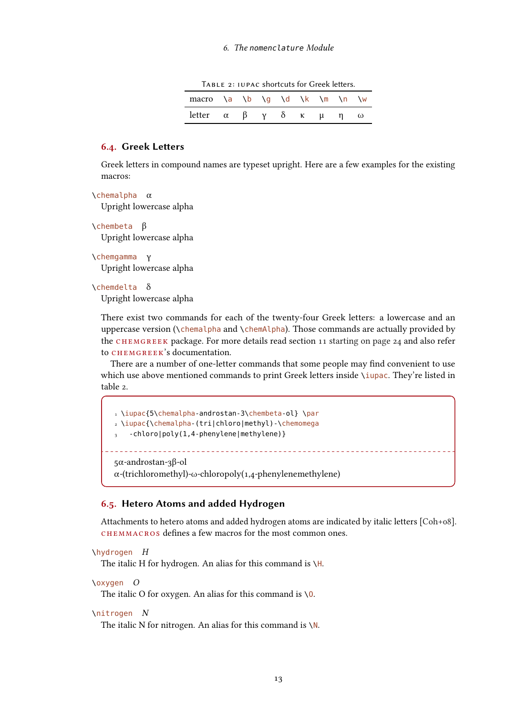<span id="page-12-2"></span>Table 2: IUPAC shortcuts for Greek letters.

| macro $\a \ b \ q \ d \ k \ m \ n \ w$                                   |  |  |  |  |
|--------------------------------------------------------------------------|--|--|--|--|
| letter $\alpha$ $\beta$ $\gamma$ $\delta$ $\kappa$ $\mu$ $\eta$ $\omega$ |  |  |  |  |

#### <span id="page-12-0"></span>6.4. Greek Letters

Greek letters in compound names are typeset upright. Here are a few examples for the existing macros:

\chemalpha α

Upright lowercase alpha

\chembeta β

Upright lowercase alpha

\chemgamma γ Upright lowercase alpha

#### \chemdelta δ

Upright lowercase alpha

There exist two commands for each of the twenty-four Greek letters: a lowercase and an uppercase version (\chemalpha and \chemAlpha). Those commands are actually provided by the  $CHEMGREEK$  package. For more details read section [11 starting on page 24](#page-23-2) and also refer to CHEMGREEK's documentation.

There are a number of one-letter commands that some people may find convenient to use which use above mentioned commands to print Greek letters inside \iupac. They're listed in table [2.](#page-12-2)

```
1 \iupac{5\chemalpha-androstan-3\chembeta-ol} \par
2 \iupac{\chemalpha-(tri|chloro|methyl)-\chemomega
 3 -chloro|poly(1,4-phenylene|methylene)}
      5α-androstan-3β-ol
α-(trichloromethyl)-ω-chloropoly(1,4-phenylenemethylene)
```
#### <span id="page-12-1"></span>6.5. Hetero Atoms and added Hydrogen

Attachments to hetero atoms and added hydrogen atoms are indicated by italic letters [\[Coh+08\]](#page-71-2). CHEMMACROS defines a few macros for the most common ones.

```
\hydrogen H
  The italic H for hydrogen. An alias for this command is \H.
```

```
\oxygen O
```
The italic O for oxygen. An alias for this command is  $\setminus 0$ .

\nitrogen N

The italic N for nitrogen. An alias for this command is \N.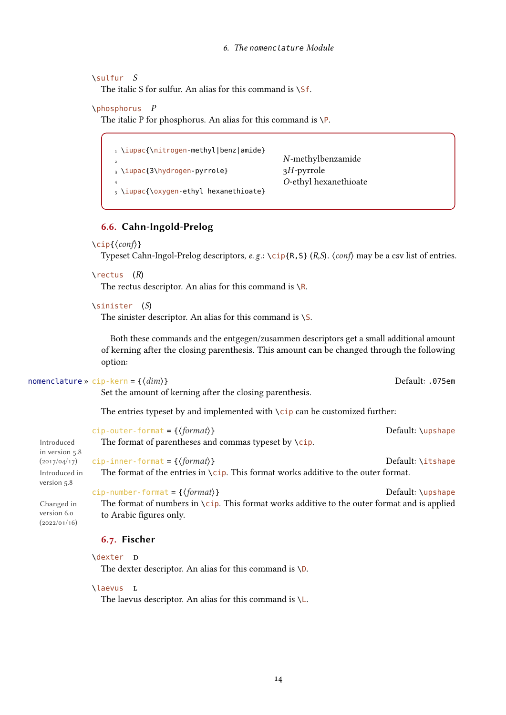#### \sulfur S

The italic S for sulfur. An alias for this command is \Sf.

#### \phosphorus P

The italic P for phosphorus. An alias for this command is  $\P$ .

| 1 \iupac{\nitrogen-methyl benz amide}<br>$\overline{a}$ | N-methylbenzamide     |
|---------------------------------------------------------|-----------------------|
| $_3 \iota$ \iupac{3\hydrogen-pyrrole}                   | $3H$ -pyrrole         |
| 4<br>5 \iupac{\oxygen-ethyl hexanethioate}              | O-ethyl hexanethioate |

#### <span id="page-13-0"></span>6.6. Cahn-Ingold-Prelog

#### \cip{⟨conf⟩}

Typeset Cahn-Ingol-Prelog descriptors, e.g.: \cip{R,S} (R,S).  $\langle \text{conf} \rangle$  may be a csv list of entries.

#### $\lvert$  rectus  $(R)$

The rectus descriptor. An alias for this command is  $\setminus R$ .

#### \sinister (S)

The sinister descriptor. An alias for this command is \S.

Both these commands and the entgegen/zusammen descriptors get a small additional amount of kerning after the closing parenthesis. This amount can be changed through the following option:

#### nomenclature » cip-kern =  $\{\langle dim \rangle\}$  Default: .075em

version 6.0 (2022/01/16)

Set the amount of kerning after the closing parenthesis.

The entries typeset by and implemented with  $\cosh$  can be customized further:

|                | cip-outer-format = $\{\langle format \rangle\}$                                       | Default: \upshape |
|----------------|---------------------------------------------------------------------------------------|-------------------|
| Introduced     | The format of parentheses and commas typeset by $\setminus$ cip.                      |                   |
| in version 5.8 |                                                                                       |                   |
|                | $(2017/04/17)$ cip-inner-format = { $\{format\}$ }                                    | Default: \itshape |
| Introduced in  | The format of the entries in $\cip$ . This format works additive to the outer format. |                   |
| version 5.8    |                                                                                       |                   |

cip-number-format = { $\{format\}$ } Default: \upshape Changed in

The format of numbers in  $\setminus$ cip. This format works additive to the outer format and is applied to Arabic figures only.

#### <span id="page-13-1"></span>6.7. Fischer

```
\dexter D
```
The dexter descriptor. An alias for this command is  $\mathcal{D}$ .

#### \laevus l

The laevus descriptor. An alias for this command is  $\mathcal{L}$ .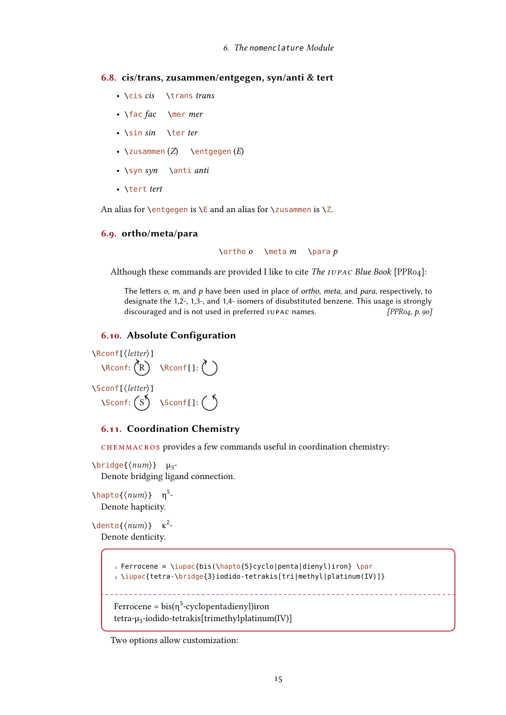#### <span id="page-14-0"></span>6.8. cis/trans, zusammen/entgegen, syn/anti & tert

- \cis cis \trans trans
- $\frac{fac}{arc}$  \mer mer
- \sin sin \ter ter
- $\zeta(z)$  \entgegen  $(E)$
- \syn syn \anti anti
- \tert tert

An alias for \entgegen is \E and an alias for \zusammen is \Z.

#### <span id="page-14-1"></span>6.9. ortho/meta/para

 $\lvert$  \ortho o \meta m \para p

Although these commands are provided I like to cite The IUPAC Blue Book [\[PPR04\]](#page-72-2):

The letters  $o$ ,  $m$ , and  $p$  have been used in place of ortho, meta, and para, respectively, to designate the 1,2-, 1,3-, and 1,4- isomers of disubstituted benzene. This usage is strongly discouraged and is not used in preferred IUPAC names. [\[PPR04,](#page-72-2) p. 90]

#### <span id="page-14-2"></span>6.10. Absolute Configuration

\Rconf[⟨letter⟩]  $\text{Reonf: } (R) \quad \text{Reonf[}:\text{ } ($ \Sconf[⟨letter⟩]  $\setminus$ Sconf:  $(S) \setminus$ Sconf[]:  $\binom{5}{ }$ 

#### <span id="page-14-3"></span>6.11. Coordination Chemistry

chemmacros provides a few commands useful in coordination chemistry:

\bridge{ $\langle num \rangle$ } μ<sub>3</sub>-Denote bridging ligand connection.

 $\hbox{\textbackslash} \mathsf{hapto}\{\langle\textit{num}\rangle\}$  η<sup>5</sup>-Denote hapticity.

 $\lambda$ dento{ $\langle num \rangle$ }  $\kappa^2$ -Denote denticity.

```
1 Ferrocene = \iota iupac{bis(\hbarpto{5}cyclo|penta|dienyl)iron} \par
2 \iupac{tetra-\bridge{3}iodido-tetrakis[tri|methyl|platinum(IV)]}
Ferrocene = bis(\eta^5-cyclopentadienyl)iron
tetra-μ<sub>3</sub>-iodido-tetrakis[trimethylplatinum(IV)]
```
Two options allow customization: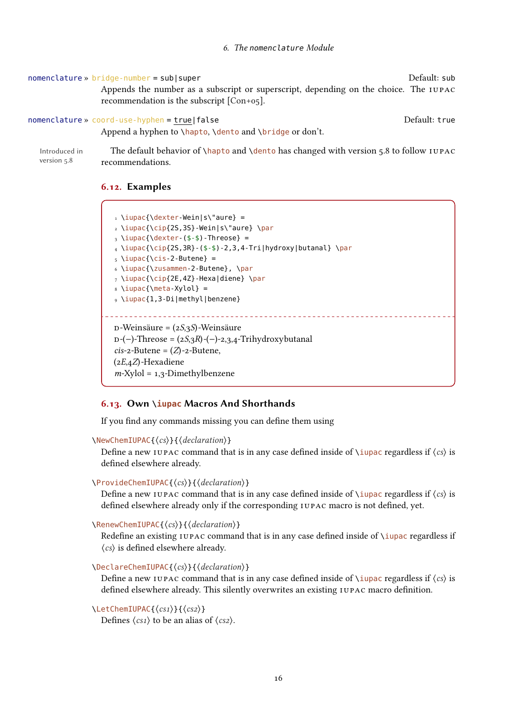#### nomenclature » bridge-number = sub|super Default: sub

Appends the number as a subscript or superscript, depending on the choice. The IUPAC recommendation is the subscript [\[Con+05\]](#page-71-4).

#### nomenclature » coord-use-hyphen = true|false default: true Default: true

Append a hyphen to \hapto, \dento and \bridge or don't.

Introduced in The default behavior of \hapto and \dento has changed with version 5.8 to follow II version 5.8 recommendations.

#### <span id="page-15-0"></span>6.12. Examples

```
\iota \iupac{\dexter-Wein|s\"aure} =
2 \iupac{\cip{2S,3S}-Wein|s\"aure} \par
_3 \iota \iupac{\dexter-($-$)-Threose} =
_4 \iota \iupac{\cip{2S,3R}-($-$)-2,3,4-Tri|hydroxy|butanal} \par
_5 \iupac{\cis-2-Butene} =
6 \iupac{\zusammen-2-Butene}, \par
7 \iupac{\cip{2E,4Z}-Hexa|diene} \par
8 \\times\{\meta-Xy\ol{ol}\} =9 \iupac{1,3-Di|methyl|benzene}
                                              <u>. . . . . . . . . . . . . . . . .</u>
D-Weinsäure = (2S,3S)-Weinsäure
p-(-)-Threose = (2S,3R)-(-)-2,3,4-Trihydroxybutanal
cis-2-Butene = (Z)-2-Butene,
(2E,4Z) -Hexadiene
m-Xylol = 1,3-Dimethylbenzene
```
#### <span id="page-15-1"></span>6.13. Own **\iupac** Macros And Shorthands

If you find any commands missing you can define them using

```
\NewChemIUPAC{⟨cs⟩}{⟨declaration⟩}
```
Define a new IUPAC command that is in any case defined inside of  $\iota$  iupac regardless if  $\langle cs \rangle$  is defined elsewhere already.

#### \ProvideChemIUPAC{⟨cs⟩}{⟨declaration⟩}

Define a new IUPAC command that is in any case defined inside of  $\iota$ iupac regardless if  $\langle cs \rangle$  is defined elsewhere already only if the corresponding IUPAC macro is not defined, yet.

#### \RenewChemIUPAC{⟨cs⟩}{⟨declaration⟩}

Redefine an existing IUPAC command that is in any case defined inside of \iupac regardless if ⟨cs⟩ is defined elsewhere already.

#### \DeclareChemIUPAC{⟨cs⟩}{⟨declaration⟩}

Define a new IUPAC command that is in any case defined inside of  $\iota$ iupac regardless if  $\langle cs \rangle$  is defined elsewhere already. This silently overwrites an existing IUPAC macro definition.

\LetChemIUPAC{⟨cs1⟩}{⟨cs2⟩}

Defines  $\langle cs_1 \rangle$  to be an alias of  $\langle cs_2 \rangle$ .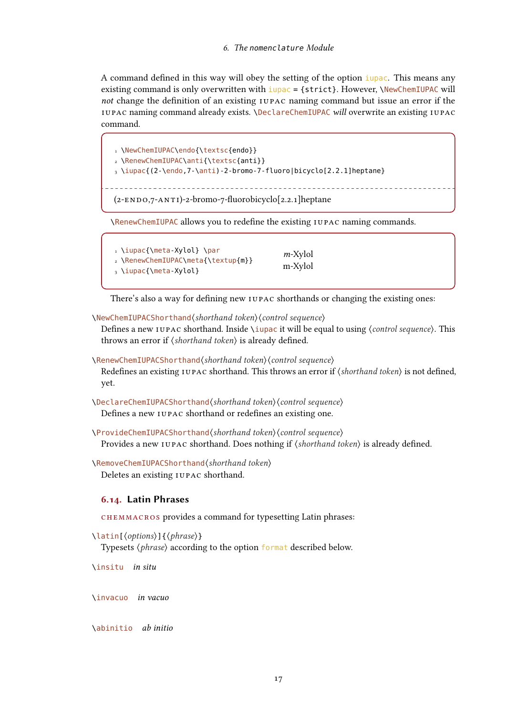A command defined in this way will obey the setting of the option iupac. This means any existing command is only overwritten with  $\frac{i}{\mu}$  and  $\epsilon$  = {strict}. However, \NewChemIUPAC will not change the definition of an existing IUPAC naming command but issue an error if the IUPAC naming command already exists. \DeclareChemIUPAC will overwrite an existing IUPAC command.

```
1 \NewChemIUPAC\endo{\textsc{endo}}
2 \RenewChemIUPAC\anti{\textsc{anti}}
3 \iupac{(2-\endo,7-\anti)-2-bromo-7-fluoro|bicyclo[2.2.1]heptane}
            (2-ENDO,7-ANTI)-2-bronO-7-fluorobicyclo[2.2.1]heptane
```
\RenewChemIUPAC allows you to redefine the existing IUPAC naming commands.

| 1 \iupac{\meta-Xylol} \par         | $m$ -Xylol |
|------------------------------------|------------|
| 2 \RenewChemIUPAC\meta{\textup{m}} |            |
| $_3 \iota$ \iupac{\meta-Xylol}     | m-Xylol    |

There's also a way for defining new IUPAC shorthands or changing the existing ones:

\NewChemIUPACShorthand⟨shorthand token⟩⟨control sequence⟩

Defines a new IUPAC shorthand. Inside ∖iupac it will be equal to using  $\langle$  control sequence $\rangle$ . This throws an error if  $\langle$ shorthand token $\rangle$  is already defined.

\RenewChemIUPACShorthand⟨shorthand token⟩⟨control sequence⟩

Redefines an existing IUPAC shorthand. This throws an error if  $\langle$ shorthand token $\rangle$  is not defined, yet.

\DeclareChemIUPACShorthand⟨shorthand token⟩⟨control sequence⟩ Defines a new IUPAC shorthand or redefines an existing one.

\ProvideChemIUPACShorthand⟨shorthand token⟩⟨control sequence⟩ Provides a new IUPAC shorthand. Does nothing if  $\langle shorthand\ token\rangle$  is already defined.

\RemoveChemIUPACShorthand⟨shorthand token⟩ Deletes an existing IUPAC shorthand.

#### <span id="page-16-0"></span>6.14. Latin Phrases

chemmacros provides a command for typesetting Latin phrases:

```
\latin[⟨options⟩]{⟨phrase⟩}
```
Typesets  $\langle *phrase* \rangle$  according to the option format described below.

\insitu in situ

\invacuo in vacuo

\abinitio ab initio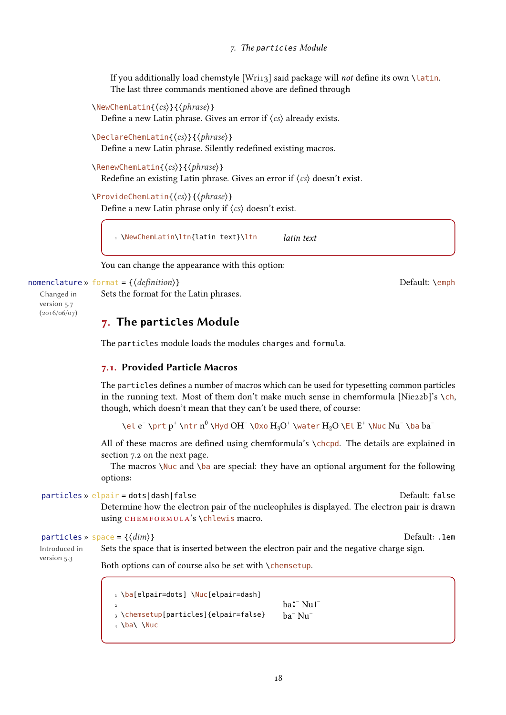If you additionally load chemstyle [\[Wri13\]](#page-72-3) said package will not define its own \latin. The last three commands mentioned above are defined through

```
\NewChemLatin{⟨cs⟩}{⟨phrase⟩}
```
Define a new Latin phrase. Gives an error if  $\langle cs \rangle$  already exists.

```
\DeclareChemLatin{⟨cs⟩}{⟨phrase⟩}
```
Define a new Latin phrase. Silently redefined existing macros.

```
\RenewChemLatin{⟨cs⟩}{⟨phrase⟩}
```
Redefine an existing Latin phrase. Gives an error if  $\langle cs \rangle$  doesn't exist.

```
\ProvideChemLatin{⟨cs⟩}{⟨phrase⟩}
```
Define a new Latin phrase only if  $\langle cs \rangle$  doesn't exist.

1 \NewChemLatin\ltn{latin text}\ltn latin text

You can change the appearance with this option:

#### nomenclature » format = { $\{definition\}$ }

Changed in version 5.7 (2016/06/07)

## <span id="page-17-0"></span>7. The **particles** Module

Sets the format for the Latin phrases.

The particles module loads the modules charges and formula.

#### <span id="page-17-1"></span>7.1. Provided Particle Macros

The particles defines a number of macros which can be used for typesetting common particles in the running text. Most of them don't make much sense in chemformula [\[Nie22b\]](#page-71-0)'s  $\ch$ , though, which doesn't mean that they can't be used there, of course:

\el e<sup>-</sup> \prt p<sup>+</sup> \ntr n<sup>0</sup> \Hyd OH<sup>-</sup> \0xo H<sub>3</sub>O<sup>+</sup> \water H<sub>2</sub>O \El E<sup>+</sup> \Nuc Nu<sup>-</sup> \ba ba<sup>-</sup>

All of these macros are defined using chemformula's \chcpd. The details are explained in section [7.2 on the next page.](#page-18-0)

The macros  $\Nucceq$  and  $\ba$  are special: they have an optional argument for the following options:

particles » elpair = dots|dash|false Default: false Default: false

Determine how the electron pair of the nucleophiles is displayed. The electron pair is drawn using CHEMFORMULA's \chlewis macro.

#### particles »  $space = \{\langle dim \rangle\}$

Introduced in version 5.3

Sets the space that is inserted between the electron pair and the negative charge sign.

Both options can of course also be set with \chemsetup.

1 \ba[elpair=dots] \Nuc[elpair=dash] 2 3 \chemsetup[particles]{elpair=false}  $_4 \$ a $\N$  $ba$ : Nu  $\Gamma$ ba– Nu–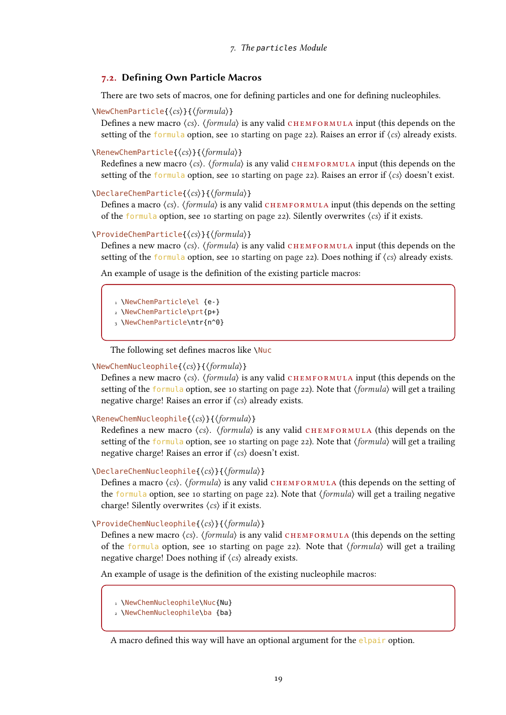#### <span id="page-18-0"></span>7.2. Defining Own Particle Macros

There are two sets of macros, one for defining particles and one for defining nucleophiles.

\NewChemParticle{⟨cs⟩}{⟨formula⟩}

Defines a new macro  $\langle cs \rangle$ .  $\langle formula \rangle$  is any valid CHEMFORMULA input (this depends on the setting of the formula option, see [10 starting on page 22\)](#page-21-1). Raises an error if  $\langle cs \rangle$  already exists.

\RenewChemParticle{⟨cs⟩}{⟨formula⟩}

Redefines a new macro  $\langle cs \rangle$ .  $\langle formula \rangle$  is any valid CHEMFORMULA input (this depends on the setting of the formula option, see [10 starting on page 22\)](#page-21-1). Raises an error if  $\langle cs \rangle$  doesn't exist.

#### \DeclareChemParticle{⟨cs⟩}{⟨formula⟩}

Defines a macro  $\langle cs \rangle$ .  $\langle formula \rangle$  is any valid CHEMFORMULA input (this depends on the setting of the formula option, see [10 starting on page 22\)](#page-21-1). Silently overwrites  $\langle cs \rangle$  if it exists.

#### \ProvideChemParticle{⟨cs⟩}{⟨formula⟩}

Defines a new macro  $\langle cs \rangle$ .  $\langle formula \rangle$  is any valid CHEMFORMULA input (this depends on the setting of the formula option, see [10 starting on page 22\)](#page-21-1). Does nothing if  $\langle cs \rangle$  already exists.

An example of usage is the definition of the existing particle macros:

1 \NewChemParticle\el {e-}

2 \NewChemParticle\prt{p+}

3 \NewChemParticle\ntr{n^0}

The following set defines macros like \Nuc

#### \NewChemNucleophile{⟨cs⟩}{⟨formula⟩}

Defines a new macro  $\langle cs \rangle$ .  $\langle formula \rangle$  is any valid CHEMFORMULA input (this depends on the setting of the formula option, see [10 starting on page 22\)](#page-21-1). Note that  $\langle formula \rangle$  will get a trailing negative charge! Raises an error if ⟨cs⟩ already exists.

\RenewChemNucleophile{⟨cs⟩}{⟨formula⟩}

Redefines a new macro  $\langle cs \rangle$ .  $\langle formula \rangle$  is any valid CHEMFORMULA (this depends on the setting of the formula option, see [10 starting on page 22\)](#page-21-1). Note that  $\langle formula \rangle$  will get a trailing negative charge! Raises an error if ⟨cs⟩ doesn't exist.

#### \DeclareChemNucleophile{⟨cs⟩}{⟨formula⟩}

Defines a macro  $\langle cs \rangle$ .  $\langle formula \rangle$  is any valid CHEMFORMULA (this depends on the setting of the formula option, see [10 starting on page 22\)](#page-21-1). Note that  $\langle formula \rangle$  will get a trailing negative charge! Silently overwrites  $\langle cs \rangle$  if it exists.

\ProvideChemNucleophile{⟨cs⟩}{⟨formula⟩}

Defines a new macro  $\langle cs \rangle$ .  $\langle formula \rangle$  is any valid CHEMFORMULA (this depends on the setting of the formula option, see [10 starting on page 22\)](#page-21-1). Note that  $\langle formula \rangle$  will get a trailing negative charge! Does nothing if  $\langle cs \rangle$  already exists.

An example of usage is the definition of the existing nucleophile macros:

- 1 \NewChemNucleophile\Nuc{Nu}
- 2 \NewChemNucleophile\ba {ba}

A macro defined this way will have an optional argument for the elpair option.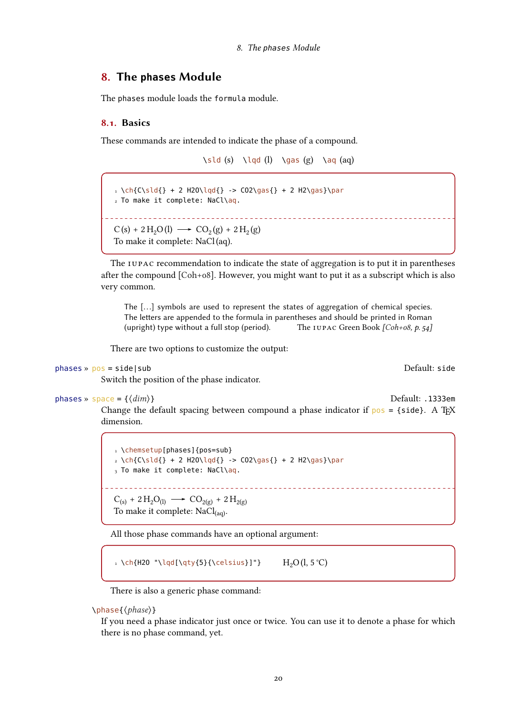### <span id="page-19-0"></span>8. The **phases** Module

The phases module loads the formula module.

#### <span id="page-19-1"></span>8.1. Basics

These commands are intended to indicate the phase of a compound.

\sld (s) \lqd (l) \gas (g) \aq (aq)

```
_1 \ch{C\sl{} + 2 H20\lg{} \rightarrow CO2\gas{} + 2 H2\gas}\bar{}2 To make it complete: NaCl\aq.
           C(s) + 2H_2O(l) \longrightarrow CO_2(g) + 2H_2(g)To make it complete: NaCl(aq).
```
The IUPAC recommendation to indicate the state of aggregation is to put it in parentheses after the compound [\[Coh+08\]](#page-71-2). However, you might want to put it as a subscript which is also very common.

The [...] symbols are used to represent the states of aggregation of chemical species. The letters are appended to the formula in parentheses and should be printed in Roman (upright) type without a full stop (period). The IUPAC Green Book  $[Coh+o8, p. 54]$ 

There are two options to customize the output:

```
phases » pos = side|sub Default: side
```
Switch the position of the phase indicator.

```
phases » space = {\{dim\}} .1333em
```
Change the default spacing between compound a phase indicator if  $pos = {side}$ . A T<sub>E</sub>X dimension.

1 \chemsetup[phases]{pos=sub}  $_2 \ch{C\sl{} + 2 H20\ld{} \rightarrow CO2\gas{} + 2 H2\gas}\bar{}$  $_3$  To make it complete: NaCl\aq.  $C_{(s)}$  + 2  $H_2O_{(l)} \longrightarrow CO_{2(g)}$  + 2  $H_{2(g)}$ 

To make it complete:  $NaCl<sub>(aa)</sub>$ .

All those phase commands have an optional argument:

1 \ch{H2O "\lqd[\qty{5}{\celsius}]"}  $H_2O(l, 5^{\circ}C)$ 

There is also a generic phase command:

\phase{⟨phase⟩}

If you need a phase indicator just once or twice. You can use it to denote a phase for which there is no phase command, yet.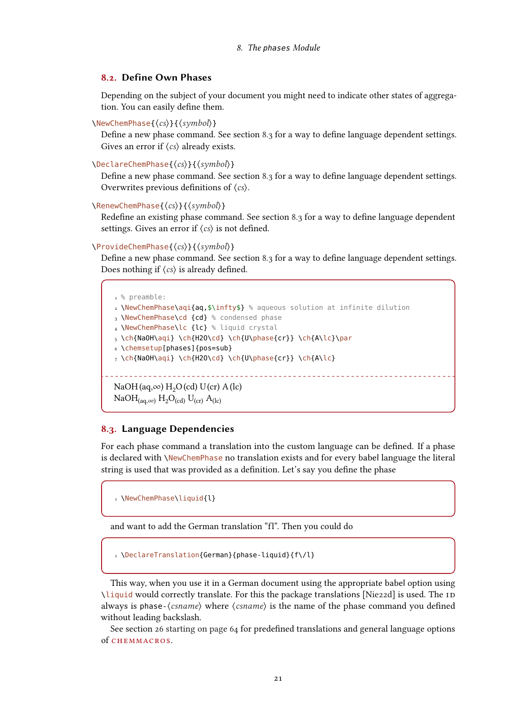#### <span id="page-20-0"></span>8.2. Define Own Phases

Depending on the subject of your document you might need to indicate other states of aggregation. You can easily define them.

\NewChemPhase{⟨cs⟩}{⟨symbol⟩}

Define a new phase command. See section [8.3](#page-20-1) for a way to define language dependent settings. Gives an error if  $\langle cs \rangle$  already exists.

#### \DeclareChemPhase{⟨cs⟩}{⟨symbol⟩}

Define a new phase command. See section [8.3](#page-20-1) for a way to define language dependent settings. Overwrites previous definitions of ⟨cs⟩.

#### \RenewChemPhase{⟨cs⟩}{⟨symbol⟩}

Redefine an existing phase command. See section [8.3](#page-20-1) for a way to define language dependent settings. Gives an error if  $\langle cs \rangle$  is not defined.

#### \ProvideChemPhase{⟨cs⟩}{⟨symbol⟩}

Define a new phase command. See section [8.3](#page-20-1) for a way to define language dependent settings. Does nothing if  $\langle cs \rangle$  is already defined.

```
1 % preamble:
2 \NewChemPhase\aqi{aq,$\infty$} % aqueous solution at infinite dilution
3 \NewChemPhase\cd {cd} % condensed phase
4 \NewChemPhase\lc {lc} % liquid crystal
5 \ch{NaOH\aqi} \ch{H2O\cd} \ch{U\phase{cr}} \ch{A\lc}\par
6 \chemsetup[phases]{pos=sub}
7 \ch{NaOH\aqi} \ch{H2O\cd} \ch{U\phase{cr}} \ch{A\lc}
                                    ___________________________________
NaOH(aq,\infty) H<sub>2</sub>O(cd) U(cr) A(lc)
NaOH_{(aq,\infty)} H<sub>2</sub>O<sub>(cd)</sub> U<sub>(cr)</sub> A<sub>(lc)</sub>
```
#### <span id="page-20-1"></span>8.3. Language Dependencies

For each phase command a translation into the custom language can be defined. If a phase is declared with \NewChemPhase no translation exists and for every babel language the literal string is used that was provided as a definition. Let's say you define the phase

1 \NewChemPhase\liquid{l}

and want to add the German translation "fl". Then you could do

1 \DeclareTranslation{German}{phase-liquid}{f\/l}

This way, when you use it in a German document using the appropriate babel option using \liquid would correctly translate. For this the package translations [\[Nie22d\]](#page-71-5) is used. The ID always is phase- $\langle$ *csname* $\rangle$  where  $\langle$ *csname* $\rangle$  is the name of the phase command you defined without leading backslash.

See section [26 starting on page 64](#page-63-1) for predefined translations and general language options of chemmacros.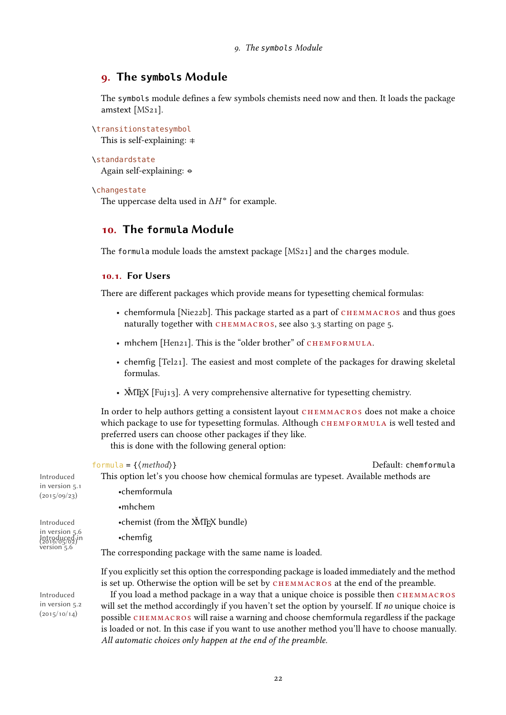## <span id="page-21-0"></span>9. The **symbols** Module

The symbols module defines a few symbols chemists need now and then. It loads the package amstext [MS<sub>21</sub>].

\transitionstatesymbol

This is self-explaining:  $\pm$ 

```
\standardstate
```
Again self-explaining: ↔

#### \changestate

The uppercase delta used in  $\Delta H^{\bullet}$  for example.

## <span id="page-21-1"></span>10. The **formula** Module

The formula module loads the amstext package [\[MS21\]](#page-71-6) and the charges module.

### <span id="page-21-2"></span>10.1. For Users

There are different packages which provide means for typesetting chemical formulas:

- chemformula [\[Nie22b\]](#page-71-0). This package started as a part of CHEMMACROS and thus goes naturally together with CHEMMACROS, see also [3.3 starting on page 5.](#page-4-0)
- mhchem [\[Hen21\]](#page-71-1). This is the "older brother" of CHEMFORMULA.
- chemfig [\[Tel21\]](#page-72-0). The easiest and most complete of the packages for drawing skeletal formulas.
- $\text{MTrX}$  [\[Fuj13\]](#page-71-7). A very comprehensive alternative for typesetting chemistry.

In order to help authors getting a consistent layout CHEMMACROS does not make a choice which package to use for typesetting formulas. Although CHEMFORMULA is well tested and preferred users can choose other packages if they like.

this is done with the following general option:

|                                                                              | formula = $\{\langle \text{method} \rangle\}$<br>Default: chemformula                                                                                                                       |
|------------------------------------------------------------------------------|---------------------------------------------------------------------------------------------------------------------------------------------------------------------------------------------|
| Introduced<br>in version 5.1<br>(2015/09/23)                                 | This option let's you choose how chemical formulas are typeset. Available methods are                                                                                                       |
|                                                                              | •chemformula                                                                                                                                                                                |
|                                                                              | $\cdot$ mhchem                                                                                                                                                                              |
| Introduced<br>in version 5.6<br>Introduced in<br>(2016/05/02)<br>version 5.6 | •chemist (from the XMT <sub>F</sub> X bundle)                                                                                                                                               |
|                                                                              | $\cdot$ chemfig                                                                                                                                                                             |
|                                                                              | The corresponding package with the same name is loaded.                                                                                                                                     |
| Introduced<br>in version 5.2<br>(2015/10/14)                                 | If you explicitly set this option the corresponding package is loaded immediately and the method<br>is set up. Otherwise the option will be set by CHEMMACROS at the end of the preamble.   |
|                                                                              | If you load a method package in a way that a unique choice is possible then CHEMMACROS<br>will set the method accordingly if you haven't set the option by yourself. If no unique choice is |
|                                                                              | possible CHEMMACROS will raise a warning and choose chemformula regardless if the package                                                                                                   |
|                                                                              | is loaded or not. In this case if you want to use another method you'll have to choose manually.                                                                                            |

All automatic choices only happen at the end of the preamble.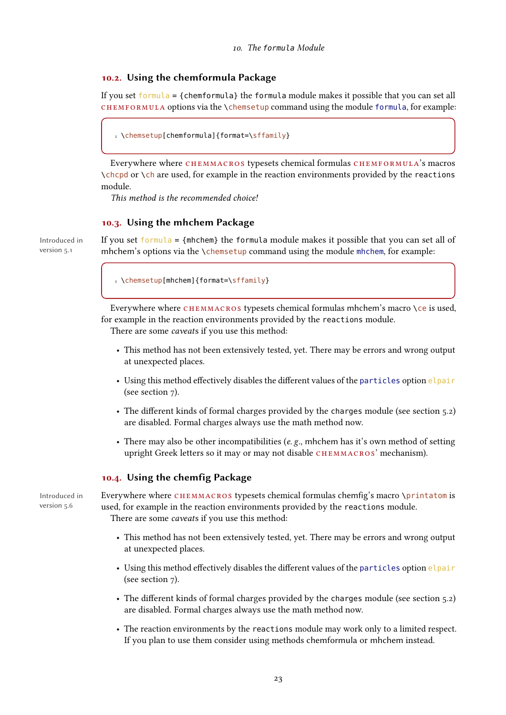#### <span id="page-22-0"></span>10.2. Using the chemformula Package

If you set formula <sup>=</sup> {chemformula} the formula module makes it possible that you can set all  $CHEMFORMULA$  options via the \chemsetup command using the module formula, for example:

```
1 \chemsetup[chemformula]{format=\sffamily}
```
Everywhere where CHEMMACROS typesets chemical formulas CHEMFORMULA's macros \chcpd or \ch are used, for example in the reaction environments provided by the reactions module.

This method is the recommended choice!

#### <span id="page-22-1"></span>10.3. Using the mhchem Package

Introduced in version 5.1

If you set formula =  ${m \choose 2}$  the formula module makes it possible that you can set all of mhchem's options via the \chemsetup command using the module mhchem, for example:

1 \chemsetup[mhchem]{format=\sffamily}

Everywhere where CHEMMACROS typesets chemical formulas mhchem's macro \ce is used, for example in the reaction environments provided by the reactions module.

There are some caveats if you use this method:

- This method has not been extensively tested, yet. There may be errors and wrong output at unexpected places.
- Using this method effectively disables the different values of the particles option elpair (see section [7\)](#page-17-0).
- The different kinds of formal charges provided by the charges module (see section [5.2\)](#page-7-2) are disabled. Formal charges always use the math method now.
- There may also be other incompatibilities ( $e$ ,  $g$ ., mhchem has it's own method of setting upright Greek letters so it may or may not disable CHEMMACROS' mechanism).

#### <span id="page-22-2"></span>10.4. Using the chemfig Package

Introduced in version 5.6

Everywhere where CHEMMACROS typesets chemical formulas chemfig's macro \printatom is used, for example in the reaction environments provided by the reactions module. There are some caveats if you use this method:

- This method has not been extensively tested, yet. There may be errors and wrong output at unexpected places.
- Using this method effectively disables the different values of the particles option elpair (see section [7\)](#page-17-0).
- The different kinds of formal charges provided by the charges module (see section [5.2\)](#page-7-2) are disabled. Formal charges always use the math method now.
- The reaction environments by the reactions module may work only to a limited respect. If you plan to use them consider using methods chemformula or mhchem instead.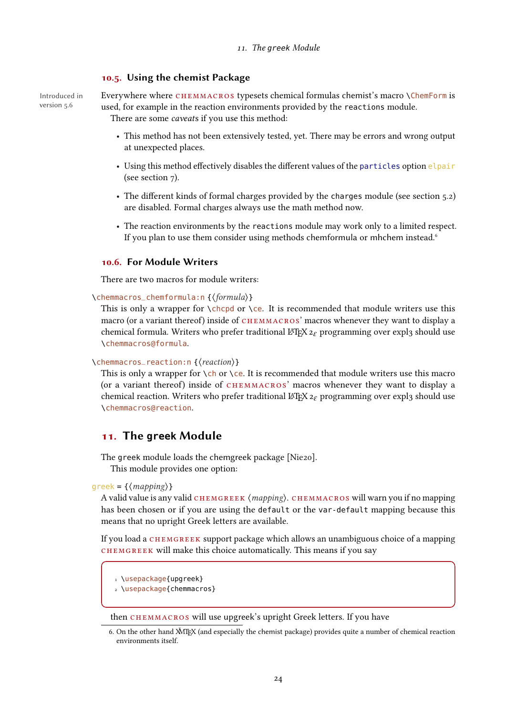#### <span id="page-23-0"></span>10.5. Using the chemist Package

Introduced in version 5.6

Everywhere where chemmacros typesets chemical formulas chemist's macro \ChemForm is used, for example in the reaction environments provided by the reactions module. There are some caveats if you use this method:

- This method has not been extensively tested, yet. There may be errors and wrong output at unexpected places.
- Using this method effectively disables the different values of the particles option elpair (see section [7\)](#page-17-0).
- The different kinds of formal charges provided by the charges module (see section [5.2\)](#page-7-2) are disabled. Formal charges always use the math method now.
- The reaction environments by the reactions module may work only to a limited respect. If you plan to use them consider using methods chemformula or mhchem instead.<sup>6</sup>

#### <span id="page-23-1"></span>10.6. For Module Writers

There are two macros for module writers:

\chemmacros\_chemformula:n {⟨formula⟩}

This is only a wrapper for  $\Lambda$ chcpd or  $\Lambda$ ce. It is recommended that module writers use this macro (or a variant thereof) inside of CHEMMACROS' macros whenever they want to display a chemical formula. Writers who prefer traditional LAT<sub>E</sub>X  $2\varepsilon$  programming over expl3 should use \chemmacros@formula.

#### \chemmacros\_reaction:n {⟨reaction⟩}

This is only a wrapper for  $\cosh$  or  $\cosh$ . It is recommended that module writers use this macro (or a variant thereof) inside of CHEMMACROS' macros whenever they want to display a chemical reaction. Writers who prefer traditional  $\mathbb{E} T_F X z_F$  programming over expl3 should use \chemmacros@reaction.

### <span id="page-23-2"></span>11. The **greek** Module

The greek module loads the chemgreek package [\[Nie20\]](#page-71-8).

This module provides one option:

 $g$ reek = { $\langle mapping \rangle$ }

A valid value is any valid CHEMGREEK  $\langle mapping \rangle$ . CHEMMACROS will warn you if no mapping has been chosen or if you are using the default or the var-default mapping because this means that no upright Greek letters are available.

If you load a CHEMGREEK support package which allows an unambiguous choice of a mapping chemgreek will make this choice automatically. This means if you say

1 \usepackage{upgreek}

2 \usepackage{chemmacros}

then CHEMMACROS will use upgreek's upright Greek letters. If you have

<span id="page-23-3"></span><sup>6.</sup> On the other hand  $\check{M}I$ FX (and especially the chemist package) provides quite a number of chemical reaction environments itself.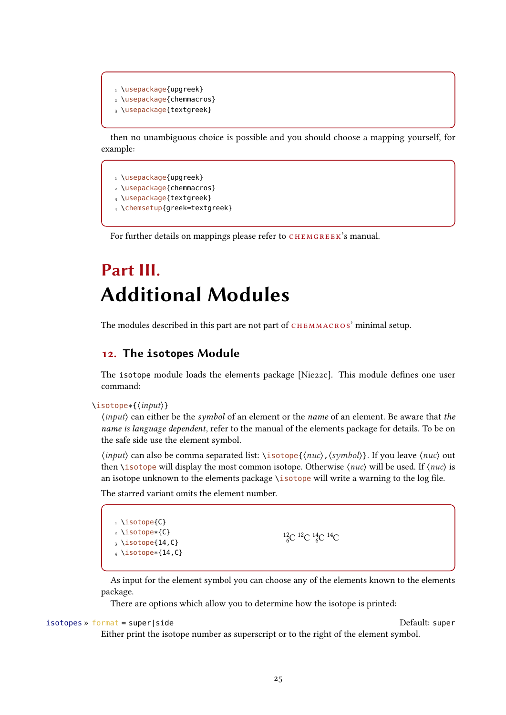```
1 \usepackage{upgreek}
2 \usepackage{chemmacros}
3 \usepackage{textgreek}
```
then no unambiguous choice is possible and you should choose a mapping yourself, for example:

1 \usepackage{upgreek} \usepackage{chemmacros} \usepackage{textgreek} \chemsetup{greek=textgreek}

For further details on mappings please refer to CHEMGREEK's manual.

## <span id="page-24-0"></span>Part III. Additional Modules

The modules described in this part are not part of CHEMMACROS' minimal setup.

## <span id="page-24-1"></span>12. The **isotopes** Module

The isotope module loads the elements package [\[Nie22c\]](#page-71-9). This module defines one user command:

```
\isotope*{⟨input⟩}
```
⟨input⟩ can either be the symbol of an element or the name of an element. Be aware that the name is language dependent, refer to the manual of the elements package for details. To be on the safe side use the element symbol.

⟨input⟩ can also be comma separated list: \isotope{⟨nuc⟩,⟨symbol⟩}. If you leave ⟨nuc⟩ out then \isotope will display the most common isotope. Otherwise  $\langle nuc \rangle$  will be used. If  $\langle nuc \rangle$  is an isotope unknown to the elements package \isotope will write a warning to the log file.

The starred variant omits the element number.

1 \isotope{C} <sup>2</sup> \isotope\*{C}  $_3 \setminus$ isotope{14,C}  $4 \text{ isotope*} \{14, C\}$ 

```
^{12}_{6}C ^{12}C ^{14}_{6}C ^{14}C
```
As input for the element symbol you can choose any of the elements known to the elements package.

There are options which allow you to determine how the isotope is printed:

```
isotopes » format = super|side Default: super
```
Either print the isotope number as superscript or to the right of the element symbol.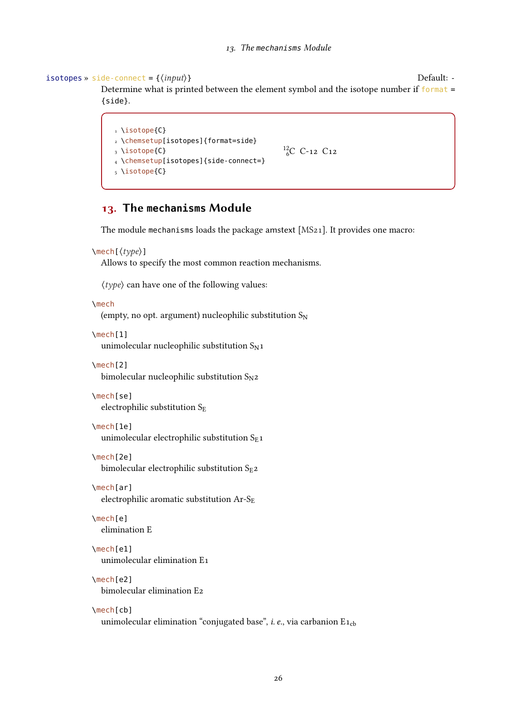#### $isotopes \rightarrow side-connected = {\langle input \rangle}$

Determine what is printed between the element symbol and the isotope number if format <sup>=</sup> {side}.

```
1 \isotope{C}
2 \chemsetup[isotopes]{format=side}
3 \isotope{C}
4 \chemsetup[isotopes]{side-connect=}
5 \isotope{C}
                                             ^{12}_{6}C C-12 C12
```
## <span id="page-25-0"></span>13. The **mechanisms** Module

The module mechanisms loads the package amstext [\[MS21\]](#page-71-6). It provides one macro:

```
\mech[⟨type⟩]
```
Allows to specify the most common reaction mechanisms.

⟨type⟩ can have one of the following values:

\mech

(empty, no opt. argument) nucleophilic substitution  $S_N$ 

\mech[1]

unimolecular nucleophilic substitution  $S_N1$ 

\mech[2]

bimolecular nucleophilic substitution  $S_{N^2}$ 

\mech[se]

electrophilic substitution  $S_E$ 

\mech[1e]

unimolecular electrophilic substitution  $S_{E}1$ 

\mech[2e]

bimolecular electrophilic substitution  $S_{E2}$ 

\mech[ar]

electrophilic aromatic substitution  $Ar-S<sub>E</sub>$ 

\mech[e] elimination E

\mech[e1]

unimolecular elimination E1

#### \mech[e2]

bimolecular elimination E2

#### \mech[cb]

unimolecular elimination "conjugated base", *i. e.*, via carbanion  $E_{1cb}$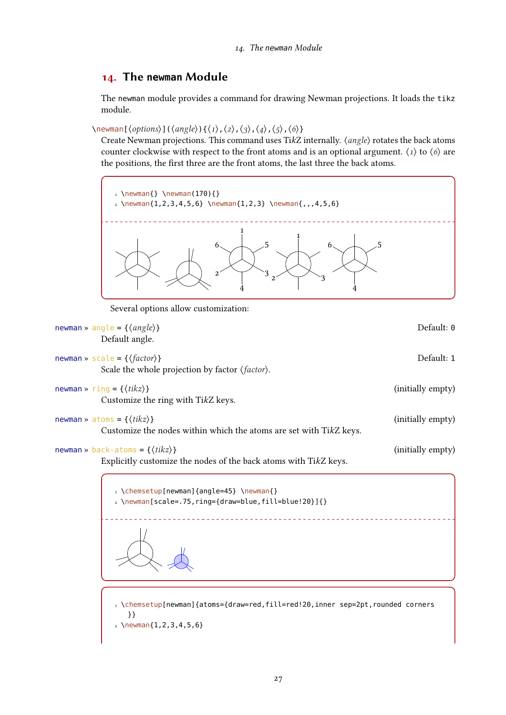## <span id="page-26-0"></span>14. The **newman** Module

The newman module provides a command for drawing Newman projections. It loads the tikz module.

 $\text{Nnewman}(\text{options})\,(\text{angle})\,(\{1\},\{2\},\{3\},\{4\},\{5\},\{6\})$ 

Create Newman projections. This command uses TikZ internally.  $\langle angle \rangle$  rotates the back atoms counter clockwise with respect to the front atoms and is an optional argument.  $\langle 1 \rangle$  to  $\langle 6 \rangle$  are the positions, the first three are the front atoms, the last three the back atoms.



Several options allow customization:

| newman » angle = { $\langle angle \rangle$ }<br>Default angle.                                                       | Default: 0        |
|----------------------------------------------------------------------------------------------------------------------|-------------------|
| newman » scale = $\{\langle factor \rangle\}$<br>Scale the whole projection by factor $\langle factor \rangle$ .     | Default: 1        |
| newman » ring = { $\langle tikz \rangle$ }<br>Customize the ring with TikZ keys.                                     | (initially empty) |
| newman » atoms = $\{\langle tikz \rangle\}$<br>Customize the nodes within which the atoms are set with TikZ keys.    | (initially empty) |
| newman » back-atoms = $\{\langle tikz \rangle\}$<br>Explicitly customize the nodes of the back atoms with TikZ keys. | (initially empty) |
| 1 \chemsetup[newman]{angle=45} \newman{}<br>$_2 \n\text{newman}$ [scale=.75, ring={draw=blue, fill=blue!20}] { }     |                   |

$$
\Delta
$$

1 \chemsetup[newman]{atoms={draw=red,fill=red!20,inner sep=2pt,rounded corners }}

 $2 \text{newman}\{1, 2, 3, 4, 5, 6\}$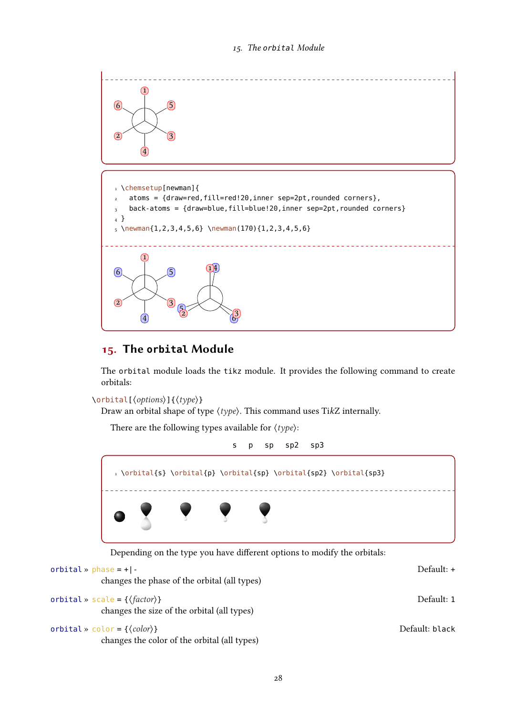

## <span id="page-27-0"></span>15. The **orbital** Module

The orbital module loads the tikz module. It provides the following command to create orbitals:

```
\orbital[⟨options⟩]{⟨type⟩}
```
Draw an orbital shape of type  $\langle type \rangle$ . This command uses TikZ internally.

There are the following types available for  $\langle \text{type} \rangle$ :



| orbital » $phase = +$  -<br>changes the phase of the orbital (all types)                      | Default: +     |
|-----------------------------------------------------------------------------------------------|----------------|
| orbital » scale = { $\{factor\}$ }<br>changes the size of the orbital (all types)             | Default: 1     |
| orbital » color = { $\langle color \rangle$ }<br>changes the color of the orbital (all types) | Default: black |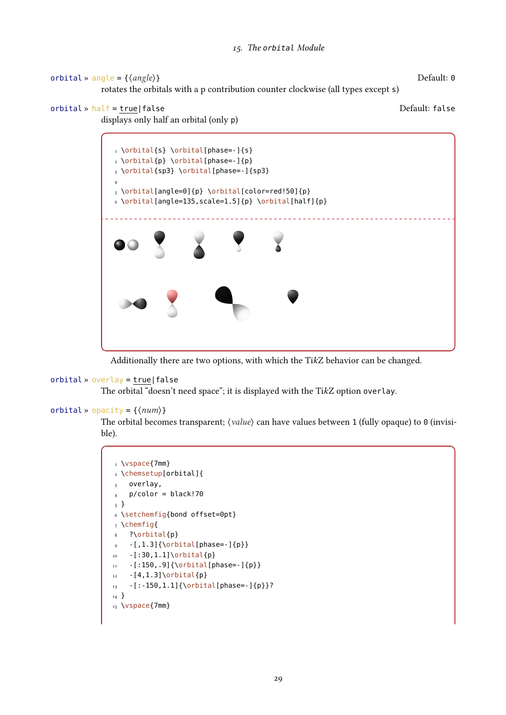```
orbital » angle = {⟨angle⟩} Default: 0
```
rotates the orbitals with a p contribution counter clockwise (all types except <sup>s</sup>)

orbital » half = true|false Default: false





Additionally there are two options, with which the TikZ behavior can be changed.

```
orbital » overlay = true|false
```
The orbital "doesn't need space"; it is displayed with the TikZ option overlay.

```
orbital » opacity = {\langle num \rangle}
```
The orbital becomes transparent;  $\langle value \rangle$  can have values between 1 (fully opaque) to 0 (invisible).

```
1 \vspace{7mm}
2 \chemsetup[orbital]{
3 overlay,
4 p/color = black!70
5 }
6 \setchemfig{bond offset=0pt}
7 \chemfig{
8 ?\orbital{p}
  -[1.3]{\orbital[phase=]}_{10} -[:30,1.1]\orbital{p}
11 - [150, .9]{\orbital[phase=-]{p}}
12 -[4,1.3]\orbital{p}
13 -[:-150,1.1]{\orbital[phase=-]{p}}?
14 }
15 \vspace{7mm}
```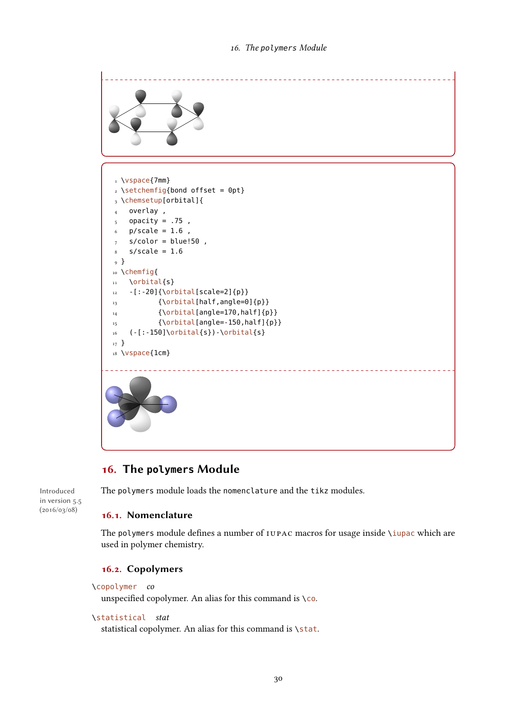

## <span id="page-29-0"></span>16. The **polymers** Module

Introduced in version 5.5 (2016/03/08)

The polymers module loads the nomenclature and the tikz modules.

### <span id="page-29-1"></span>16.1. Nomenclature

The polymers module defines a number of IUPAC macros for usage inside \iupac which are used in polymer chemistry.

## <span id="page-29-2"></span>16.2. Copolymers

```
\copolymer co
```
unspecified copolymer. An alias for this command is  $\setminus$  co.

#### \statistical stat

statistical copolymer. An alias for this command is \stat.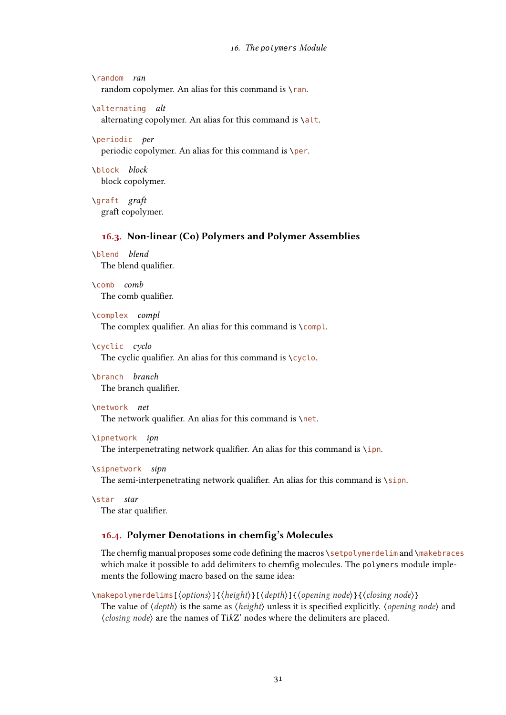```
\random ran
  random copolymer. An alias for this command is \text{ran}.
```

```
\alternating alt
```
alternating copolymer. An alias for this command is \alt.

\periodic per

periodic copolymer. An alias for this command is \per.

\block block block copolymer.

\graft graft graft copolymer.

#### <span id="page-30-0"></span>16.3. Non-linear (Co) Polymers and Polymer Assemblies

\blend blend The blend qualifier.

\comb comb The comb qualifier.

\complex compl The complex qualifier. An alias for this command is  $\complement$  compl.

\cyclic cyclo The cyclic qualifier. An alias for this command is  $\csc$ 

\branch branch The branch qualifier.

#### \network net

The network qualifier. An alias for this command is  $\net$ .

```
\ipnetwork ipn
```
The interpenetrating network qualifier. An alias for this command is  $\iota$ pn.

```
\sipnetwork sipn
```
The semi-interpenetrating network qualifier. An alias for this command is \sipn.

```
\star star
  The star qualifier.
```
#### <span id="page-30-1"></span>16.4. Polymer Denotations in chemfig's Molecules

The chemfig manual proposes some code defining the macros \setpolymerdelim and \makebraces which make it possible to add delimiters to chemfig molecules. The polymers module implements the following macro based on the same idea:

\makepolymerdelims[⟨options⟩]{⟨height⟩}[⟨depth⟩]{⟨opening node⟩}{⟨closing node⟩} The value of  $\langle \text{depth} \rangle$  is the same as  $\langle \text{height} \rangle$  unless it is specified explicitly.  $\langle \text{opening node} \rangle$  and ⟨closing node⟩ are the names of TikZ' nodes where the delimiters are placed.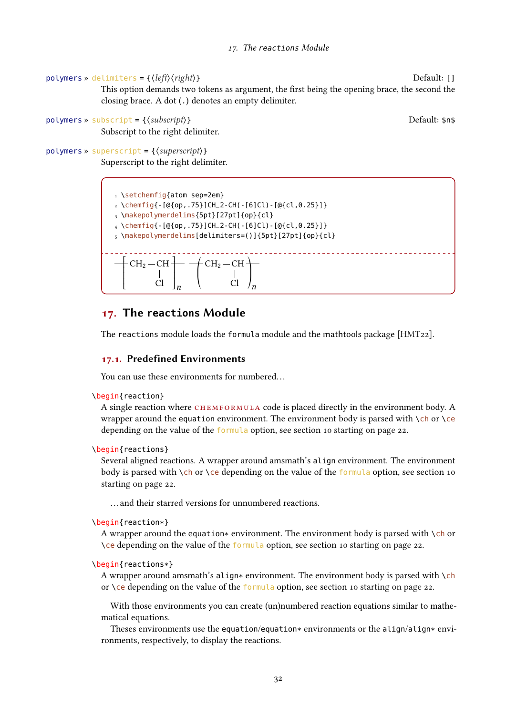#### polymers » delimiters = { $\langle left \rangle \langle right \rangle$ }

This option demands two tokens as argument, the first being the opening brace, the second the closing brace. A dot (.) denotes an empty delimiter.

```
polymers » subscript = {\langlesubscript}}
```
Subscript to the right delimiter.

```
polymers » superscript = \{\langle superscript\rangle\}Superscript to the right delimiter.
```

```
1 \setchemfig{atom sep=2em}
2 \ \left\{ \text{chemfig} \{-[@{op, .75}\}CHL2-CH(-[6]C1)-[@{cl, 0.25}\] \right\}3 \makepolymerdelims{5pt}[27pt]{op}{cl}
_4 \ \dot{\text{chemical}} - [@{op, .75}]CH_2-CH(-[6]Cl) - [@{cl, 0.25}]]5 \makepolymerdelims[delimiters=()]{5pt}[27pt]{op}{cl}
     -CH<sub>2</sub> - CH<sub>2</sub>\frac{1}{C}t
   I
   I
   I
   \mathsf{L}\overline{a}┪
                       I
                       \mathbf{I}l
                       \overline{1}\frac{1}{n}{\rm \neq CH}_{2}-{\rm CH} -
                                              Cl
                                 ©
                                 l
                                 «
                                                     ª
                                                     ®
                                                     \frac{1}{n}
```
## <span id="page-31-0"></span>17. The **reactions** Module

The reactions module loads the formula module and the mathtools package [\[HMT22\]](#page-71-10).

#### <span id="page-31-1"></span>17.1. Predefined Environments

You can use these environments for numbered...

```
\begin{reaction}
```
A single reaction where CHEMFORMULA code is placed directly in the environment body. A wrapper around the equation environment. The environment body is parsed with  $\cdot$ ch or  $\cdot$ ce depending on the value of the formula option, see section [10 starting on page 22.](#page-21-1)

```
\begin{reactions}
```
Several aligned reactions. A wrapper around amsmath's align environment. The environment body is parsed with  $\ch$  or  $\ce$  depending on the value of the formula option, see section [10](#page-21-1) [starting on page 22.](#page-21-1)

. . . and their starred versions for unnumbered reactions.

```
\begin{reaction*}
```
A wrapper around the equation\* environment. The environment body is parsed with  $\chi$ ch or \ce depending on the value of the formula option, see section [10 starting on page 22.](#page-21-1)

```
\begin{reactions*}
```
A wrapper around amsmath's align\* environment. The environment body is parsed with  $\chi$ ch or \ce depending on the value of the formula option, see section [10 starting on page 22.](#page-21-1)

With those environments you can create (un)numbered reaction equations similar to mathematical equations.

Theses environments use the equation/equation\* environments or the align/align\* environments, respectively, to display the reactions.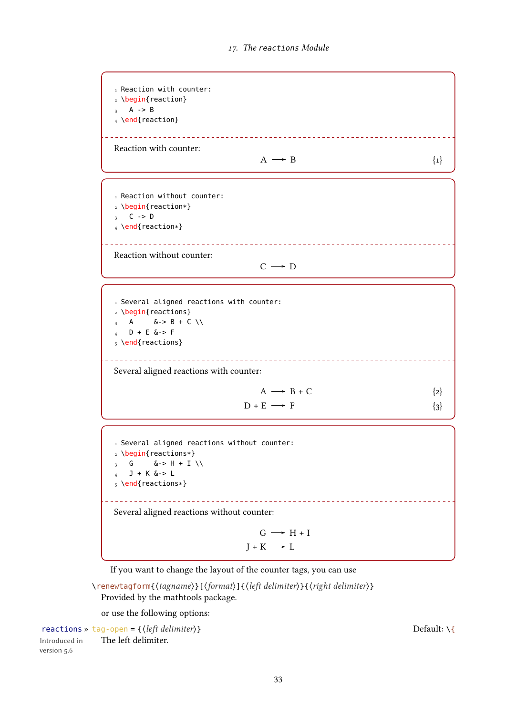<span id="page-32-0"></span>1 Reaction with counter: 2 \begin{reaction}  $3 \text{ A} \rightarrow \text{B}$ 4 \end{reaction} <u>\_\_\_\_\_\_\_\_\_\_\_\_\_\_\_\_\_\_\_</u> Reaction with counter:  $A \longrightarrow B$  {1} 1 Reaction without counter: <sup>2</sup> \begin{reaction\*}  $3 \quad C \rightarrow D$ <sup>4</sup> \end{reaction\*} <u>. . . . . . . . . . . . . . . . . . .</u> Reaction without counter:  $C \rightarrow D$ 1 Several aligned reactions with counter: 2 \begin{reactions} 3 A  $\> B + C \vee$  $D + E$  &-> F 5 \end{reactions} \_\_\_\_\_\_\_\_\_\_\_\_\_\_\_\_\_ Several aligned reactions with counter:  $A \longrightarrow B + C$  {2}  $D + E \longrightarrow F$  {3} 1 Several aligned reactions without counter:  $\begin{array}{c} \n\text{2} \left\{ \text{reactions} * \right\} \\
\text{3} \quad \text{6} \quad \text{6} > \text{H} + \text{I}\n\end{array}$  $> H + I \ \setminus \$ 4 J + K &-> L <sup>5</sup> \end{reactions\*} \_\_\_\_\_\_\_\_\_\_\_\_\_ Several aligned reactions without counter:  $G \longrightarrow H + I$ 

If you want to change the layout of the counter tags, you can use

\renewtagform{⟨tagname⟩}[⟨format⟩]{⟨left delimiter⟩}{⟨right delimiter⟩} Provided by the mathtools package.

or use the following options:

reactions » tag-open = { $\{left\{left\{left\{delt\right| dell\right\}}\right\}$ The left delimiter.

Introduced in version 5.6

<span id="page-32-2"></span><span id="page-32-1"></span>

 $I + K \longrightarrow L$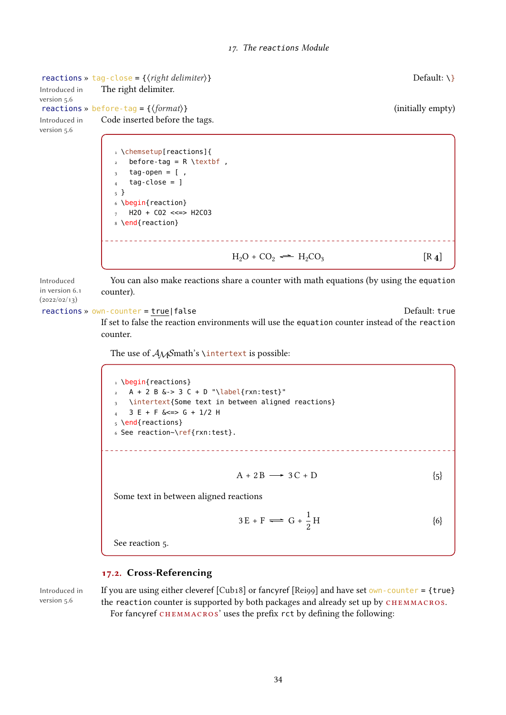reactions » tag-close = { $\{right$ *right delimiter*}} Default: \} The right delimiter. Introduced in version 5.6 reactions » before-tag = { $\{format\}$ } Introduced in Code inserted before the tags. version 5.6 1 \chemsetup[reactions]{ before-tag =  $R \text{textbf}$ ,  $tag-open = [$  $tag-close =$  ] 5 } 6 \begin{reaction}  $7$  H2O + CO2 <<=> H2CO3 8 \end{reaction}  $H_2O + CO_2 \rightleftharpoons H_2CO_3$  $[R_4]$ 

Introduced in version 6.1  $(2022/02/13)$ You can also make reactions share a counter with math equations (by using the equation counter).

#### reactions » own-counter = true|false content = true content = true Default: true

<span id="page-33-2"></span>If set to false the reaction environments will use the equation counter instead of the reaction counter.

The use of  $A_{\mathcal{M}}$ Smath's \intertext is possible:

1 \begin{reactions}  $2 A + 2 B & -3 C + D$  "\label{rxn:test}" \intertext{Some text in between aligned reactions}  $3 E + F <= > G + 1/2 H$ 5 \end{reactions} 6 See reaction~\ref{rxn:test}.  $A + 2B \longrightarrow 3C + D$  {5} Some text in between aligned reactions  $3E + F \rightleftharpoons G + \frac{1}{2}$  $H$   $\{6\}$  $\overline{2}$ 

<span id="page-33-3"></span><span id="page-33-1"></span>See reaction [5.](#page-33-1)

#### <span id="page-33-0"></span>17.2. Cross-Referencing

Introduced in version 5.6

If you are using either cleveref  $\lceil \text{Cub18} \rceil$  or fancyref  $\lceil \text{Reig9} \rceil$  and have set own-counter = {true} the reaction counter is supported by both packages and already set up by CHEMMACROS. For fancyref CHEMMACROS' uses the prefix rct by defining the following: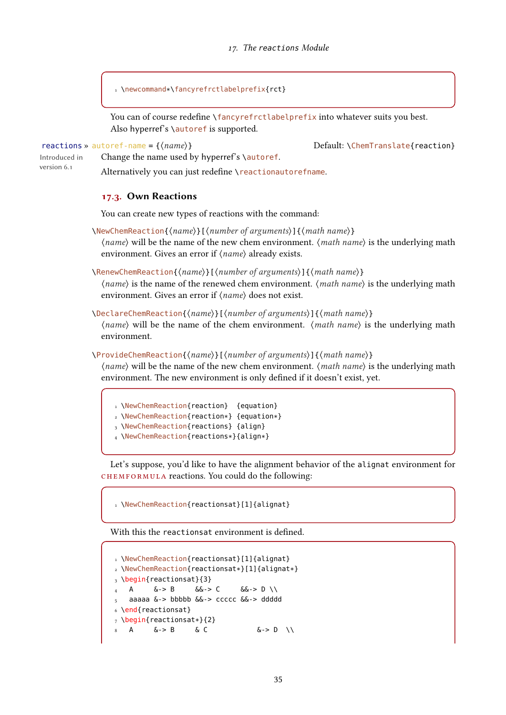17. The reactions Module

1 \newcommand\*\fancyrefrctlabelprefix{rct}

Change the name used by hyperref's \autoref.

You can of course redefine \fancyrefrctlabelprefix into whatever suits you best. Also hyperref's \autoref is supported.

reactions »  $\text{autoref-name} = \{(name)\}$   $\qquad \qquad \text{Default: \text{VChemTranslate} {reaction} \}$ 

Introduced in version 6.1

Alternatively you can just redefine \reactionautorefname.

#### <span id="page-34-0"></span>17.3. Own Reactions

You can create new types of reactions with the command:

\NewChemReaction{⟨name⟩}[⟨number of arguments⟩]{⟨math name⟩} ⟨name⟩ will be the name of the new chem environment. ⟨math name⟩ is the underlying math environment. Gives an error if  $\langle name \rangle$  already exists.

\RenewChemReaction{⟨name⟩}[⟨number of arguments⟩]{⟨math name⟩}

⟨name⟩ is the name of the renewed chem environment. ⟨math name⟩ is the underlying math environment. Gives an error if ⟨name⟩ does not exist.

\DeclareChemReaction{⟨name⟩}[⟨number of arguments⟩]{⟨math name⟩}

 $\langle name \rangle$  will be the name of the chem environment.  $\langle math \ name \rangle$  is the underlying math environment.

\ProvideChemReaction{⟨name⟩}[⟨number of arguments⟩]{⟨math name⟩}

⟨name⟩ will be the name of the new chem environment. ⟨math name⟩ is the underlying math environment. The new environment is only defined if it doesn't exist, yet.

```
1 \NewChemReaction{reaction} {equation}
2 \NewChemReaction{reaction*} {equation*}
```
- 
- 3 \NewChemReaction{reactions} {align} <sup>4</sup> \NewChemReaction{reactions\*}{align\*}

Let's suppose, you'd like to have the alignment behavior of the alignat environment for chemformula reactions. You could do the following:

1 \NewChemReaction{reactionsat}[1]{alignat}

With this the reactionsat environment is defined.

```
1 \NewChemReaction{reactionsat}[1]{alignat}
2 \NewChemReaction{reactionsat*}[1]{alignat*}
3 \begin{reactionsat}{3}
  A \quad \&\rightarrow B \quad \&\rightarrow C \quad \&\rightarrow D \ \setminus \5 aaaaa &-> bbbbb &&-> ccccc &&-> ddddd
6 \end{reactionsat}
7 \begin{reactionsat*}{2}
    A \qquad \&\rightarrow B \qquad \&C \qquad \qquad \&\rightarrow D \qquad \vee
```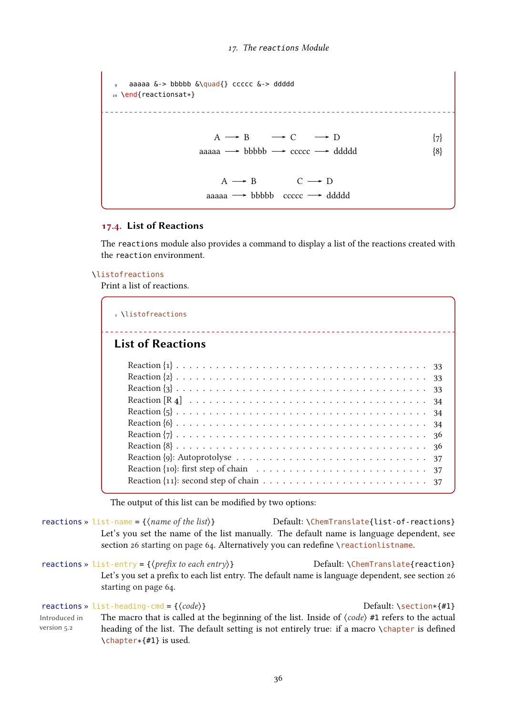```
aaaaa &-> bbbbb &\quad{} ccccc &-> ddddd
10 \end{reactionsat*}
                   A \rightarrow B \longrightarrow C \longrightarrow D {7}
                    aaaaa \rightarrow bbbbb \rightarrow ccccc \rightarrow ddddd \{8\}A \longrightarrow B C \longrightarrow Daaaaa \rightarrow bbbbb ccccc \rightarrow ddddd
```
#### <span id="page-35-0"></span>17.4. List of Reactions

The reactions module also provides a command to display a list of the reactions created with the reaction environment.

#### \listofreactions

Print a list of reactions.

| Listofreactions                  |  |
|----------------------------------|--|
| <b>List of Reactions</b>         |  |
| 33<br>34<br>34<br>34<br>36<br>36 |  |
| 37<br>37<br>-37                  |  |

The output of this list can be modified by two options:

reactions » list-name = { $\langle$ *name of the list*}} Default: \ChemTranslate{list-of-reactions} Let's you set the name of the list manually. The default name is language dependent, see section [26 starting on page 64.](#page-63-1) Alternatively you can redefine \reactionlistname.

reactions » list-entry = { $\langle prefix\ to\ each\ entry\rangle$ } Default: \ChemTranslate{reaction} Let's you set a prefix to each list entry. The default name is language dependent, see section [26](#page-63-1) [starting on page 64.](#page-63-1)

reactions » list-heading-cmd = { $\{code\}$ }  $\qquad \qquad$  Default: \section\*{#1} Introduced in version 5.2 The macro that is called at the beginning of the list. Inside of  $\langle code \rangle$  #1 refers to the actual heading of the list. The default setting is not entirely true: if a macro \chapter is defined \chapter\*{#1} is used.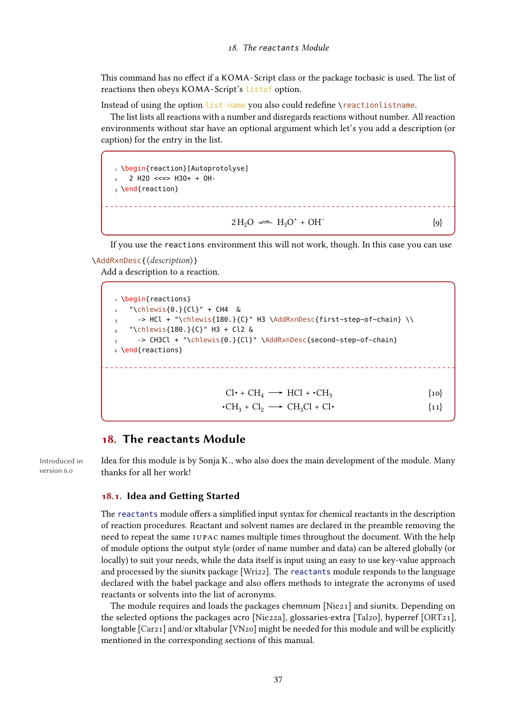This command has no effect if a KOMA - Script class or the package tocbasic is used. The list of reactions then obeys KOMA -Script's listof option.

Instead of using the option list-name you also could redefine \reactionlistname.

The list lists all reactions with a number and disregards reactions without number. All reaction environments without star have an optional argument which let's you add a description (or caption) for the entry in the list.

1 \begin{reaction}[Autoprotolyse] 2 2 H2O <<=> H3O+ + OH- $_3 \text{ }\text{end}\$  reaction }  $2 \text{H}_2\text{O} \rightleftharpoons \text{H}_3\text{O}^+ + \text{OH}^-$ {9}

If you use the reactions environment this will not work, though. In this case you can use

# \AddRxnDesc{⟨description⟩}

Add a description to a reaction.

```
1 \begin{reactions}
   2 "\chlewis{0.}{Cl}" + CH4 &
      -> HCl + "\chlewis{180.}{C}" H3 \AddRxnDesc{first~step~of~chain} \\
    4 "\chlewis{180.}{C}" H3 + Cl2 &
      5 -> CH3Cl + "\chlewis{0.}{Cl}" \AddRxnDesc{second~step~of~chain}
6 \end{reactions}
                                Cl \cdot + CH_4 \longrightarrow HCl + \cdot CH_3{10}\cdotCH<sub>3</sub> + Cl<sub>2</sub> \longrightarrow CH<sub>3</sub>Cl + Cl\cdot {11}
```
# 18. The **reactants** Module

Introduced in version 6.0

Idea for this module is by Sonja K., who also does the main development of the module. Many thanks for all her work!

### 18.1. Idea and Getting Started

The reactants module offers a simplified input syntax for chemical reactants in the description of reaction procedures. Reactant and solvent names are declared in the preamble removing the need to repeat the same IUPAC names multiple times throughout the document. With the help of module options the output style (order of name number and data) can be altered globally (or locally) to suit your needs, while the data itself is input using an easy to use key-value approach and processed by the siunitx package [\[Wri22\]](#page-72-0). The reactants module responds to the language declared with the babel package and also offers methods to integrate the acronyms of used reactants or solvents into the list of acronyms.

The module requires and loads the packages chemnum [\[Nie21\]](#page-71-0) and siunitx. Depending on the selected options the packages acro [\[Nie22a\]](#page-71-1), glossaries-extra [\[Tal20\]](#page-72-1), hyperref [\[ORT21\]](#page-72-2), longtable [\[Car21\]](#page-71-2) and/or xltabular [\[VN20\]](#page-72-3) might be needed for this module and will be explicitly mentioned in the corresponding sections of this manual.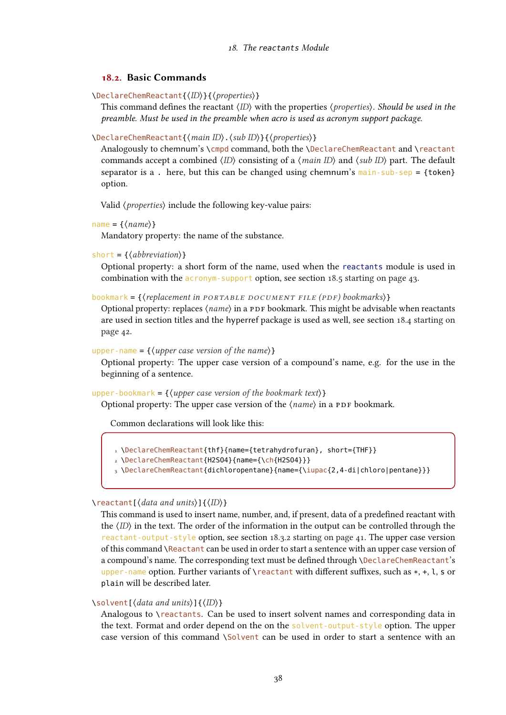## 18.2. Basic Commands

\DeclareChemReactant{⟨ID⟩}{⟨properties⟩}

This command defines the reactant  $\langle D \rangle$  with the properties  $\langle$  properties $\rangle$ . Should be used in the preamble. Must be used in the preamble when acro is used as acronym support package.

\DeclareChemReactant{⟨main ID⟩.⟨sub ID⟩}{⟨properties⟩}

Analogously to chemnum's \cmpd command, both the \DeclareChemReactant and \reactant commands accept a combined  $\langle$ ID $\rangle$  consisting of a  $\langle$ *main ID* $\rangle$  and  $\langle$ *sub ID* $\rangle$  part. The default separator is a. here, but this can be changed using chemnum's  $main$ -sub-sep = {token} option.

Valid ⟨properties⟩ include the following key-value pairs:

```
name = \{\langle name \rangle\}
```
Mandatory property: the name of the substance.

```
short = \{\langle abbreviation \rangle\}
```
Optional property: a short form of the name, used when the reactants module is used in combination with the acronym-support option, see section [18.5 starting on page 43.](#page-42-0)

bookmark =  $\{$ (replacement in PORTABLE DOCUMENT FILE (PDF) bookmarks) }

Optional property: replaces  $\langle name \rangle$  in a PDF bookmark. This might be advisable when reactants are used in section titles and the hyperref package is used as well, see section [18.4 starting on](#page-41-0) [page 42.](#page-41-0)

upper-name =  $\{(upper case version of the name)\}$ 

Optional property: The upper case version of a compound's name, e.g. for the use in the beginning of a sentence.

upper-bookmark =  $\{\langle upper\; case\; version\; of\; the\;bookmark\; text\rangle\}$ 

Optional property: The upper case version of the  $\langle name \rangle$  in a PDF bookmark.

Common declarations will look like this:

```
1 \DeclareChemReactant{thf}{name={tetrahydrofuran}, short={THF}}
```

```
2 \DeclareChemReactant{H2SO4}{name={\ch{H2SO4}}}
```
3 \DeclareChemReactant{dichloropentane}{name={\iupac{2,4-di|chloro|pentane}}}

\reactant[⟨data and units⟩]{⟨ID⟩}

This command is used to insert name, number, and, if present, data of a predefined reactant with the  $\langle \text{ID} \rangle$  in the text. The order of the information in the output can be controlled through the reactant-output-style option, see section [18.3.2 starting on page 41.](#page-40-0) The upper case version of this command \Reactant can be used in order to start a sentence with an upper case version of a compound's name. The corresponding text must be defined through \DeclareChemReactant's upper-name option. Further variants of  $\reactual$  with different suffixes, such as  $*, +, 1, s$  or plain will be described later.

## \solvent[⟨data and units⟩]{⟨ID⟩}

Analogous to \reactants. Can be used to insert solvent names and corresponding data in the text. Format and order depend on the on the solvent-output-style option. The upper case version of this command \Solvent can be used in order to start a sentence with an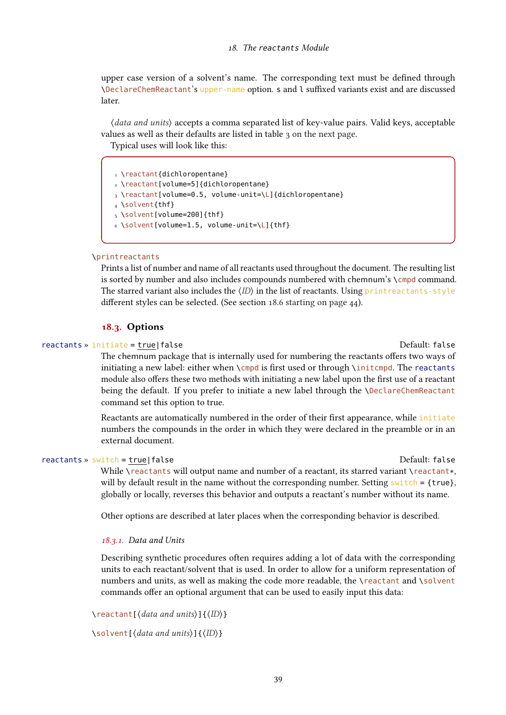upper case version of a solvent's name. The corresponding text must be defined through \DeclareChemReactant's upper-name option. <sup>s</sup> and <sup>l</sup> suffixed variants exist and are discussed later.

⟨data and units⟩ accepts a comma separated list of key-value pairs. Valid keys, acceptable values as well as their defaults are listed in table [3 on the next page.](#page-39-0)

Typical uses will look like this:

```
1 \reactant{dichloropentane}
2 \reactant[volume=5]{dichloropentane}
3 \reactant[volume=0.5, volume-unit=\L]{dichloropentane}
4 \solvent{thf}
5 \solvent[volume=200]{thf}
6 \solvent[volume=1.5, volume-unit=\L]{thf}
```
#### \printreactants

Prints a list of number and name of all reactants used throughout the document. The resulting list is sorted by number and also includes compounds numbered with chemnum's \cmpd command. The starred variant also includes the  $\langle$ ID $\rangle$  in the list of reactants. Using print reactants-style different styles can be selected. (See section [18.6 starting on page 44\)](#page-43-0).

#### 18.3. Options

#### reactants » initiate = true|false Default: false Default: false

The chemnum package that is internally used for numbering the reactants offers two ways of initiating a new label: either when \cmpd is first used or through \initcmpd. The reactants module also offers these two methods with initiating a new label upon the first use of a reactant being the default. If you prefer to initiate a new label through the \DeclareChemReactant command set this option to true.

Reactants are automatically numbered in the order of their first appearance, while initiate numbers the compounds in the order in which they were declared in the preamble or in an external document.

#### reactants » switch = true|false Default: false Default: false

While \reactants will output name and number of a reactant, its starred variant \reactant\*, will by default result in the name without the corresponding number. Setting  $switch = \{true\}$ , globally or locally, reverses this behavior and outputs a reactant's number without its name.

Other options are described at later places when the corresponding behavior is described.

#### 18.3.1. Data and Units

Describing synthetic procedures often requires adding a lot of data with the corresponding units to each reactant/solvent that is used. In order to allow for a uniform representation of numbers and units, as well as making the code more readable, the \reactant and \solvent commands offer an optional argument that can be used to easily input this data:

\reactant[⟨data and units⟩]{⟨ID⟩}

\solvent[⟨data and units⟩]{⟨ID⟩}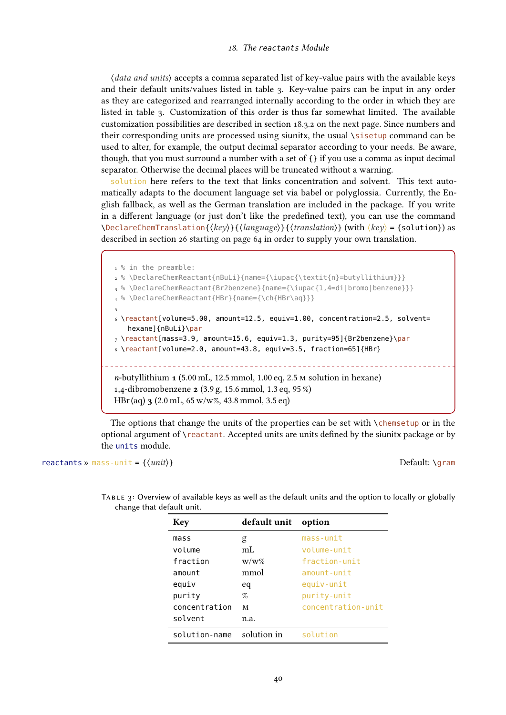#### 18. The reactants Module

⟨data and units⟩ accepts a comma separated list of key-value pairs with the available keys and their default units/values listed in table [3.](#page-39-0) Key-value pairs can be input in any order as they are categorized and rearranged internally according to the order in which they are listed in table [3.](#page-39-0) Customization of this order is thus far somewhat limited. The available customization possibilities are described in section [18.3.2 on the next page.](#page-40-0) Since numbers and their corresponding units are processed using siunitx, the usual \sisetup command can be used to alter, for example, the output decimal separator according to your needs. Be aware, though, that you must surround a number with a set of  $\{\}$  if you use a comma as input decimal separator. Otherwise the decimal places will be truncated without a warning.

solution here refers to the text that links concentration and solvent. This text automatically adapts to the document language set via babel or polyglossia. Currently, the English fallback, as well as the German translation are included in the package. If you write in a different language (or just don't like the predefined text), you can use the command \DeclareChemTranslation{⟨key⟩}{⟨language⟩}{⟨translation⟩} (with ⟨key⟩ <sup>=</sup> {solution}) as described in section [26 starting on page 64](#page-63-0) in order to supply your own translation.

```
1% in the preamble:
2 % \DeclareChemReactant{nBuLi}{name={\iupac{\textit{n}=butyllithium}}}
3 % \DeclareChemReactant{Br2benzene}{name={\iupac{1,4=di|bromo|benzene}}}
4 % \DeclareChemReactant{HBr}{name={\ch{HBr\aq}}}
5
6 \reactant[volume=5.00, amount=12.5, equiv=1.00, concentration=2.5, solvent=
   hexane]{nBuLi}\par
_7 \ \text{Preactant}[mass=3.9, amount=15.6, equiv=1.3, purity=95]{Br2benzene}\par
8 \reactant[volume=2.0, amount=43.8, equiv=3.5, fraction=65]{HBr}
         n-butyllithium 1 (5.00 mL, 12.5 mmol, 1.00 eq, 2.5 m solution in hexane)
1,4-dibromobenzene 2 (3.9 g, 15.6 mmol, 1.3 eq, 95 %)
HBr(aq) 3 (2.0 mL, 65 w/w%, 43.8 mmol, 3.5 eq)
```
The options that change the units of the properties can be set with  $\Lambda$ chemsetup or in the optional argument of \reactant. Accepted units are units defined by the siunitx package or by the units module.

#### reactants » mass-unit =  $\{\langle unit \rangle\}$  Default: \gram

<span id="page-39-0"></span>

| <b>Key</b>    | default unit | option             |
|---------------|--------------|--------------------|
| mass          | g            | mass-unit          |
| volume        | mL           | volume-unit        |
| fraction      | $W/W\%$      | fraction-unit      |
| amount        | mmol         | $amount$ -unit     |
| equiv         | eq           | equiv-unit         |
| purity        | %            | purity-unit        |
| concentration | M            | concentration-unit |
| solvent       | n.a.         |                    |
| solution-name | solution in  | solution           |

Table 3: Overview of available keys as well as the default units and the option to locally or globally change that default unit.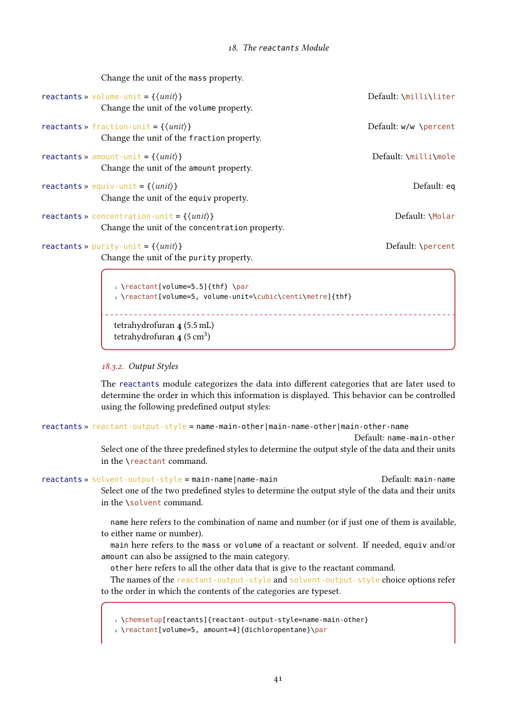| Change the unit of the mass property.                                                           |                       |
|-------------------------------------------------------------------------------------------------|-----------------------|
| reactants » volume-unit = $\{\langle unit \rangle\}$<br>Change the unit of the volume property. | Default: \milli\liter |
|                                                                                                 |                       |
| reactants » fraction-unit = $\{\langle unit \rangle\}$                                          | Default: w/w \percent |
| Change the unit of the fraction property.                                                       |                       |
| reactants » amount-unit = $\{\langle unit \rangle\}$                                            | Default: \milli\mole  |
| Change the unit of the amount property.                                                         |                       |
| reactants » equiv-unit = $\{\langle unit \rangle\}$                                             | Default: eq           |
| Change the unit of the equiv property.                                                          |                       |
| reactants » concentration-unit = $\{\langle unit \rangle\}$                                     | Default: \Molar       |
| Change the unit of the concent ration property.                                                 |                       |
| reactants » purity-unit = $\{\langle unit \rangle\}$                                            | Default: \percent     |
| Change the unit of the purity property.                                                         |                       |
| 1 \reactant[volume=5.5]{thf} \par                                                               |                       |
| 2 \reactant[volume=5, volume-unit=\cubic\centi\metre]{thf}                                      |                       |

tetrahydrofuran 4 (5.5 mL) tetrahydrofuran  $\overline{4}$  (5 cm<sup>3</sup>)

#### <span id="page-40-0"></span>18.3.2. Output Styles

The reactants module categorizes the data into different categories that are later used to determine the order in which this information is displayed. This behavior can be controlled using the following predefined output styles:

```
reաctants » reactor-output-style = name-main-other | main-name-other | main-other | main-other|
```
Default: name-main-other

Select one of the three predefined styles to determine the output style of the data and their units in the \reactant command.

```
reաctants » solvent-output-style = main-name|name-main main main main-name
             Select one of the two predefined styles to determine the output style of the data and their units
             in the \solvent command.
```
name here refers to the combination of name and number (or if just one of them is available, to either name or number).

main here refers to the mass or volume of a reactant or solvent. If needed, equiv and/or amount can also be assigned to the main category.

other here refers to all the other data that is give to the reactant command.

The names of the reactant-output-style and solvent-output-style choice options refer to the order in which the contents of the categories are typeset.

1 \chemsetup[reactants]{reactant-output-style=name-main-other}

2 \reactant[volume=5, amount=4]{dichloropentane}\par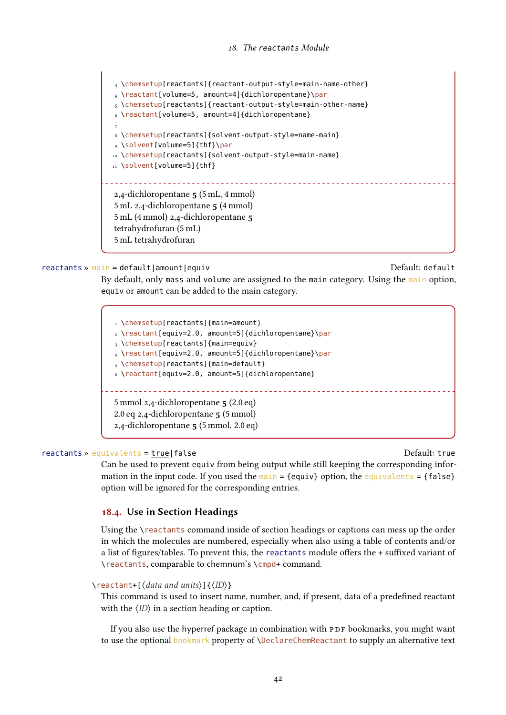3 \chemsetup[reactants]{reactant-output-style=main-name-other} 4 \reactant[volume=5, amount=4]{dichloropentane}\par 5 \chemsetup[reactants]{reactant-output-style=main-other-name} 6 \reactant[volume=5, amount=4]{dichloropentane} 7 8 \chemsetup[reactants]{solvent-output-style=name-main} 9 \solvent[volume=5]{thf}\par 10 \chemsetup[reactants]{solvent-output-style=main-name} 11 \solvent[volume=5]{thf} 2,4-dichloropentane 5 (5 mL, 4 mmol) 5 mL 2,4-dichloropentane 5 (4 mmol) 5 mL (4 mmol) 2,4-dichloropentane 5 tetrahydrofuran (5 mL) 5 mL tetrahydrofuran

reactants » main = default|amount|equiv default default default default default

By default, only mass and volume are assigned to the main category. Using the main option, equiv or amount can be added to the main category.

1 \chemsetup[reactants]{main=amount} 2 \reactant[equiv=2.0, amount=5]{dichloropentane}\par 3 \chemsetup[reactants]{main=equiv} 4 \reactant[equiv=2.0, amount=5]{dichloropentane}\par 5 \chemsetup[reactants]{main=default} 6 \reactant[equiv=2.0, amount=5]{dichloropentane} 5 mmol 2,4-dichloropentane 5 (2.0 eq) 2.0 eq 2,4-dichloropentane 5 (5 mmol) 2,4-dichloropentane 5 (5 mmol, 2.0 eq)

#### reactants » equivalents = true|false Default: true Default: true

Can be used to prevent equiv from being output while still keeping the corresponding information in the input code. If you used the main =  ${equiv}$  option, the equivalents =  ${false}$ option will be ignored for the corresponding entries.

# <span id="page-41-0"></span>18.4. Use in Section Headings

Using the \reactants command inside of section headings or captions can mess up the order in which the molecules are numbered, especially when also using a table of contents and/or a list of figures/tables. To prevent this, the reactants module offers the <sup>+</sup> suffixed variant of \reactants, comparable to chemnum's \cmpd+ command.

```
\reactant+[⟨data and units⟩]{⟨ID⟩}
```
This command is used to insert name, number, and, if present, data of a predefined reactant with the ⟨ID⟩ in a section heading or caption.

If you also use the hyperref package in combination with PDF bookmarks, you might want to use the optional bookmark property of \DeclareChemReactant to supply an alternative text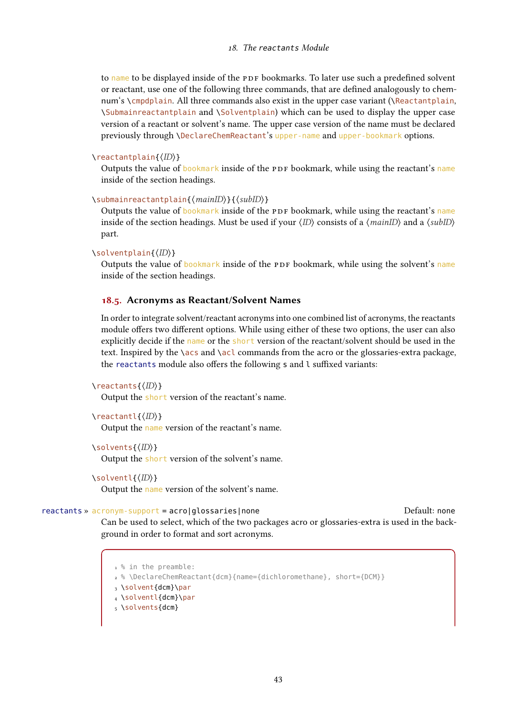to name to be displayed inside of the PDF bookmarks. To later use such a predefined solvent or reactant, use one of the following three commands, that are defined analogously to chemnum's \cmpdplain. All three commands also exist in the upper case variant (\Reactantplain, \Submainreactantplain and \Solventplain) which can be used to display the upper case version of a reactant or solvent's name. The upper case version of the name must be declared previously through \DeclareChemReactant's upper-name and upper-bookmark options.

#### \reactantplain{⟨ID⟩}

Outputs the value of bookmark inside of the PDF bookmark, while using the reactant's name inside of the section headings.

#### \submainreactantplain{⟨mainID⟩}{⟨subID⟩}

Outputs the value of bookmark inside of the PDF bookmark, while using the reactant's name inside of the section headings. Must be used if your  $\langle ID \rangle$  consists of a  $\langle mainID \rangle$  and a  $\langle subID \rangle$ part.

#### \solventplain{⟨ID⟩}

Outputs the value of bookmark inside of the PDF bookmark, while using the solvent's name inside of the section headings.

#### <span id="page-42-0"></span>18.5. Acronyms as Reactant/Solvent Names

In order to integrate solvent/reactant acronyms into one combined list of acronyms, the reactants module offers two different options. While using either of these two options, the user can also explicitly decide if the name or the short version of the reactant/solvent should be used in the text. Inspired by the \acs and \acl commands from the acro or the glossaries-extra package, the reactants module also offers the following <sup>s</sup> and <sup>l</sup> suffixed variants:

```
\reactants{⟨ID⟩}
```
Output the short version of the reactant's name.

```
\reactantl{⟨ID⟩}
```
Output the name version of the reactant's name.

```
\solvents{⟨ID⟩}
```
Output the short version of the solvent's name.

```
\solventl{⟨ID⟩}
```
Output the name version of the solvent's name.

## reactants » acronym-support = acro|glossaries|none default: none Default: none

Can be used to select, which of the two packages acro or glossaries-extra is used in the background in order to format and sort acronyms.

1 % in the preamble: 2 % \DeclareChemReactant{dcm}{name={dichloromethane}, short={DCM}} 3 \solvent{dcm}\par 4 \solventl{dcm}\par 5 \solvents{dcm}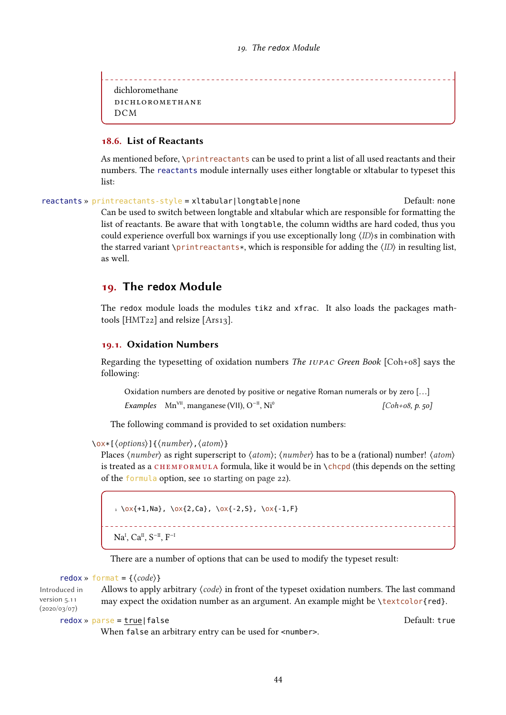----------------------------------dichloromethane dichloromethane  $DCM$ 

# <span id="page-43-0"></span>18.6. List of Reactants

As mentioned before, \printreactants can be used to print a list of all used reactants and their numbers. The reactants module internally uses either longtable or xltabular to typeset this list:

 $reա$ ctants » printreactants-style = xltabular|longtable|none  $Default:$  none Can be used to switch between longtable and xltabular which are responsible for formatting the list of reactants. Be aware that with longtable, the column widths are hard coded, thus you could experience overfull box warnings if you use exceptionally long  $\langle I D \rangle$ s in combination with the starred variant \printreactants\*, which is responsible for adding the  $\langle$ ID $\rangle$  in resulting list, as well.

# 19. The **redox** Module

The redox module loads the modules tikz and xfrac. It also loads the packages mathtools [\[HMT22\]](#page-71-3) and relsize [\[Ars13\]](#page-70-0).

#### 19.1. Oxidation Numbers

Regarding the typesetting of oxidation numbers *The IUPAC Green Book* [\[Coh+08\]](#page-71-4) says the following:

|                                                                                  | Oxidation numbers are denoted by positive or negative Roman numerals or by zero [] |
|----------------------------------------------------------------------------------|------------------------------------------------------------------------------------|
| <i>Examples</i> Mn <sup>VII</sup> , manganese (VII), $O^{-11}$ , Ni <sup>0</sup> | [ $Coh + o8, p. 50$ ]                                                              |

The following command is provided to set oxidation numbers:

\ox\*[⟨options⟩]{⟨number⟩,⟨atom⟩}

Places  $\langle number \rangle$  as right superscript to  $\langle atom \rangle$ ;  $\langle number \rangle$  has to be a (rational) number!  $\langle atom \rangle$ is treated as a CHEMFORMULA formula, like it would be in  $\Lambda$ chcpd (this depends on the setting of the formula option, see [10 starting on page 22\)](#page-21-0).

 $1 \ \text{ox}+1$ , Na},  $\alpha$ {2, Ca},  $\alpha$ {-2, S},  $\alpha$ {-1, F}  $Na<sup>I</sup>$ ,  $Ca<sup>II</sup>$ ,  $S<sup>-II</sup>$ ,  $F<sup>-I</sup>$ 

There are a number of options that can be used to modify the typeset result:

#### redox » format =  $\{\langle code \rangle\}$

Introduced in version 5.11  $(2020/03/07)$ Allows to apply arbitrary  $\langle code \rangle$  in front of the typeset oxidation numbers. The last command may expect the oxidation number as an argument. An example might be \textcolor{red}.

redox » parse <sup>=</sup> true|false Default: true

When false an arbitrary entry can be used for <number>.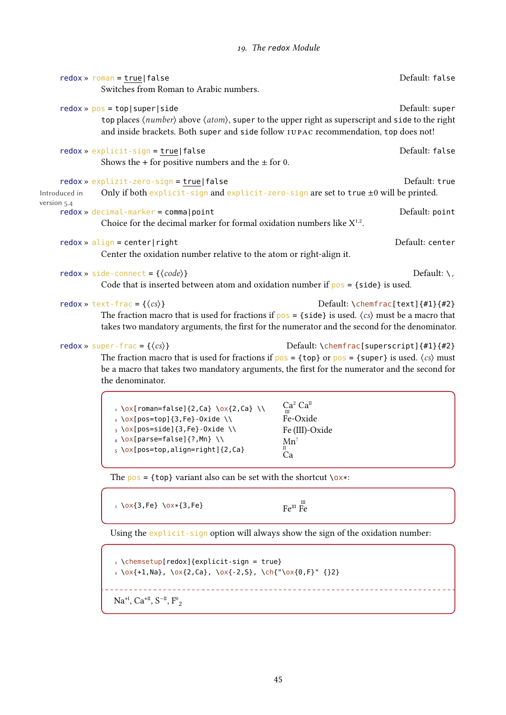| $redox \times roman = true   false$<br>Switches from Roman to Arabic numbers.                                                                                                                                                                                                                  | Default: false                          |
|------------------------------------------------------------------------------------------------------------------------------------------------------------------------------------------------------------------------------------------------------------------------------------------------|-----------------------------------------|
| $redox \gg pos = top   super  side$<br>top places (number) above (atom), super to the upper right as superscript and side to the right<br>and inside brackets. Both super and side follow IUPAC recommendation, top does not!                                                                  | Default: super                          |
| redox » explicit-sign = true false<br>Shows the + for positive numbers and the $\pm$ for 0.                                                                                                                                                                                                    | Default: false                          |
| redox » explizit-zero-sign = true   false<br>Only if both explicit-sign and explicit-zero-sign are set to true ±0 will be printed.<br>Introduced in<br>version 5.4                                                                                                                             | Default: true                           |
| $redox \gg decimal$ -marker = comma   point<br>Choice for the decimal marker for formal oxidation numbers like $X^{1.2}$ .                                                                                                                                                                     | Default: point                          |
| $redox \times align = center   right$<br>Center the oxidation number relative to the atom or right-align it.                                                                                                                                                                                   | Default: center                         |
| redox » side-connect = $\{\langle code \rangle\}$<br>Code that is inserted between atom and oxidation number if $pos = {side}$ is used.                                                                                                                                                        | Default: $\setminus$ ,                  |
| redox » text-frac = $\{\langle cs \rangle\}$<br>The fraction macro that is used for fractions if $pos = \{side\}$ is used. $\langle cs \rangle$ must be a macro that<br>takes two mandatory arguments, the first for the numerator and the second for the denominator.                         | Default: \chemfrac[text] ${#1}{#2}$     |
| redox » super-frac = $\{\langle cs \rangle\}$<br>The fraction macro that is used for fractions if $pos = \{top\}$ or $pos = \{super\}$ is used. $\langle cs \rangle$ must<br>be a macro that takes two mandatory arguments, the first for the numerator and the second for<br>the denominator. | Default: \chemfrac[superscript]{#1}{#2} |
| $Ca^{2} Ca^{II}$<br>$\sqrt{2\pi}$ roman=falsel{2 Ca} \ox{2 Ca} \\                                                                                                                                                                                                                              |                                         |

```
\sqrt{ox}[roman=false]{2,Ca} \sqrt{ox}{2,Ca} \setminus_2 \ \text{Ox}[\text{pos=top}]\{3,\text{Fe}\}\text{-Oxide }\setminus\setminus3 \ox[pos=side]{3,Fe}-Oxide \\
4 \ox[parse=false]{?,Mn} \\
5 \ox[pos=top,align=right]{2,Ca}
                                                                 Ca<sup>2</sup> Ca<sup>II</sup><br>Fe-Oxide
                                                                Fe (III)-Oxide
                                                                 Mn^2\mathring{C}a
```
The  $pos = \{top\}$  variant also can be set with the shortcut  $\{ox\}$ :

 $1 \sqrt{0 \times 3}$ , Fe}  $\sqrt{0 \times 3}$ , Fe}

```
III
Fe
```
Using the explicit-sign option will always show the sign of the oxidation number:

```
\iota \chemsetup[redox]{explicit-sign = true}
2 \times {\text{+1,Na}}, \times {\text{2,Ca}}, \times {\text{-2,S}}, \times {\text{+1,Na}}<u>. . . . . . . . . . . . .</u>
. . . . . . . . . . . . . . . .
 Na<sup>+I</sup>, Ca<sup>+II</sup>, S<sup>-II</sup>, F<sup>0</sup><sub>2</sub>
```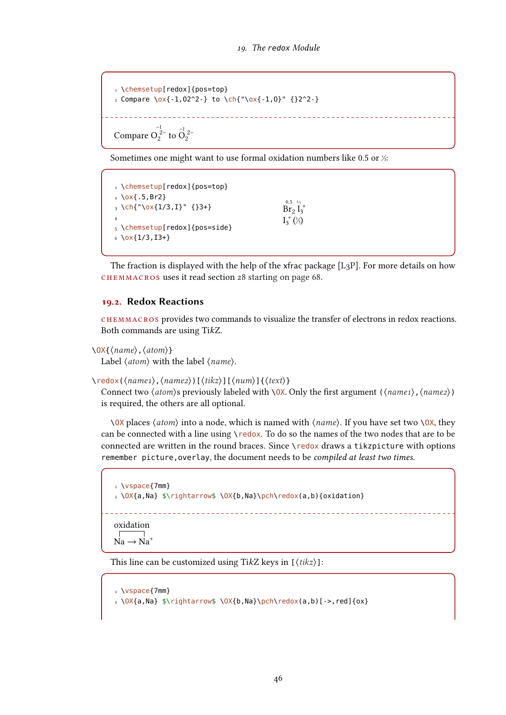```
1 \chemsetup[redox]{pos=top}
2 Compare \{0 \times \{-1,02^2-\} \text{ to } \ch\{\text{``}\ox\{-1,0\'' \}\} \{32^2-\}Compare O_2^{\frac{-1}{2}} to O_2^{\frac{-1}{2}}
```
Sometimes one might want to use formal oxidation numbers like 0.5 or  $\frac{1}{3}$ :

```
1 \chemsetup[redox]{pos=top}
2 \times (.5, Br2)
3 \ \ch{''\ox{1/3,1}'' \{}3+\}4
5 \chemsetup[redox]{pos=side}
6 \ \text{Ox} \{1/3,13+\}0.5 - \frac{1}{3}\rm Br_2\, \mathring I_3^+I_3^+(3)
```
The fraction is displayed with the help of the xfrac package  $[L_3P]$ . For more details on how chemmacros uses it read section [28 starting on page 68.](#page-67-0)

# 19.2. Redox Reactions

chemmacros provides two commands to visualize the transfer of electrons in redox reactions. Both commands are using TikZ.

```
\OX{⟨name⟩,⟨atom⟩}
```
Label  $\langle atom \rangle$  with the label  $\langle name \rangle$ .

\redox(⟨name1⟩,⟨name2⟩)[⟨tikz⟩][⟨num⟩]{⟨text⟩}

Connect two  $\langle atom \rangle$ s previously labeled with \0X. Only the first argument  $(\langle name \rangle, \langle name \rangle)$ is required, the others are all optional.

\OX places ⟨atom⟩ into a node, which is named with ⟨name⟩. If you have set two \OX, they can be connected with a line using \redox. To do so the names of the two nodes that are to be connected are written in the round braces. Since \redox draws a tikzpicture with options remember picture, overlay, the document needs to be *compiled at least two times*.

```
1 \vspace{7mm}
2 \OX{a,Na} $\rightarrow$ \OX{b,Na}\pch\redox(a,b){oxidation}
Na \rightarrow Na^+oxidation
```
This line can be customized using TikZ keys in  $[\langle tikz \rangle]$ :

```
1 \vspace{7mm}
2 \times \Omega,Na} \frac{\partial \phi}{\partial x} and \frac{\partial \phi}{\partial x}
```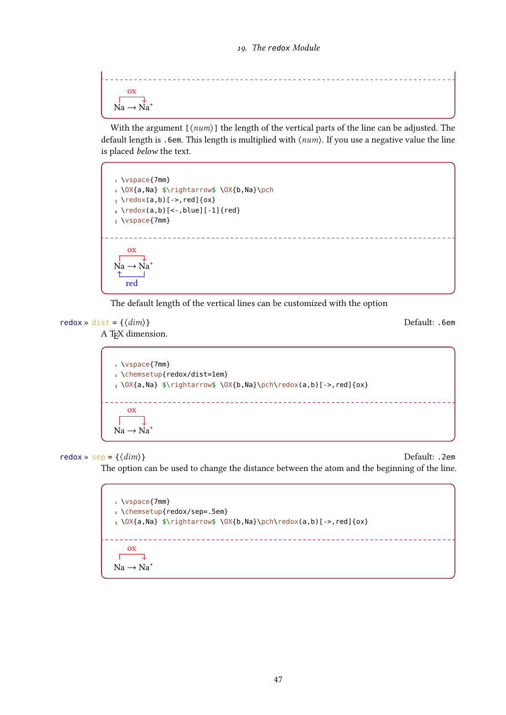ox  $Na \rightarrow Na^{+}$ 

With the argument  $[\langle num \rangle]$  the length of the vertical parts of the line can be adjusted. The default length is .6em. This length is multiplied with  $\langle num \rangle$ . If you use a negative value the line is placed below the text.



The default length of the vertical lines can be customized with the option

redox »  $dist = \{\langle dim \rangle\}$ 

A TEX dimension.

```
1 \vspace{7mm}
2 \chemsetup{redox/dist=1em}
3 \OX{a,Na} $\rightarrow$ \OX{b,Na}\pch\redox(a,b)[->,red]{ox}
               ox
Na \rightarrow Na^+
```
redox » sep <sup>=</sup> {⟨dim⟩} Default: .2em

The option can be used to change the distance between the atom and the beginning of the line.

1 \vspace{7mm} 2 \chemsetup{redox/sep=.5em}  $3 \ OX$ {a,Na} \$\rightarrow\$ \OX{b,Na}\pch\redox(a,b)[->,red]{ox} ox  $\overline{\phantom{a}}$  $\Gamma$  $Na \rightarrow Na^+$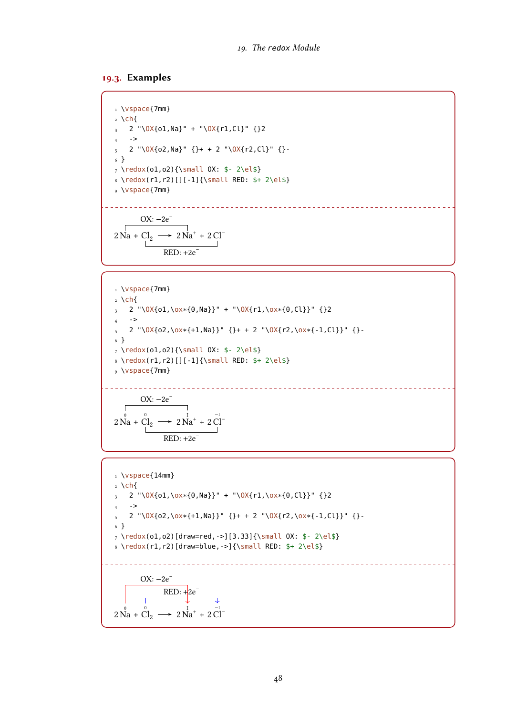#### 19.3. Examples

1 \vspace{7mm}  $2 \text{ Ch}$  $3$  2 "\OX{o1,Na}" + "\OX{r1,Cl}" {}2  $_4$  ->  $5$  2 "\OX{o2,Na}" {}+ + 2 "\OX{r2,Cl}" {}-6 } 7 \redox(o1,o2){\small OX: \$- 2\el\$} 8 \redox(r1,r2)[][-1]{\small RED: \$+ 2\el\$} 9 \vspace{7mm} OX:  $-2e^{-}$ 

$$
2\stackrel{\rightharpoonup}{\text{Na}} + \stackrel{\rightharpoonup}{\text{Cl}_2} \longrightarrow 2\stackrel{\rightharpoonup}{\text{Na}^+} + 2\stackrel{\rightharpoonup}{\text{Cl}^-}
$$
  

$$
\stackrel{\rightharpoonup}{\text{RED}: +2e^-}
$$

1 \vspace{7mm}  $2 \text{ Ch}$  $3$  2 "\0X{o1,\ox\*{0,Na}}" + "\0X{r1,\ox\*{0,Cl}}" {}2  $4 \rightarrow$  $5$  2 "\OX{o2,\ox\*{+1,Na}}" {}+ + 2 "\OX{r2,\ox\*{-1,Cl}}" {}-6 }  $_7 \ \red{ (o1, o2) {\small \small \texttt{OX}: $ - 2 \el \$ 8 \redox(r1,r2)[][-1]{\small RED: \$+ 2\el\$} 9 \vspace{7mm} <u>. . . . . .</u> -------------------------------OX:  $-2e^{-}$  $\Gamma$  $2\overset{\circ}{\mathrm{Na}} + \overset{\circ}{\mathrm{Cl}}_2 \longrightarrow 2$  $\overline{Na}^+ + 2\overline{Cl}^ RED: +2e^-$ 

1 \vspace{14mm} 2 \ch{ <sup>3</sup> 2 "\OX{o1,\ox\*{0,Na}}" + "\OX{r1,\ox\*{0,Cl}}" {}2 4 -> <sup>5</sup> 2 "\OX{o2,\ox\*{+1,Na}}" {}+ + 2 "\OX{r2,\ox\*{-1,Cl}}" {}- 6 } 7 \redox(o1,o2)[draw=red,->][3.33]{\small OX: \$- 2\el\$} 8 \redox(r1,r2)[draw=blue,->]{\small RED: \$+ 2\el\$} 2 0 Na + 0 Cl<sup>2</sup> 2 I Na<sup>+</sup> + 2 −I Cl– OX: −2e – RED: +2e –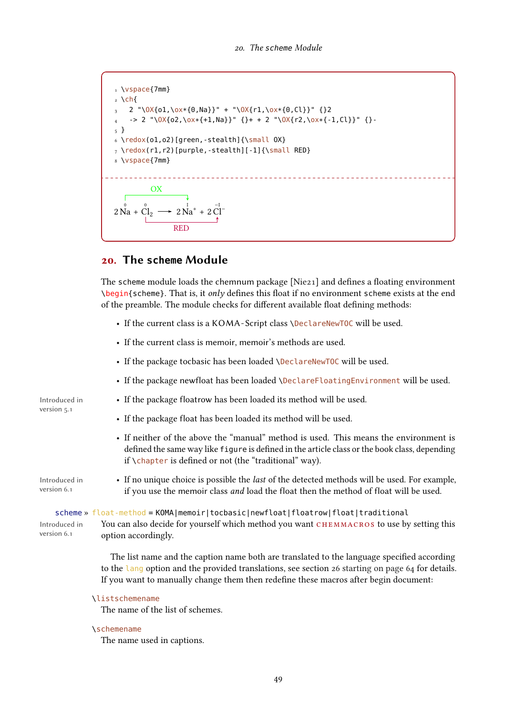1 \vspace{7mm}  $2 \text{ Ch}$  $3$  2 "\0X{o1,\ox\*{0,Na}}" + "\0X{r1,\ox\*{0,Cl}}" {}2  $-$  2 "\OX{o2,\ox\*{+1,Na}}" {}+ + 2 "\OX{r2,\ox\*{-1,Cl}}" {}-5 } 6 \redox(o1,o2)[green,-stealth]{\small OX}  $_7 \ \red{c}$  (r1, r2)[purple, -stealth][-1]{\small RED} 8 \vspace{7mm}  $2\stackrel{0}{\mathrm{Na}}$  +  $\overline{0}$  $\overset{0}{C1}_2 \longrightarrow 2 \overset{1}{Na}^+ + 2 \overset{-1}{Cl}^-$ **OX** RED

# 20. The **scheme** Module

The scheme module loads the chemnum package [\[Nie21\]](#page-71-0) and defines a floating environment \begin{scheme}. That is, it only defines this float if no environment scheme exists at the end of the preamble. The module checks for different available float defining methods:

- If the current class is a KOMA-Script class \DeclareNewTOC will be used.
- If the current class is memoir, memoir's methods are used.
- If the package tocbasic has been loaded \DeclareNewTOC will be used.
- If the package newfloat has been loaded \DeclareFloatingEnvironment will be used.
- If the package floatrow has been loaded its method will be used.
- If the package float has been loaded its method will be used.
- If neither of the above the "manual" method is used. This means the environment is defined the same way like figure is defined in the article class or the book class, depending if \chapter is defined or not (the "traditional" way).
- If no unique choice is possible the last of the detected methods will be used. For example, if you use the memoir class and load the float then the method of float will be used.

scheme » float-method = KOMA|memoir|tocbasic|newfloat|floatrow|float|traditional

You can also decide for yourself which method you want CHEMMACROS to use by setting this option accordingly.

The list name and the caption name both are translated to the language specified according to the lang option and the provided translations, see section [26 starting on page 64](#page-63-0) for details. If you want to manually change them then redefine these macros after begin document:

## \listschemename

The name of the list of schemes.

#### \schemename

The name used in captions.

Introduced in version 5.1 Introduced in version 6.1

```
Introduced in
version 6.1
```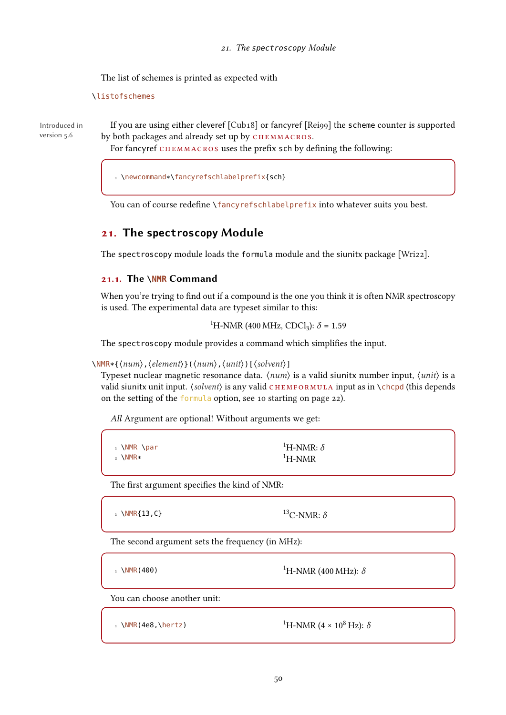The list of schemes is printed as expected with

\listofschemes

Introduced in version 5.6

If you are using either cleveref [\[Cub18\]](#page-71-6) or fancyref [\[Rei99\]](#page-72-4) the scheme counter is supported by both packages and already set up by CHEMMACROS.

For fancyref CHEMMACROS uses the prefix sch by defining the following:

<sup>1</sup> \newcommand\*\fancyrefschlabelprefix{sch}

You can of course redefine \fancyrefschlabelprefix into whatever suits you best.

# 21. The **spectroscopy** Module

The spectroscopy module loads the formula module and the siunitx package [\[Wri22\]](#page-72-0).

# 21.1. The **\NMR** Command

When you're trying to find out if a compound is the one you think it is often NMR spectroscopy is used. The experimental data are typeset similar to this:

<sup>1</sup>H-NMR (400 MHz, CDCl<sub>3</sub>):  $\delta$  = 1.59

The spectroscopy module provides a command which simplifies the input.

\NMR\*{⟨num⟩,⟨element⟩}(⟨num⟩,⟨unit⟩)[⟨solvent⟩]

Typeset nuclear magnetic resonance data.  $\langle num \rangle$  is a valid siunity number input,  $\langle unit \rangle$  is a valid siunitx unit input.  $\langle solvent \rangle$  is any valid CHEMFORMULA input as in  $\Lambda$ chcpd (this depends on the setting of the formula option, see [10 starting on page 22\)](#page-21-0).

All Argument are optional! Without arguments we get:

| , \NMR \par | <sup>1</sup> H-NMR: $\delta$ |
|-------------|------------------------------|
| $_2$ \NMR*  | ${}^{1}$ H-NMR               |

The first argument specifies the kind of NMR:

1 \NMR{13, C}  $^{13}$ C-NMR:  $\delta$ 

The second argument sets the frequency (in MHz):

1 \NMR(400) 1H-NMR (400 MHz):  $\delta$ 

You can choose another unit:

1 \NMR(4e8,\hertz)

<sup>1</sup>H-NMR (4 × 10<sup>8</sup> Hz):  $\delta$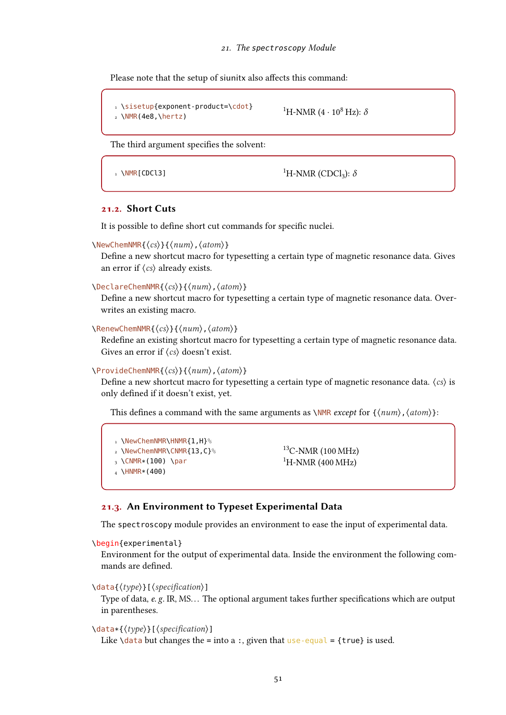Please note that the setup of siunitx also affects this command:

```
1 \sisetup{exponent-product=\cdot}
2 \text{NMR}(4e8, \hbox{hertz})<sup>1</sup>H-NMR (4 · 10<sup>8</sup> Hz): \delta
```
The third argument specifies the solvent:

1 \NMR[CDCl3]  $^{1}$ H-NMR (CDCl<sub>3</sub>):  $\delta$ 

## 21.2. Short Cuts

It is possible to define short cut commands for specific nuclei.

```
\NewChemNMR{⟨cs⟩}{⟨num⟩,⟨atom⟩}
```
Define a new shortcut macro for typesetting a certain type of magnetic resonance data. Gives an error if ⟨cs⟩ already exists.

#### \DeclareChemNMR{⟨cs⟩}{⟨num⟩,⟨atom⟩}

Define a new shortcut macro for typesetting a certain type of magnetic resonance data. Overwrites an existing macro.

\RenewChemNMR{⟨cs⟩}{⟨num⟩,⟨atom⟩}

Redefine an existing shortcut macro for typesetting a certain type of magnetic resonance data. Gives an error if  $\langle cs \rangle$  doesn't exist.

#### \ProvideChemNMR{⟨cs⟩}{⟨num⟩,⟨atom⟩}

Define a new shortcut macro for typesetting a certain type of magnetic resonance data.  $\langle cs \rangle$  is only defined if it doesn't exist, yet.

This defines a command with the same arguments as  $\NMR$  *except* for  ${\langle num \rangle, \langle atom \rangle}$ :

1 \NewChemNMR\HNMR{1,H}% 2 \NewChemNMR\CNMR{13,C}%  $3 \text{ NCMMR}*(100)$  \par  $_4$  \HNMR  $*(400)$ 

 $13C-NMR(100 MHz)$  ${}^{1}$ H-NMR (400 MHz)

## 21.3. An Environment to Typeset Experimental Data

The spectroscopy module provides an environment to ease the input of experimental data.

```
\begin{experimental}
```
Environment for the output of experimental data. Inside the environment the following commands are defined.

## \data{⟨type⟩}[⟨specification⟩]

Type of data, e.g. IR, MS... The optional argument takes further specifications which are output in parentheses.

\data\*{⟨type⟩}[⟨specification⟩]

Like  $\data$  but changes the = into a :, given that use-equal = {true} is used.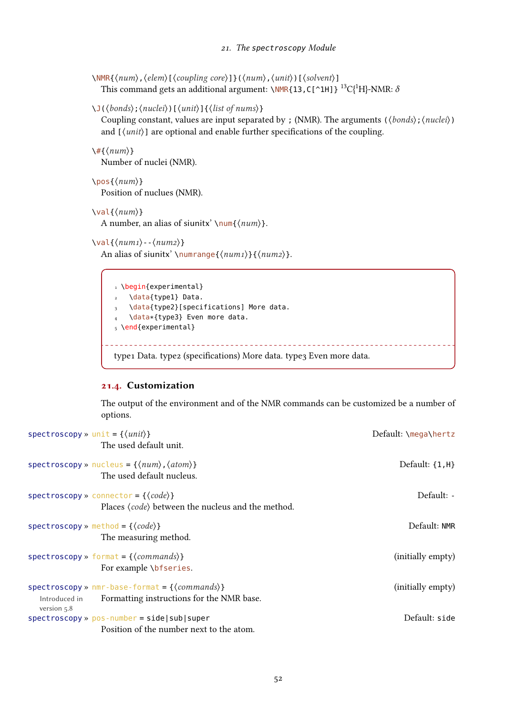```
\NMR{⟨num⟩,⟨elem⟩[⟨coupling core⟩]}(⟨num⟩,⟨unit⟩)[⟨solvent⟩]
  This command gets an additional argument: \NMR{13,C[^1H]} <sup>13</sup>C{<sup>1</sup>H}-NMR: \delta
```

```
\J(⟨bonds⟩;⟨nuclei⟩)[⟨unit⟩]{⟨list of nums⟩}
```
Coupling constant, values are input separated by ; (NMR). The arguments ( $\langle bonds \rangle$ ;  $\langle nuclei \rangle$ ) and  $[\langle unit \rangle]$  are optional and enable further specifications of the coupling.

```
\langle \#{\langle num \rangle}\rangleNumber of nuclei (NMR).
```

```
\pos{⟨num⟩}
  Position of nuclues (NMR).
```

```
\val{⟨num⟩}
```
A number, an alias of siunitx' \num{ $\langle num \rangle$ }.

```
\langleval{\langle num_1 \rangle - \langle num_2 \rangle}
```
An alias of siunitx' \numrange{ $\langle num1\rangle$ }{ $\langle num2\rangle$ }.

```
1 \begin{experimental}
2 \data{type1} Data.
3 \data{type2}[specifications] More data.
4 \data*{type3} Even more data.
5 \end{experimental}
         type1 Data. type2 (specifications) More data. type3 Even more data.
```
## 21.4. Customization

The output of the environment and of the NMR commands can be customized be a number of options.

| spectroscopy » unit = $\{\langle unit \rangle\}$<br>The used default unit.                                                                       | Default: \mega\hertz |
|--------------------------------------------------------------------------------------------------------------------------------------------------|----------------------|
| spectroscopy » nucleus = $\{\langle num \rangle, \langle atom \rangle\}$<br>The used default nucleus.                                            | Default: $\{1, H\}$  |
| spectroscopy » connector = { $\{code\}$ }<br>Places (code) between the nucleus and the method.                                                   | Default: -           |
| $spectroscopy \times method = {\langle code \rangle}$<br>The measuring method.                                                                   | Default: NMR         |
| $spectroscopy \times format = {\langle commands \rangle}$<br>For example \bfseries.                                                              | (initially empty)    |
| $spectroscopy \times nmr\text{-}base\text{-}format = \{\langle commands \rangle\}$<br>Formatting instructions for the NMR base.<br>Introduced in | (initially empty)    |
| version $5.8$<br>$spectroscopy \gg pos-number = side sub super$<br>Position of the number next to the atom.                                      | Default: side        |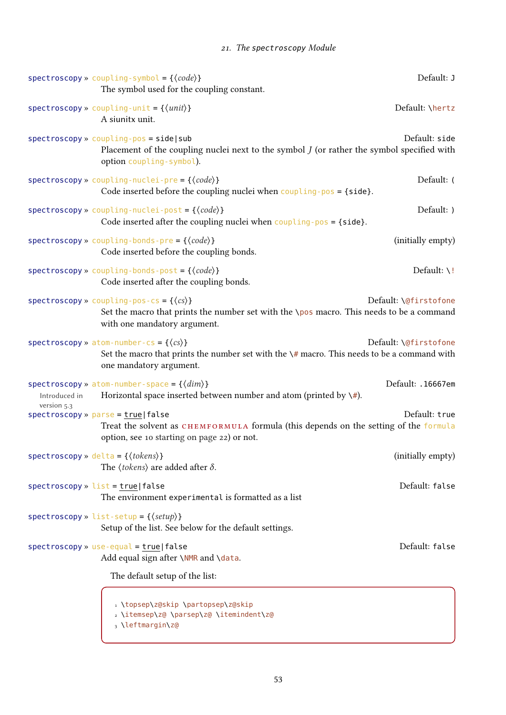# 21. The spectroscopy Module

|                                                      | spectroscopy » coupling-symbol = $\{\langle code \rangle\}$<br>The symbol used for the coupling constant.                                                                                     | Default: J              |
|------------------------------------------------------|-----------------------------------------------------------------------------------------------------------------------------------------------------------------------------------------------|-------------------------|
|                                                      | spectroscopy » coupling-unit = $\{\langle \text{unit} \rangle\}$<br>A siunitx unit.                                                                                                           | Default: \hertz         |
|                                                      | $spectroscopy \times coupling - pos = side   sub$<br>Placement of the coupling nuclei next to the symbol $J$ (or rather the symbol specified with<br>option coupling-symbol).                 | Default: side           |
|                                                      | spectroscopy » coupling-nuclei-pre = $\{\langle code \rangle\}$<br>Code inserted before the coupling nuclei when $\overline{\text{coupling-pos}} = \{\text{side}\}.$                          | Default: (              |
|                                                      | spectroscopy » coupling-nuclei-post = $\{\langle code \rangle\}$<br>Code inserted after the coupling nuclei when $\text{coupling-pos} = \{\text{side}\}.$                                     | Default: )              |
|                                                      | spectroscopy » coupling-bonds-pre = $\{\langle code \rangle\}$<br>Code inserted before the coupling bonds.                                                                                    | (initially empty)       |
|                                                      | spectroscopy » coupling-bonds-post = $\{\langle code \rangle\}$<br>Code inserted after the coupling bonds.                                                                                    | Default: $\backslash$ ! |
|                                                      | $spectroscopy \times coupling - pos - cs = {\langle cs \rangle}$<br>Set the macro that prints the number set with the \pos macro. This needs to be a command<br>with one mandatory argument.  | Default: \@firstofone   |
|                                                      | spectroscopy » atom-number-cs = { $\langle cs \rangle$ }<br>Set the macro that prints the number set with the $\frac{4}{7}$ macro. This needs to be a command with<br>one mandatory argument. | Default: \@firstofone   |
| Introduced in                                        | spectroscopy » atom-number-space = $\{\langle dim \rangle\}$<br>Horizontal space inserted between number and atom (printed by $\setminus \#$ ).                                               | Default: .16667em       |
| version 5.3<br>$spectroscopy * parse = true   false$ | Treat the solvent as CHEMFORMULA formula (this depends on the setting of the formula<br>option, see 10 starting on page 22) or not.                                                           | Default: true           |
| spectroscopy » delta = { $\langle tokens \rangle$ }  | The $\langle tokens \rangle$ are added after $\delta$ .                                                                                                                                       | (initially empty)       |
| $spectroscopy * list = true   false$                 | The environment experimental is formatted as a list                                                                                                                                           | Default: false          |
|                                                      | $spectroscopy \times list-setup = {\langle setup \rangle }$<br>Setup of the list. See below for the default settings.                                                                         |                         |
|                                                      | $spectroscopy * use-equal = true   false$<br>Add equal sign after \NMR and \data.                                                                                                             | Default: false          |
|                                                      | The default setup of the list:                                                                                                                                                                |                         |
|                                                      | 1 \topsep\z@skip \partopsep\z@skip<br>2 \itemsep\z@ \parsep\z@ \itemindent\z@<br>3 \leftmargin\z@                                                                                             |                         |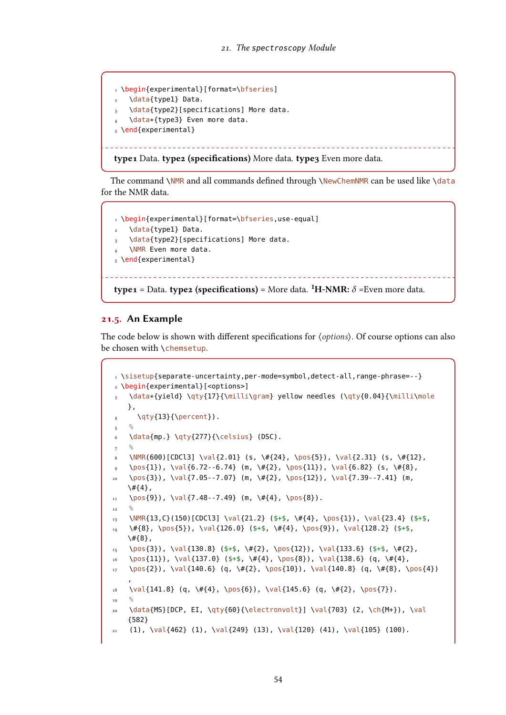```
1 \begin{experimental}[format=\bfseries]
2 \data{type1} Data.
3 \data{type2}[specifications] More data.
  \data*{type3} Even more data.
5 \end{experimental}
```
type1 Data. type2 (specifications) More data. type3 Even more data.

The command \NMR and all commands defined through \NewChemNMR can be used like \data for the NMR data.

```
1 \begin{experimental}[format=\bfseries,use-equal]
  \data{type1} Data.
3 \data{type2}[specifications] More data.
   \NMR Even more data.
5 \end{experimental}
type1 = Data. type2 (specifications) = More data. {}^{1}H-NMR: \delta = Even more data.
```
#### 21.5. An Example

The code below is shown with different specifications for  $\langle options \rangle$ . Of course options can also be chosen with \chemsetup.

```
1 \sisetup{separate-uncertainty,per-mode=symbol,detect-all,range-phrase=--}
2 \begin{experimental}[<options>]
 3 \data*{yield} \qty{17}{\milli\gram} yellow needles (\qty{0.04}{\milli\mole
      },
 4 \qquad \qquad \{13\} {\perp}.
5^{\circ}6 \data{mp.} \qty{277}{\celsius} (DSC).
7 %
 8 \NMR(600)[CDCl3] \val{2.01} (s, \#{24}, \pos{5}), \val{2.31} (s, \#{12},
 9 \pos{1}), \val{6.72--6.74} (m, \#{2}, \pos{11}), \val{6.82} (s, \#{8},
10 \quad \text{pos(3)}, \ \val{7.05--7.07} \quad (m, \ \#{2}, \ \pos{12}), \ \val{7.39--7.41} \quad (m, \ \newcommand{\mbox{\mbox{\v44}}{\mathcal{A}})\setminus#{4},
11 \quad \text{pos}{9}), \val{7.48--7.49} (m, \#{4}, \pos{8}).
12<sup>12</sup>13 \NMR{13,C}(150)[CDCl3] \val{21.2} ($+$, \#{4}, \pos{1}), \val{23.4} ($+$,
14 \quad \setminus \# \{8\}, \ \pos{5\}), \ \val{126.0} \quad (\frac{4}{4}, \ \pos{9}), \val{128.2} \quad (\frac{4}{9}\#{8},
15 \quad \text{pos}\{3\}, \ \text{val}\{130.8\} \text{($$+$, \text{'$+$}, \text{'}05\{12\}, \ \text{val}\{133.6\} \text{($$+$, \text{'$#$}\},16 \quad \text{11}, \quad \text{137.0} \quad \text{4}, \quad \text{138.6} \quad \text{4}, \quad \text{4}, \quad \text{4}, \quad \text{4}, \quad \text{4}, \quad \text{4}, \quad \text{4}, \quad \text{4}, \quad \text{4}, \quad \text{4}, \quad \text{4}, \quad \text{4}, \quad \text{4}, \quad \text{4}, \quad \text{4}, \quad \text{4}, \quad \text{4}, \quad \text{4}, \quad \text{4}, \quad \text{4}, \quad \text{4}, \quad \text{4}, \quad \text{4}, \quad \text{4}, \quad \text{4}, \quad \text{417 \pos{2}), \val{140.6} (q, \#{2}, \pos{10}), \val{140.8} (q, \#{8}, \pos{4})
      ,
18 \text{ Val} \{141.8\} \text{ (q, } \# \{4\}, \text{ } \text{pos} \{6\} \text{), } \Psi \{145.6\} \text{ (q, } \# \{2\}, \text{ } \text{pos} \{7\} \text{).}<sub>19</sub>
      \data{MS}[DCP, EI, \qty{60}{\electronvolt}] \val{703} (2, \ch{M+}), \val
      {582}
21 (1), \val{462} (1), \val{249} (13), \val{120} (41), \val{105} (100).
```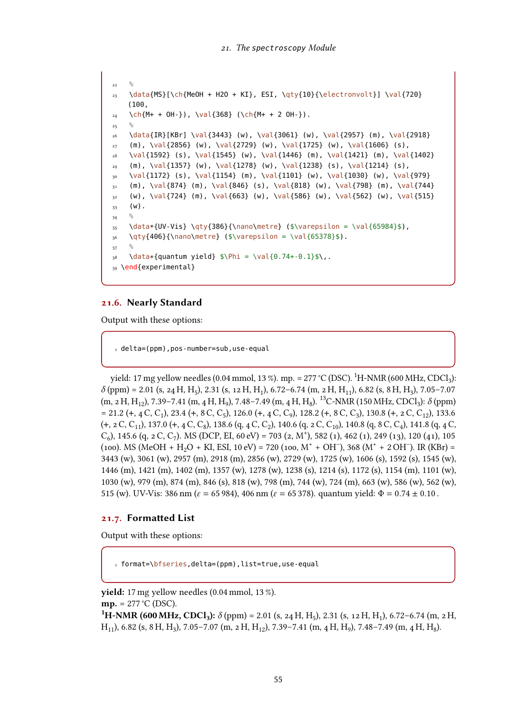```
22 \frac{6}{6}23 \data{MS}[\ch{MeOH + H2O + KI}, ESI, \qty{10}{\electronvolt}] \val{720}
    (100,
_{24} \ch{M+ + OH-}), \val{368} (\ch{M+ + 2 OH-}).
<sup>25</sup>
26 \data{IR}[KBr] \val{3443} (w), \val{3061} (w), \val{2957} (m), \val{2918}
27 (m), \val{2856} (w), \val{2729} (w), \val{1725} (w), \val{1606} (s),
28 \val{1592} (s), \val{1545} (w), \val{1446} (m), \val{1421} (m), \val{1402}
_{29} (m), \val{1357} (w), \val{1278} (w), \val{1238} (s), \val{1214} (s),
30 \ \val{1172} \ (s), \ val{1154} \ (m), \ val{1101} \ (w), \ val{1030} \ (w), \ val{979}\mathfrak{m} (m), \val{874} (m), \val{846} (s), \val{818} (w), \val{798} (m), \val{744}
32 (w), \val{724} (m), \val{663} (w), \val{586} (w), \val{562} (w), \val{515}
33 \t(w).34 \frac{6}{6}35 \data*{UV-Vis} \qty{386}{\nano\metre} ($\varepsilon = \val{65984}$),
36 \qty{406}{\nano\metre} ($\varepsilon = \val{65378}$).
37 %
38 \data*{quantum yield} $\Phi = \val{0.74+-0.1}$\,.
39 \end{experimental}
```
#### 21.6. Nearly Standard

Output with these options:

1 delta=(ppm), pos-number=sub, use-equal

yield: 17 mg yellow needles (0.04 mmol, 13 %). mp. = 277 °C (DSC).  $^{1}$ H-NMR (600 MHz, CDCl3):  $\delta$  (ppm) = 2.01 (s, 24 H, H<sub>5</sub>), 2.31 (s, 12 H, H<sub>1</sub>), 6.72–6.74 (m, 2 H, H<sub>1</sub>), 6.82 (s, 8 H, H<sub>3</sub>), 7.05–7.07  $(m, 2H, H_{12}), 7.39-7.41$   $(m, 4H, H_9), 7.48-7.49$   $(m, 4H, H_8)$ . <sup>13</sup>C-NMR (150 MHz, CDCl<sub>3</sub>):  $\delta$  (ppm)  $= 21.2 (+, 4 C, C_1), 23.4 (+, 8 C, C_5), 126.0 (+, 4 C, C_9), 128.2 (+, 8 C, C_3), 130.8 (+, 2 C, C_{12}), 133.6$  $(+, 2 C, C_{11})$ , 137.0  $(+, 4 C, C_8)$ , 138.6  $(q, 4 C, C_2)$ , 140.6  $(q, 2 C, C_{10})$ , 140.8  $(q, 8 C, C_4)$ , 141.8  $(q, 4 C, C_6)$  $(C_6)$ , 145.6 (q, 2 C, C<sub>7</sub>). MS (DCP, EI, 60 eV) = 703 (2, M<sup>+</sup>), 582 (1), 462 (1), 249 (13), 120 (41), 105  $(100)$ . MS (MeOH + H<sub>2</sub>O + KI, ESI, 10 eV) = 720 (100, M<sup>+</sup> + OH<sup>-</sup>), 368 (M<sup>+</sup> + 2 OH<sup>-</sup>). IR (KBr) = 3443 (w), 3061 (w), 2957 (m), 2918 (m), 2856 (w), 2729 (w), 1725 (w), 1606 (s), 1592 (s), 1545 (w), 1446 (m), 1421 (m), 1402 (m), 1357 (w), 1278 (w), 1238 (s), 1214 (s), 1172 (s), 1154 (m), 1101 (w), 1030 (w), 979 (m), 874 (m), 846 (s), 818 (w), 798 (m), 744 (w), 724 (m), 663 (w), 586 (w), 562 (w), 515 (w). UV-Vis: 386 nm ( $\varepsilon = 65 984$ ), 406 nm ( $\varepsilon = 65 378$ ). quantum yield:  $\Phi = 0.74 \pm 0.10$ .

#### 21.7. Formatted List

Output with these options:

 $1$  format=\bfseries,delta=(ppm),list=true,use-equal

yield: 17 mg yellow needles (0.04 mmol, 13 %).  $mp. = 277 °C (DSC).$ <sup>1</sup>H-NMR (600 MHz, CDCl<sub>3</sub>):  $\delta$  (ppm) = 2.01 (s, 24 H, H<sub>5</sub>), 2.31 (s, 12 H, H<sub>1</sub>), 6.72–6.74 (m, 2 H,  $H_{11}$ ), 6.82 (s, 8 H, H<sub>3</sub>), 7.05-7.07 (m, 2 H, H<sub>12</sub>), 7.39-7.41 (m, 4 H, H<sub>9</sub>), 7.48-7.49 (m, 4 H, H<sub>8</sub>).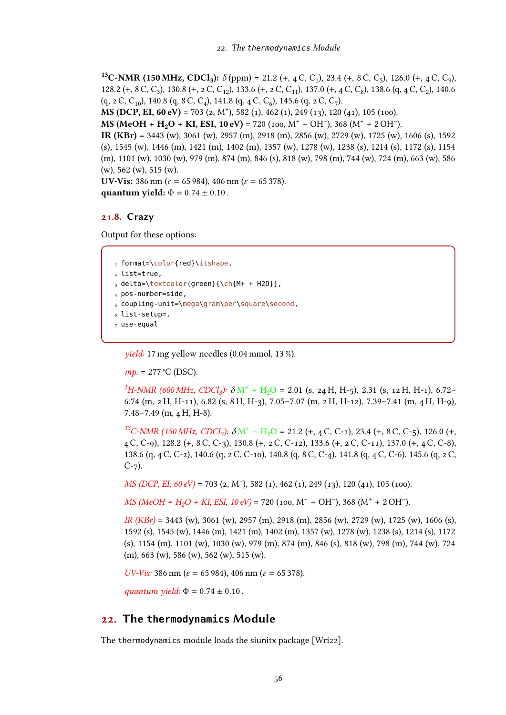<sup>13</sup>C-NMR (150 MHz, CDCl<sub>3</sub>):  $\delta$  (ppm) = 21.2 (+, 4 C, C<sub>1</sub>), 23.4 (+, 8 C, C<sub>5</sub>), 126.0 (+, 4 C, C<sub>9</sub>), 128.2 (+, 8 C, C<sub>3</sub>), 130.8 (+, 2 C, C<sub>12</sub>), 133.6 (+, 2 C, C<sub>11</sub>), 137.0 (+, 4 C, C<sub>8</sub>), 138.6 (q, 4 C, C<sub>2</sub>), 140.6  $(q, 2 C, C_{10})$ , 140.8  $(q, 8 C, C_4)$ , 141.8  $(q, 4 C, C_6)$ , 145.6  $(q, 2 C, C_7)$ .

**MS (DCP, EI, 60 eV)** = 703 (2, M<sup>+</sup>), 582 (1), 462 (1), 249 (13), 120 (41), 105 (100).

MS (MeOH + H<sub>2</sub>O + KI, ESI, 10 eV) = 720 (100, M<sup>+</sup> + OH<sup>-</sup>), 368 (M<sup>+</sup> + 2 OH<sup>-</sup>).

IR (KBr) = 3443 (w), 3061 (w), 2957 (m), 2918 (m), 2856 (w), 2729 (w), 1725 (w), 1606 (s), 1592 (s), 1545 (w), 1446 (m), 1421 (m), 1402 (m), 1357 (w), 1278 (w), 1238 (s), 1214 (s), 1172 (s), 1154 (m), 1101 (w), 1030 (w), 979 (m), 874 (m), 846 (s), 818 (w), 798 (m), 744 (w), 724 (m), 663 (w), 586 (w), 562 (w), 515 (w).

UV-Vis: 386 nm ( $\varepsilon$  = 65 984), 406 nm ( $\varepsilon$  = 65 378). quantum yield:  $\Phi = 0.74 \pm 0.10$ .

## 21.8. Crazy

Output for these options:

```
1 format=\color{red}\itshape,
2 list=true,
_3 delta=\textcolor{green}{\ch{M+ + H2O}},
4 pos-number=side,
5 coupling-unit=\mega\gram\per\square\second,
6 list-setup=,
7 use-equal
```
yield: 17 mg yellow needles (0.04 mmol, 13 %).

 $mp. = 277$  °C (DSC).

<sup>1</sup>H-NMR (600 MHz, CDCl<sub>3</sub>):  $\delta M^+ + H_2O = 2.01$  (s, 24 H, H-5), 2.31 (s, 12 H, H-1), 6.72-6.74 (m, 2 H, H-11), 6.82 (s, 8 H, H-3), 7.05–7.07 (m, 2 H, H-12), 7.39–7.41 (m, 4 H, H-9), 7.48–7.49 (m, 4 H, H-8).

<sup>13</sup>C-NMR (150 MHz, CDCl<sub>3</sub>):  $\delta M^+ + H_2O = 21.2$  (+, 4 C, C-1), 23.4 (+, 8 C, C-5), 126.0 (+, 4 C, C-9), 128.2 (+, 8 C, C-3), 130.8 (+, 2 C, C-12), 133.6 (+, 2 C, C-11), 137.0 (+, 4 C, C-8), 138.6 (q, 4 C, C-2), 140.6 (q, 2 C, C-10), 140.8 (q, 8 C, C-4), 141.8 (q, 4 C, C-6), 145.6 (q, 2 C,  $C-7$ ).

MS (DCP, EI, 60 eV) = 703 (2, M<sup>+</sup>), 582 (1), 462 (1), 249 (13), 120 (41), 105 (100).

 $MS (MeOH + H<sub>2</sub>O + KI, ESI, 10 eV) = 720 (100, M<sup>+</sup> + OH<sup>-</sup>), 368 (M<sup>+</sup> + 2 OH<sup>-</sup>).$ 

IR (KBr) = 3443 (w), 3061 (w), 2957 (m), 2918 (m), 2856 (w), 2729 (w), 1725 (w), 1606 (s), 1592 (s), 1545 (w), 1446 (m), 1421 (m), 1402 (m), 1357 (w), 1278 (w), 1238 (s), 1214 (s), 1172 (s), 1154 (m), 1101 (w), 1030 (w), 979 (m), 874 (m), 846 (s), 818 (w), 798 (m), 744 (w), 724 (m), 663 (w), 586 (w), 562 (w), 515 (w).

UV-Vis: 386 nm ( $\varepsilon$  = 65 984), 406 nm ( $\varepsilon$  = 65 378).

quantum yield:  $\Phi = 0.74 \pm 0.10$ .

# 22. The **thermodynamics** Module

The thermodynamics module loads the siunitx package [\[Wri22\]](#page-72-0).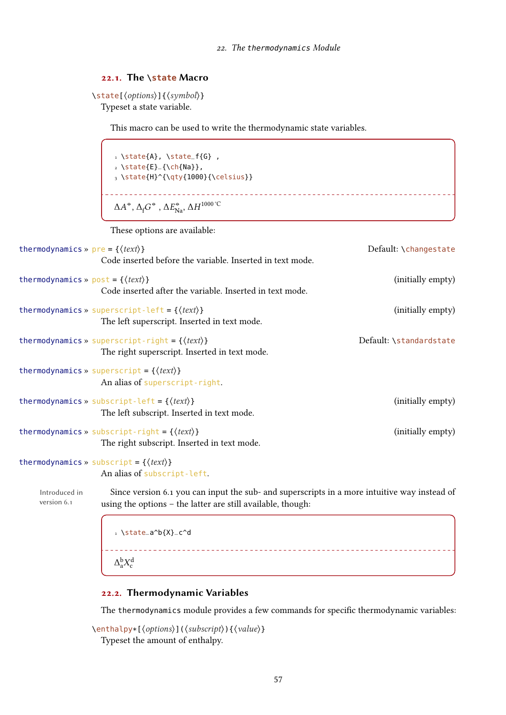\_\_\_\_\_\_\_\_\_\_\_\_\_\_\_\_\_\_\_\_\_\_\_\_

## 22.1. The **\state** Macro

```
\state[⟨options⟩]{⟨symbol⟩}
  Typeset a state variable.
```
This macro can be used to write the thermodynamic state variables.

1 \state{A}, \state\_f{G},  $2 \setminus state{E}_{\hbox{-}}\{\hbox{Na}\}\},$ 3 \state{H}^{\qty{1000}{\celsius}}  $\Delta A^{\circ}, \Delta_{\textrm{f}} G^{\circ}$  ,  $\Delta E^{\circ}_{\textrm{Na}}, \Delta H^{\textrm{1000\,^{\circ}\textrm{C}}}$ 

These options are available:

| thermodynamics » $pre = \{\langle text \rangle\}$  |                                                                                                                  | Default: \changestate   |
|----------------------------------------------------|------------------------------------------------------------------------------------------------------------------|-------------------------|
|                                                    | Code inserted before the variable. Inserted in text mode.                                                        |                         |
| thermodynamics » $post = \{\langle text \rangle\}$ | Code inserted after the variable. Inserted in text mode.                                                         | (initially empty)       |
|                                                    | thermodynamics » superscript-left = $\{\langle text \rangle\}$<br>The left superscript. Inserted in text mode.   | (initially empty)       |
|                                                    | thermodynamics » superscript-right = $\{\langle text \rangle\}$<br>The right superscript. Inserted in text mode. | Default: \standardstate |
|                                                    | thermodynamics » superscript = $\{\langle text \rangle\}$<br>An alias of superscript-right.                      |                         |
|                                                    | thermodynamics » subscript-left = $\{\langle text \rangle\}$<br>The left subscript. Inserted in text mode.       | (initially empty)       |
|                                                    | thermodynamics » subscript-right = $\{\langle text \rangle\}$<br>The right subscript. Inserted in text mode.     | (initially empty)       |
|                                                    | thermodynamics » subscript = { $\langle text \rangle$ }<br>An alias of subscript-left.                           |                         |
|                                                    |                                                                                                                  |                         |

version 6.1

Introduced in Since version 6.1 you can input the sub- and superscripts in a more intuitive way instead of using the options – the latter are still available, though:

> 1 \state\_a^b{X}\_c^d \_\_\_\_\_\_\_\_\_\_\_\_\_\_\_\_\_\_\_\_\_\_\_\_\_\_\_\_\_\_  $\Delta_a^{\rm b} X_{\rm c}^{\rm d}$

# 22.2. Thermodynamic Variables

The thermodynamics module provides a few commands for specific thermodynamic variables:

```
\enthalpy*[⟨options⟩](⟨subscript⟩){⟨value⟩}
  Typeset the amount of enthalpy.
```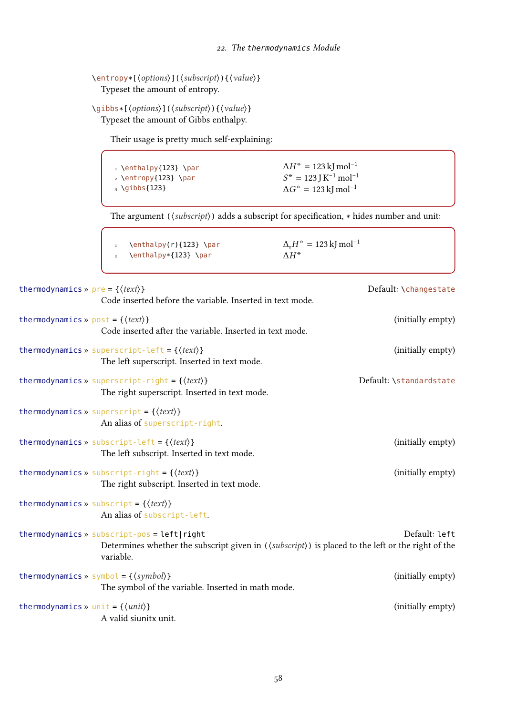```
\entropy*[⟨options⟩](⟨subscript⟩){⟨value⟩}
  Typeset the amount of entropy.
```

```
\gibbs*[⟨options⟩](⟨subscript⟩){⟨value⟩}
  Typeset the amount of Gibbs enthalpy.
```
Their usage is pretty much self-explaining:

1 \enthalpy{123} \par 2 \entropy{123} \par  $_3 \{j\}$  $\Delta H^{\circ} = 123 \,\mathrm{kJ\,mol^{-1}}$  $S^* = 123$  J K<sup>-1</sup> mol<sup>-1</sup>  $\Delta G^{\circ} = 123 \,\mathrm{kJ\,mol^{-1}}$ 

The argument ( $\langle \textit{subscript} \rangle$ ) adds a subscript for specification,  $*$  hides number and unit:

| par \enthalpy(r){123} \par                          | $\Delta_r H^* = 123$ kJ mol <sup>-1</sup> |
|-----------------------------------------------------|-------------------------------------------|
| $\frac{2}{2} \left\{123\right\} \left\{123\right\}$ | $\Lambda H^{\oplus}$                      |

| thermodynamics » $pre = \{\langle text \rangle\}$  | Code inserted before the variable. Inserted in text mode.                                                                                                                              | Default: \changestate   |
|----------------------------------------------------|----------------------------------------------------------------------------------------------------------------------------------------------------------------------------------------|-------------------------|
| thermodynamics » $post = \{\langle text \rangle\}$ | Code inserted after the variable. Inserted in text mode.                                                                                                                               | (initially empty)       |
|                                                    | thermodynamics » superscript-left = $\{\langle text \rangle\}$<br>The left superscript. Inserted in text mode.                                                                         | (initially empty)       |
|                                                    | thermodynamics » superscript-right = $\{\langle text \rangle\}$<br>The right superscript. Inserted in text mode.                                                                       | Default: \standardstate |
|                                                    | thermodynamics » superscript = $\{\langle text \rangle\}$<br>An alias of superscript-right.                                                                                            |                         |
|                                                    | thermodynamics » subscript-left = { $\langle text \rangle$ }<br>The left subscript. Inserted in text mode.                                                                             | (initially empty)       |
|                                                    | thermodynamics » subscript-right = $\{\langle text \rangle\}$<br>The right subscript. Inserted in text mode.                                                                           | (initially empty)       |
|                                                    | thermodynamics » subscript = { $\langle text \rangle$ }<br>An alias of subscript-left.                                                                                                 |                         |
|                                                    | thermodynamics » subscript-pos = left right<br>Determines whether the subscript given in $(\langle \textit{subscript} \rangle)$ is placed to the left or the right of the<br>variable. | Default: left           |
|                                                    | thermodynamics » symbol = { $\langle symbol \rangle$ }<br>The symbol of the variable. Inserted in math mode.                                                                           | (initially empty)       |
| thermodynamics » unit = $\{\langle unit \rangle\}$ | A valid siunitx unit.                                                                                                                                                                  | (initially empty)       |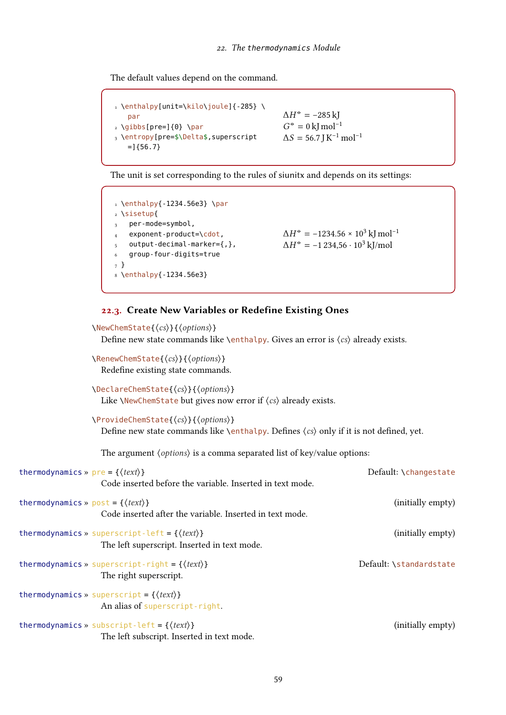The default values depend on the command.

```
1 \enthalpy[unit=\kilo\joule]{-285} \
     par
2 \text{ Qibbs}[pre=]{0} \text{ para}3 \entropy[pre=$\Delta$,superscript
     =[{56.7}}
                                                                \Delta H^{\circ} = -285 \,\mathrm{kJ}G^* = 0 kJ mol<sup>-1</sup>
                                                               \Delta S = 56.7 J K<sup>-1</sup> mol<sup>-1</sup>
```
The unit is set corresponding to the rules of siunitx and depends on its settings:

```
1 \enthalpy{-1234.56e3} \par
2 \sisetup{
3 per-mode=symbol,
    exponent-product=\cdot,
   output-decimal-marker={,},
   6 group-four-digits=true
7 }
8 \enthalpy{-1234.56e3}
                                                     \Delta H^{\circ} = -1234.56 \times 10^{3} \,\mathrm{kJ\,mol^{-1}}\Delta H^{\circ} = -1234,56 \cdot 10^{3} \text{ kJ/mol}
```
#### 22.3. Create New Variables or Redefine Existing Ones

```
\NewChemState{⟨cs⟩}{⟨options⟩}
                   Define new state commands like \enthalpy. Gives an error is \langle cs \rangle already exists.
                 \RenewChemState{⟨cs⟩}{⟨options⟩}
                   Redefine existing state commands.
                 \DeclareChemState{⟨cs⟩}{⟨options⟩}
                   Like \NewChemState but gives now error if \langle cs \rangle already exists.
                 \ProvideChemState{⟨cs⟩}{⟨options⟩}
                   Define new state commands like \enthalpy. Defines \langle cs \rangle only if it is not defined, yet.
                   The argument \langle options\rangle is a comma separated list of key/value options:
thermodynamics » pre = \{(text)\} pre = \{ \langle text \rangle\}Code inserted before the variable. Inserted in text mode.
thermodynamics » post = {\langle \text{text}\rangle} (initially empty)
                   Code inserted after the variable. Inserted in text mode.
thermodynamics » superscript-left = \{\langle text \rangle\} (initially empty)
                   The left superscript. Inserted in text mode.
thermodynamics » superscript-right = {\langle text \rangle} Default: \standardstate
                   The right superscript.
thermodynamics » superscript = \{\langle text \rangle\}An alias of superscript-right.
thermodynamics » subscript-left = \{\langle text \rangle\} (initially empty)
                   The left subscript. Inserted in text mode.
```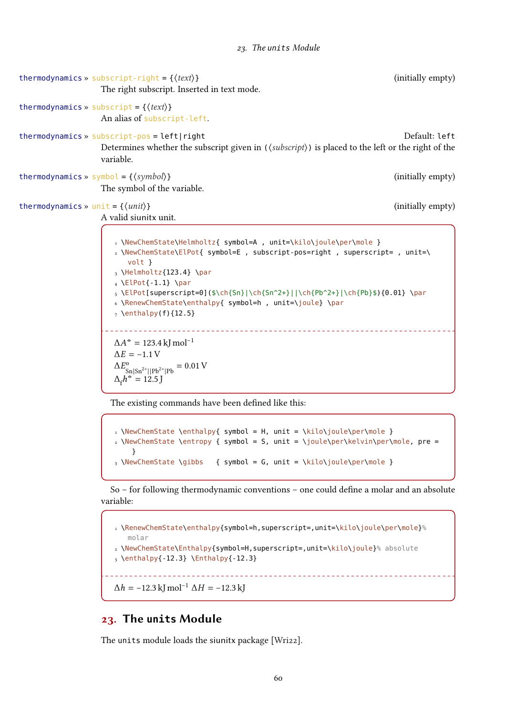```
thermodynamics » subscript-right = {\{ \text{text} \}} (initially empty)
                   The right subscript. Inserted in text mode.
thermodynamics » subscript = \{\langle text \rangle\}An alias of subscript-left.
thermodynamics » subscript-pos = left|right default: left Default: left
                   Determines whether the subscript given in (\langle \textit{subscript} \rangle) is placed to the left or the right of the
                   variable.
thermodynamics » symbol = {\langle symbol \rangle} (initially empty)
                   The symbol of the variable.
thermodynamics » unit = {\langle unit \rangle} (initially empty)
                   A valid siunitx unit.
                      1 \NewChemState\Helmholtz{ symbol=A , unit=\kilo\joule\per\mole }
                      2 \NewChemState\ElPot{ symbol=E , subscript-pos=right , superscript= , unit=\
                         volt }
                      3 \Helmholtz{123.4} \par
                      _4 \ElPot{-1.1} \par
                      _5 \left[ \text{superscript=0}(\$ \ch{Sn}\} \ch{2+}|\ch{Pb^2+}\| \ch{Pb}\ (0.01} \par
                      6 \RenewChemState\enthalpy{ symbol=h , unit=\joule} \par
                      <sub>7</sub> \enthalpy(f){12.5}</sub>
                     \Delta A^{\circ} = 123.4 kJ mol<sup>-1</sup>
                      \Delta E = -1.1 V
                      \Delta E_c^{\rm o}S_n |S_n^{2+}||Pb^{2+}|Pb = 0.01 V
                      \Delta_f h^{\circ} = 12.5 \text{ J}
```
The existing commands have been defined like this:

```
1 \NewChemState \enthalpy{ symbol = H, unit = \kilo\joule\per\mole }
2 \NewChemState \entropy { symbol = S, unit = \joule\per\kelvin\per\mole, pre =
    }
3 \NewChemState \gibbs { symbol = G, unit = \kilo\joule\per\mole }
```
So – for following thermodynamic conventions – one could define a molar and an absolute variable:

```
1 \RenewChemState\enthalpy{symbol=h,superscript=,unit=\kilo\joule\per\mole}%
  molar
2 \NewChemState\Enthalpy{symbol=H,superscript=,unit=\kilo\joule}% absolute
3 \enthalpy{-12.3} \Enthalpy{-12.3}
           \Delta h = -12.3 kJ mol<sup>-1</sup> \Delta H = -12.3 kJ
```
# 23. The **units** Module

The units module loads the siunitx package [\[Wri22\]](#page-72-0).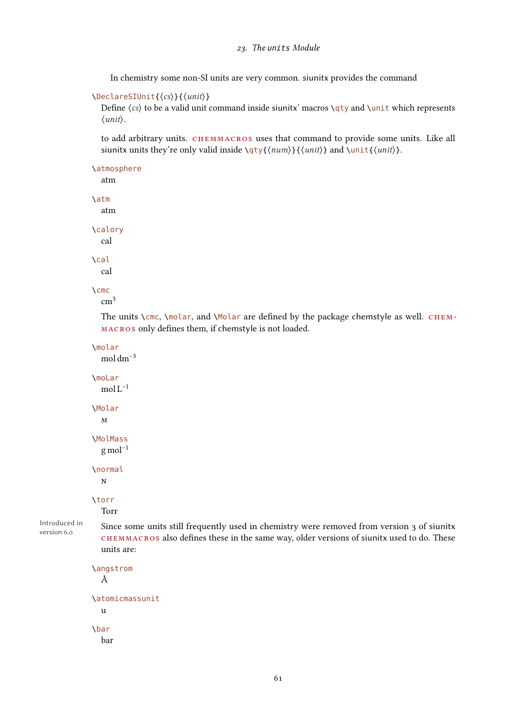In chemistry some non-SI units are very common. siunitx provides the command

```
\DeclareSIUnit{⟨cs⟩}{⟨unit⟩}
```
Define  $\langle cs \rangle$  to be a valid unit command inside siunity' macros  $\qquad$   $\qquad$  and  $\univ$  which represents ⟨unit⟩.

to add arbitrary units. chemmacros uses that command to provide some units. Like all siunitx units they're only valid inside  $\qquady{\langle num \rangle}{\langle unit \rangle}$  and  $\unit{\{unit \}}$ .

```
\atmosphere
  atm
\atm
```
\calory cal

atm

\cal cal

```
\cmc
```

```
cm<sup>3</sup>
```
The units  $\csc$ ,  $\mbox{molar}$ , and  $\mbox{Molar}$  are defined by the package chemstyle as well. CHEMmacros only defines them, if chemstyle is not loaded.

```
\molar
  mol dm−3
```
\moLar mol  $L^{-1}$ \Molar m \MolMass  $g$  mol<sup>-1</sup> \normal n \torr

```
Torr
```
Introduced in version 6.0

Since some units still frequently used in chemistry were removed from version 3 of siunitx chemmacros also defines these in the same way, older versions of siunitx used to do. These units are:

```
\angstrom
  Å
\atomicmassunit
  u
\bar
  bar
```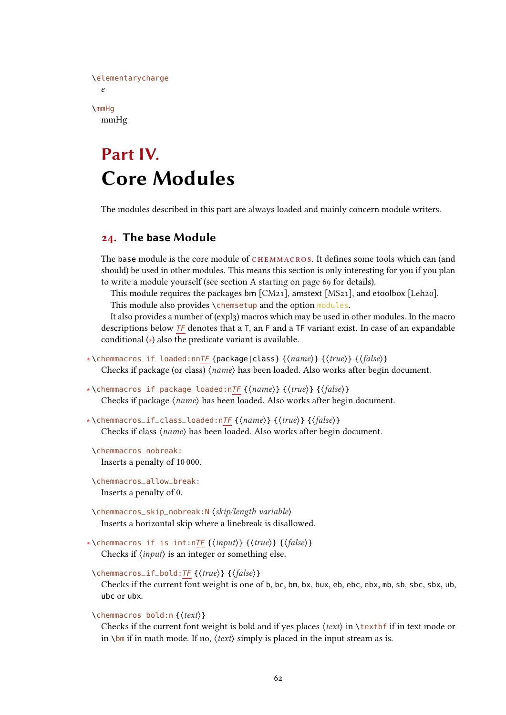```
\elementarycharge
  \mathbf{e}\mmHg
  mmHg
```
# Part IV. Core Modules

The modules described in this part are always loaded and mainly concern module writers.

# <span id="page-61-0"></span>24. The **base** Module

The base module is the core module of CHEMMACROS. It defines some tools which can (and should) be used in other modules. This means this section is only interesting for you if you plan to write a module yourself (see section [A starting on page 69](#page-68-0) for details).

This module requires the packages bm  $[CM21]$ , amstext  $[MS21]$ , and etoolbox  $[Leh20]$ . This module also provides \chemsetup and the option modules.

It also provides a number of (expl3) macros which may be used in other modules. In the macro descriptions below  $TF$  denotes that a T, an F and a TF variant exist. In case of an expandable conditional (∗) also the predicate variant is available.

- ∗ \chemmacros\_if\_loaded:nnTF {package|class} {⟨name⟩} {⟨true⟩} {⟨false⟩} Checks if package (or class) ⟨name⟩ has been loaded. Also works after begin document.
- ∗ \chemmacros\_if\_package\_loaded:nTF {⟨name⟩} {⟨true⟩} {⟨false⟩} Checks if package ⟨name⟩ has been loaded. Also works after begin document.
- ∗ \chemmacros\_if\_class\_loaded:nTF {⟨name⟩} {⟨true⟩} {⟨false⟩} Checks if class ⟨name⟩ has been loaded. Also works after begin document.
- \chemmacros\_nobreak: Inserts a penalty of 10 000.
- \chemmacros\_allow\_break: Inserts a penalty of 0.
- \chemmacros\_skip\_nobreak:N ⟨skip/length variable⟩ Inserts a horizontal skip where a linebreak is disallowed.

```
∗ \chemmacros_if_is_int:nTF {⟨input⟩} {⟨true⟩} {⟨false⟩}
    Checks if \langle input \rangle is an integer or something else.
```

```
\chemmacros_if_bold:TF {⟨true⟩} {⟨false⟩}
```
Checks if the current font weight is one of <sup>b</sup>, bc, bm, bx, bux, eb, ebc, ebx, mb, sb, sbc, sbx, ub, ubc or ubx.

```
\chemmacros_bold:n {⟨text⟩}
```
Checks if the current font weight is bold and if yes places  $\langle text \rangle$  in  $\text{text if}$  in text mode or in  $\binom{bm}{i}$  if in math mode. If no,  $\langle text \rangle$  simply is placed in the input stream as is.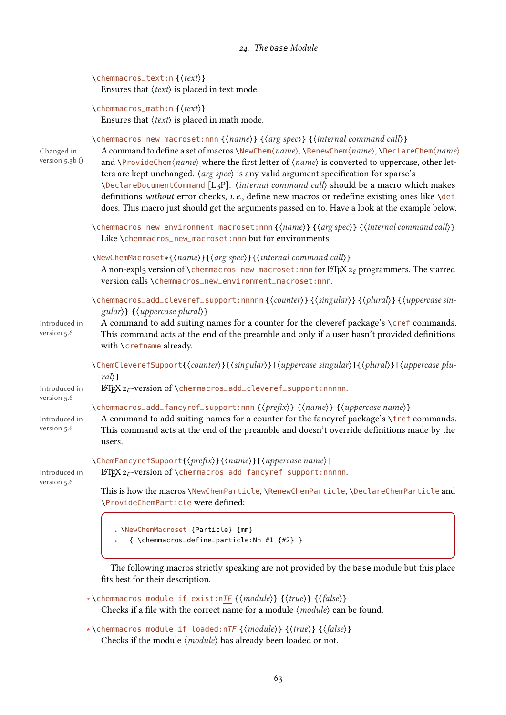# 24. The base Module

|                                             | \chemmacros_text:n{(text)}<br>Ensures that $\langle text \rangle$ is placed in text mode.                                                                                                                                                                                                                                                                                                                                                                                                                                                                                                                                                                                                     |
|---------------------------------------------|-----------------------------------------------------------------------------------------------------------------------------------------------------------------------------------------------------------------------------------------------------------------------------------------------------------------------------------------------------------------------------------------------------------------------------------------------------------------------------------------------------------------------------------------------------------------------------------------------------------------------------------------------------------------------------------------------|
|                                             | \chemmacros_math:n{\text}}<br>Ensures that $\langle text \rangle$ is placed in math mode.                                                                                                                                                                                                                                                                                                                                                                                                                                                                                                                                                                                                     |
| Changed in<br>version $5.3b$ ()             | \chemmacros_new_macroset:nnn {(name)} {(arg spec)} {(internal command call)}<br>A command to define a set of macros \NewChem(name), \RenewChem(name), \DeclareChem(name)<br>and \ProvideChem $\langle name \rangle$ where the first letter of $\langle name \rangle$ is converted to uppercase, other let-<br>ters are kept unchanged. (arg spec) is any valid argument specification for xparse's<br>\DeclareDocumentCommand [L3P]. (internal command call) should be a macro which makes<br>definitions without error checks, i.e., define new macros or redefine existing ones like \def<br>does. This macro just should get the arguments passed on to. Have a look at the example below. |
|                                             | \chemmacros_new_environment_macroset:nnn{\name}}{\argspec}}{\internal command call}}<br>Like \chemmacros_new_macroset:nnn but for environments.                                                                                                                                                                                                                                                                                                                                                                                                                                                                                                                                               |
|                                             | \NewChemMacroset*{\name}}{\arg spec}}{\internal command call}}<br>A non-expl3 version of \chemmacros_new_macroset:nnn for $\mathbb{A}\text{Tr}X$ $z_{\varepsilon}$ programmers. The starred<br>version calls \chemmacros_new_environment_macroset:nnn.                                                                                                                                                                                                                                                                                                                                                                                                                                        |
| Introduced in<br>version 5.6                | \chemmacros_add_cleveref_support:nnnnn{\(counter)}{\singular)}{\plural}}{\uppercase sin-<br>$\{ \langle uppercase \; plural \rangle \}$<br>A command to add suiting names for a counter for the cleveref package's \cref commands.<br>This command acts at the end of the preamble and only if a user hasn't provided definitions<br>with \crefname already.                                                                                                                                                                                                                                                                                                                                  |
| Introduced in                               | \ChemCleverefSupport{(counter)}{(singular)}[(uppercase singular)]{(plural)}[(uppercase plu-<br>$ral$ )]<br>$\Delta z$ -version of \chemmacros_add_cleveref_support:nnnnn.                                                                                                                                                                                                                                                                                                                                                                                                                                                                                                                     |
| version 5.6<br>Introduced in<br>version 5.6 | \chemmacros_add_fancyref_support:nnn {\prefix}} {\name}} {\uppercase name}}<br>A command to add suiting names for a counter for the fancyref package's \fref commands.<br>This command acts at the end of the preamble and doesn't override definitions made by the<br>users.                                                                                                                                                                                                                                                                                                                                                                                                                 |
| Introduced in                               | \ChemFancyrefSupport{\prefix\}}{\name\}] [\uppercase name\]<br>$\Delta z_{\varepsilon}$ -version of \chemmacros_add_fancyref_support:nnnnn.                                                                                                                                                                                                                                                                                                                                                                                                                                                                                                                                                   |
| version 5.6                                 | This is how the macros \NewChemParticle, \RenewChemParticle, \DeclareChemParticle and<br>\ProvideChemParticle were defined:                                                                                                                                                                                                                                                                                                                                                                                                                                                                                                                                                                   |
|                                             | I \NewChemMacroset {Particle} {mm}<br>{\chemmacros_define_particle:Nn #1 ${#2}$ }                                                                                                                                                                                                                                                                                                                                                                                                                                                                                                                                                                                                             |
|                                             | The following macros strictly speaking are not provided by the base module but this place<br>fits best for their description.                                                                                                                                                                                                                                                                                                                                                                                                                                                                                                                                                                 |

∗ \chemmacros\_module\_if\_exist:nTF {⟨module⟩} {⟨true⟩} {⟨false⟩} Checks if a file with the correct name for a module  $\langle \textit{module} \rangle$  can be found.

∗ \chemmacros\_module\_if\_loaded:nTF {⟨module⟩} {⟨true⟩} {⟨false⟩} Checks if the module ⟨module⟩ has already been loaded or not.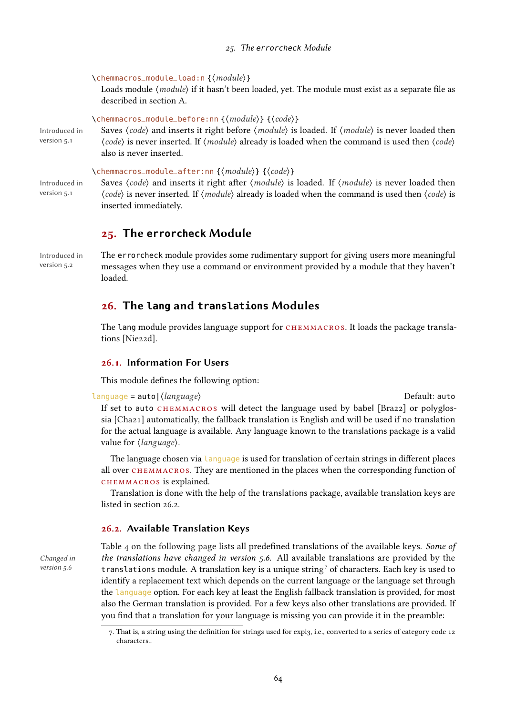\chemmacros\_module\_load:n {⟨module⟩}

Loads module ⟨*module*⟩ if it hasn't been loaded, yet. The module must exist as a separate file as described in section [A.](#page-68-0)

```
\chemmacros_module_before:nn {⟨module⟩} {⟨code⟩}
```
Introduced in version 5.1

Saves  $\langle code \rangle$  and inserts it right before  $\langle module \rangle$  is loaded. If  $\langle module \rangle$  is never loaded then ⟨code⟩ is never inserted. If ⟨module⟩ already is loaded when the command is used then ⟨code⟩ also is never inserted.

\chemmacros\_module\_after:nn {⟨module⟩} {⟨code⟩}

Introduced in version 5.1

Saves  $\langle code \rangle$  and inserts it right after  $\langle module \rangle$  is loaded. If  $\langle module \rangle$  is never loaded then ⟨code⟩ is never inserted. If ⟨module⟩ already is loaded when the command is used then ⟨code⟩ is inserted immediately.

# 25. The **errorcheck** Module

Introduced in version 5.2

The errorcheck module provides some rudimentary support for giving users more meaningful messages when they use a command or environment provided by a module that they haven't loaded.

# <span id="page-63-0"></span>26. The **lang** and **translations** Modules

The lang module provides language support for CHEMMACROS. It loads the package translations [\[Nie22d\]](#page-71-10).

## 26.1. Information For Users

This module defines the following option:

language = auto|⟨language⟩ Default: auto If set to auto CHEMMACROS will detect the language used by babel [\[Bra22\]](#page-70-1) or polyglossia [\[Cha21\]](#page-71-11) automatically, the fallback translation is English and will be used if no translation for the actual language is available. Any language known to the translations package is a valid value for  $\langle \text{language} \rangle$ .

The language chosen via language is used for translation of certain strings in different places all over chemmacros. They are mentioned in the places when the corresponding function of chemmacros is explained.

Translation is done with the help of the translations package, available translation keys are listed in section [26.2.](#page-63-1)

#### <span id="page-63-1"></span>26.2. Available Translation Keys

version 5.6

Table [4 on the following page](#page-64-0) lists all predefined translations of the available keys. Some of Changed in the translations have changed in version 5.6. All available translations are provided by the translations module. A translation key is a unique string<sup>[7](#page-63-2)</sup> of characters. Each key is used to identify a replacement text which depends on the current language or the language set through the language option. For each key at least the English fallback translation is provided, for most also the German translation is provided. For a few keys also other translations are provided. If you find that a translation for your language is missing you can provide it in the preamble:

<span id="page-63-2"></span><sup>7.</sup> That is, a string using the definition for strings used for expl3, i.e., converted to a series of category code 12 characters..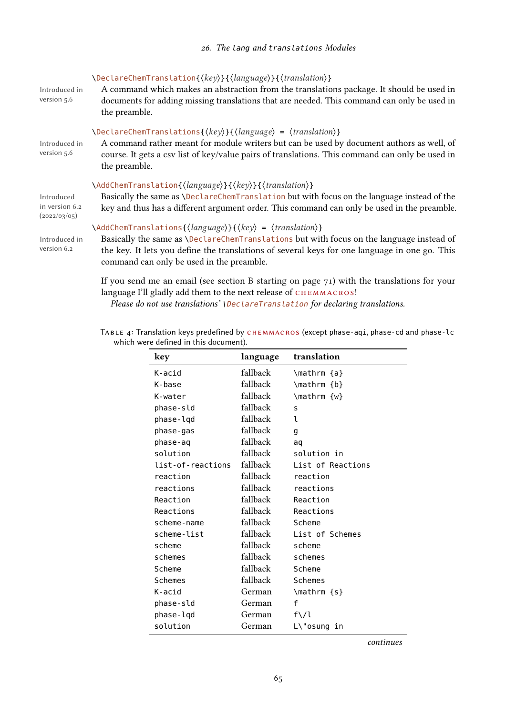| Introduced in<br>version 5.6                 | \DeclareChemTranslation{(key)}{(language)}{(translation)}<br>A command which makes an abstraction from the translations package. It should be used in<br>documents for adding missing translations that are needed. This command can only be used in<br>the preamble.                                                              |
|----------------------------------------------|------------------------------------------------------------------------------------------------------------------------------------------------------------------------------------------------------------------------------------------------------------------------------------------------------------------------------------|
| Introduced in<br>version 5.6                 | $\text{DeclareChemTranslations}\{\langle key \rangle\}\{\langle language \rangle = \langle translation \rangle\}$<br>A command rather meant for module writers but can be used by document authors as well, of<br>course. It gets a csv list of key/value pairs of translations. This command can only be used in<br>the preamble. |
| Introduced<br>in version 6.2<br>(2022/03/05) | \AddChemTranslation{\language}}{\key}}{\translation}}<br>Basically the same as <i>\DeclareChemTranslation</i> but with focus on the language instead of the<br>key and thus has a different argument order. This command can only be used in the preamble.                                                                         |
| Introduced in<br>version 6.2                 | $\{\text{AddChemTranslations}\{\langle \text{language}\rangle\}\}\ \langle \text{key}\rangle = \langle \text{translation}\rangle\}$<br>Basically the same as \DeclareChemTranslations but with focus on the language instead of<br>the key. It lets you define the translations of several keys for one language in one go. This   |

If you send me an email (see section [B starting on page 71\)](#page-70-2) with the translations for your language I'll gladly add them to the next release of CHEMMACROS!

Please do not use translations' \DeclareTranslation for declaring translations.

command can only be used in the preamble.

<span id="page-64-0"></span>TABLE 4: Translation keys predefined by CHEMMACROS (except phase-aqi, phase-cd and phase-lc which were defined in this document).

| key               | language | translation       |
|-------------------|----------|-------------------|
| K-acid            | fallback | \mathrm {a}       |
| K-base            | fallback | \mathrm {b}       |
| K-water           | fallback | \mathrm {w}       |
| phase-sld         | fallback | s                 |
| phase-lqd         | fallback | ı                 |
| phase-gas         | fallback | g                 |
| phase-ag          | fallback | aq                |
| solution          | fallback | solution in       |
| list-of-reactions | fallback | List of Reactions |
| reaction          | fallback | reaction          |
| reactions         | fallback | reactions         |
| Reaction          | fallback | Reaction          |
| Reactions         | fallback | Reactions         |
| scheme-name       | fallback | Scheme            |
| scheme-list       | fallback | List of Schemes   |
| scheme            | fallback | scheme            |
| schemes           | fallback | schemes           |
| Scheme            | fallback | Scheme            |
| <b>Schemes</b>    | fallback | <b>Schemes</b>    |
| K-acid            | German   | \mathrm {s}       |
| phase-sld         | German   | f                 |
| phase-lqd         | German   | $f\backslash/l$   |
| solution          | German   | L\"osung<br>in    |

continues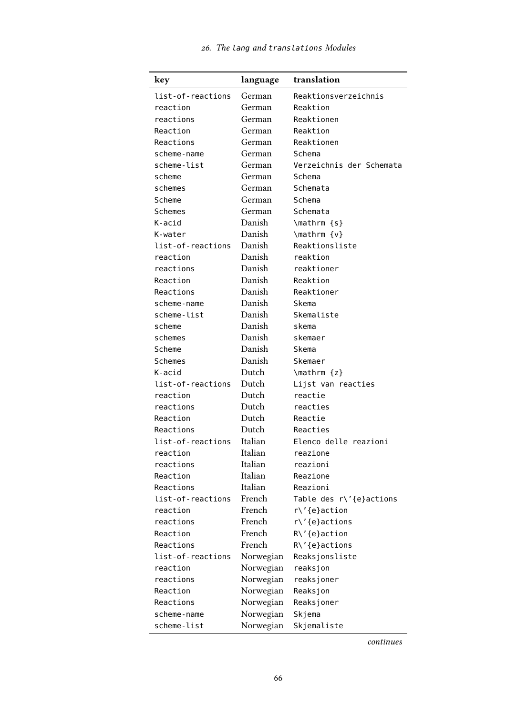| key               | language  | translation              |  |
|-------------------|-----------|--------------------------|--|
| list-of-reactions | German    | Reaktionsverzeichnis     |  |
| reaction          | German    | Reaktion                 |  |
| reactions         | German    | Reaktionen               |  |
| Reaction          | German    | Reaktion                 |  |
| Reactions         | German    | Reaktionen               |  |
| scheme-name       | German    | Schema                   |  |
| scheme-list       | German    | Verzeichnis der Schemata |  |
| scheme            | German    | Schema                   |  |
| schemes           | German    | Schemata                 |  |
| Scheme            | German    | Schema                   |  |
| Schemes           | German    | Schemata                 |  |
| K-acid            | Danish    | \mathrm {s}              |  |
| K-water           | Danish    | \mathrm {v}              |  |
| list-of-reactions | Danish    | Reaktionsliste           |  |
| reaction          | Danish    | reaktion                 |  |
| reactions         | Danish    | reaktioner               |  |
| Reaction          | Danish    | Reaktion                 |  |
| Reactions         | Danish    | Reaktioner               |  |
| scheme-name       | Danish    | Skema                    |  |
| scheme-list       | Danish    | Skemaliste               |  |
| scheme            | Danish    | skema                    |  |
| schemes           | Danish    | skemaer                  |  |
| Scheme            | Danish    | Skema                    |  |
| <b>Schemes</b>    | Danish    | Skemaer                  |  |
| K-acid            | Dutch     | $\mathcal{L}$            |  |
| list-of-reactions | Dutch     | Lijst van reacties       |  |
| reaction          | Dutch     | reactie                  |  |
| reactions         | Dutch     | reacties                 |  |
| Reaction          | Dutch     | Reactie                  |  |
| Reactions         | Dutch     | Reacties                 |  |
| list-of-reactions | Italian   | Elenco delle reazioni    |  |
| reaction          | Italian   | reazione                 |  |
| reactions         | Italian   | reazioni                 |  |
| Reaction          | Italian   | Reazione                 |  |
| Reactions         | Italian   | Reazioni                 |  |
| list-of-reactions | French    | Table des r\'{e}actions  |  |
| reaction          | French    | r\'{e}action             |  |
| reactions         | French    | r\'{e}actions            |  |
| Reaction          | French    | R\'{e}action             |  |
| Reactions         | French    | R\'{e}actions            |  |
| list-of-reactions | Norwegian | Reaksjonsliste           |  |
| reaction          | Norwegian | reaksjon                 |  |
| reactions         | Norwegian | reaksjoner               |  |
| Reaction          | Norwegian | Reaksjon                 |  |
| Reactions         | Norwegian | Reaksjoner               |  |
| scheme-name       | Norwegian | Skjema                   |  |
| scheme-list       | Norwegian | Skjemaliste              |  |

continues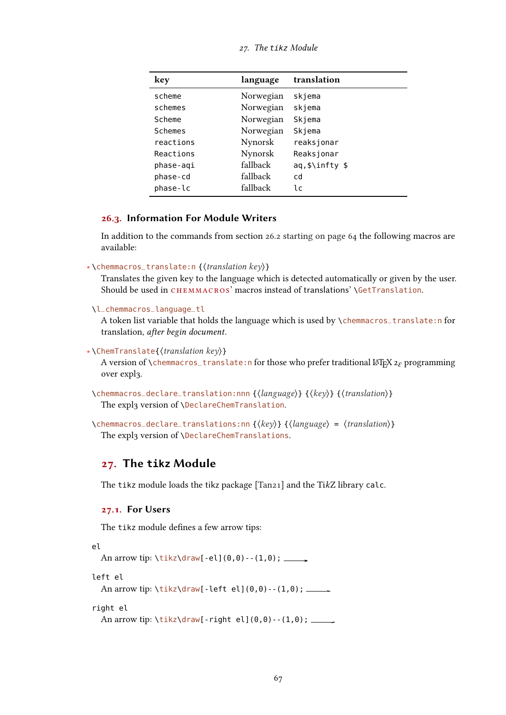| key       | language  | translation    |
|-----------|-----------|----------------|
| scheme    | Norwegian | skjema         |
| schemes   | Norwegian | skjema         |
| Scheme    | Norwegian | Skjema         |
| Schemes   | Norwegian | Skjema         |
| reactions | Nynorsk   | reaksjonar     |
| Reactions | Nynorsk   | Reaksjonar     |
| phase-aqi | fallback  | aq,\$\infty \$ |
| phase-cd  | fallback  | cd             |
| phase-lc  | fallback  | lc             |

#### 27. The tikz Module

# 26.3. Information For Module Writers

In addition to the commands from section [26.2 starting on page 64](#page-63-1) the following macros are available:

```
∗ \chemmacros_translate:n {⟨translation key⟩}
```
Translates the given key to the language which is detected automatically or given by the user. Should be used in CHEMMACROS' macros instead of translations' \GetTranslation.

\l\_chemmacros\_language\_tl

A token list variable that holds the language which is used by \chemmacros\_translate:n for translation, after begin document.

```
∗ \ChemTranslate{⟨translation key⟩}
```
A version of \chemmacros\_translate:n for those who prefer traditional LATEX  $2 \epsilon$  programming over expl3.

```
\chemmacros_declare_translation:nnn {⟨language⟩} {⟨key⟩} {⟨translation⟩}
  The expl3 version of \DeclareChemTranslation.
```
\chemmacros\_declare\_translations:nn {⟨key⟩} {⟨language⟩ = ⟨translation⟩} The expl3 version of \DeclareChemTranslations.

# 27. The **tikz** Module

The tikz module loads the tikz package [\[Tan21\]](#page-72-5) and the TikZ library calc.

#### 27.1. For Users

The tikz module defines a few arrow tips:

```
el
```
An arrow tip:  $\text{tikz\draw}[-el](0,0) - (1,0); \_\_\_\}$ 

left el

An arrow tip: \tikz\draw[-left el](0,0)--(1,0);

right el

An arrow tip: \tikz\draw[-right el](0,0)--(1,0); \_\_\_\_\_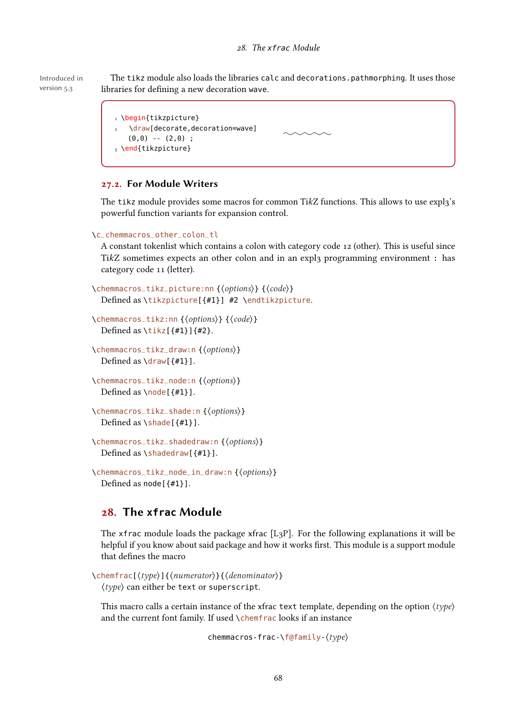#### 28. The xfrac Module

Introduced in version 5.3 The tikz module also loads the libraries calc and decorations.pathmorphing. It uses those libraries for defining a new decoration wave.

```
1 \begin{tikzpicture}
2 \draw[decorate,decoration=wave]
                                             \sim \sim \sim(0,0) -- (2,0);
3 \end{tikzpicture}
```
# 27.2. For Module Writers

The tikz module provides some macros for common TikZ functions. This allows to use  $\exp l_3$ 's powerful function variants for expansion control.

```
\c_chemmacros_other_colon_tl
```
A constant tokenlist which contains a colon with category code 12 (other). This is useful since TikZ sometimes expects an other colon and in an expl $\overline{3}$  programming environment : has category code 11 (letter).

```
\chemmacros_tikz_picture:nn {⟨options⟩} {⟨code⟩}
  Defined as \tikzpicture[{#1}] #2 \endtikzpicture.
```
\chemmacros\_tikz:nn {⟨options⟩} {⟨code⟩} Defined as  $\tilde{\tau}$  [{#1}]{#2}.

```
\chemmacros_tikz_draw:n {⟨options⟩}
  Defined as \daggerdraw[{#1}].
```

```
\chemmacros_tikz_node:n {⟨options⟩}
  Defined as \n\cdot \n\cdot [ #1}].
```

```
\chemmacros_tikz_shade:n {⟨options⟩}
  Defined as \shade[{#1}].
```
\chemmacros\_tikz\_shadedraw:n {⟨options⟩} Defined as \shadedraw[{#1}].

```
\chemmacros_tikz_node_in_draw:n {⟨options⟩}
  Defined as node [ {#1} ].
```
# <span id="page-67-0"></span>28. The **xfrac** Module

The xfrac module loads the package xfrac  $[L_3P]$ . For the following explanations it will be helpful if you know about said package and how it works first. This module is a support module that defines the macro

```
\chemfrac[⟨type⟩]{⟨numerator⟩}{⟨denominator⟩}
  ⟨type⟩ can either be text or superscript.
```
This macro calls a certain instance of the xfrac text template, depending on the option  $\langle type \rangle$ and the current font family. If used \chemfrac looks if an instance

chemmacros-frac-\f@family-⟨type⟩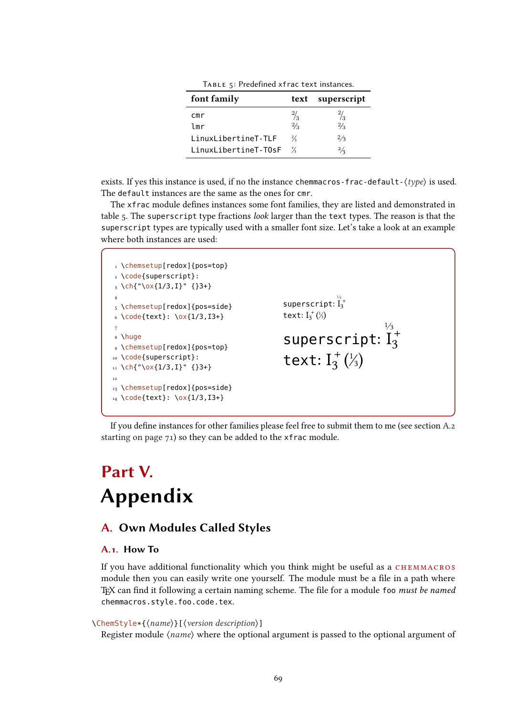| $11.622$ , $11.64$ cantica $11.42$ , contentioned. |               |             |
|----------------------------------------------------|---------------|-------------|
| font family                                        | text          | superscript |
| cmr                                                | $\frac{2}{3}$ |             |
| lmr                                                | $^{2}/_{3}$   | $^{2}/_{3}$ |
| LinuxLibertineT-TLF                                | $\frac{2}{3}$ | 2/3         |
| LinuxLibertineT-T0sF                               | $\frac{2}{2}$ | $^{2}/_{2}$ |

<span id="page-68-1"></span>Table 5: Predefined xfrac text instances.

exists. If yes this instance is used, if no the instance chemmacros-frac-default- $\langle type \rangle$  is used. The default instances are the same as the ones for cmr.

The xfrac module defines instances some font families, they are listed and demonstrated in table [5.](#page-68-1) The superscript type fractions *look* larger than the text types. The reason is that the superscript types are typically used with a smaller font size. Let's take a look at an example where both instances are used:

1 \chemsetup[redox]{pos=top} 2 \code{superscript}:  $3 \ \left\{ \text{ch}\right\} \text{--} \left\{ \text{1/3},\text{I}\right\} \text{--} \left\{ \text{3+}\right\}$ 4 5 \chemsetup[redox]{pos=side}  $6 \ \{code{text}: \ \} \ x{1/3,13+}$ 7 8 \huge 9 \chemsetup[redox]{pos=top} 10 \code{superscript}:  $11 \text{ ch}^{-1}\sqrt{ox}1/3,1$ <sup>"</sup> {}3+} 12 13 \chemsetup[redox]{pos=side} 14 \code{text}: \ox{1/3,I3+} superscript:  $I_3^{\frac{1}{3}}$ text:  $I_{3}^{+}$   $\left(\frac{1}{3}\right)$ superscript:  $\frac{1}{3}$ ½<br>I2 3 text:  $I_3^+({}^1_3)$ +

If you define instances for other families please feel free to submit them to me (see section [A.2](#page-70-3) [starting on page 71\)](#page-70-3) so they can be added to the xfrac module.

# Part V. Appendix

# <span id="page-68-0"></span>A. Own Modules Called Styles

# A.1. How To

If you have additional functionality which you think might be useful as a CHEMMACROS module then you can easily write one yourself. The module must be a file in a path where TEX can find it following a certain naming scheme. The file for a module foo must be named chemmacros.style.foo.code.tex.

# \ChemStyle\*{⟨name⟩}[⟨version description⟩]

Register module  $\langle name \rangle$  where the optional argument is passed to the optional argument of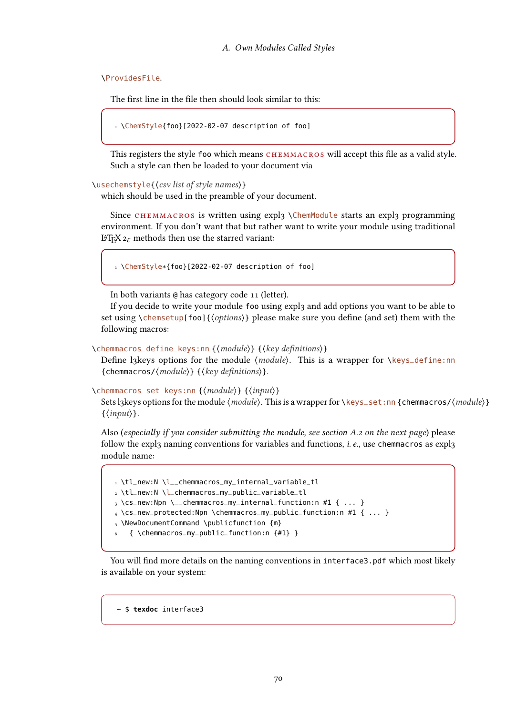\ProvidesFile.

The first line in the file then should look similar to this:

```
1 \ChemStyle{foo}[2022-02-07 description of foo]
```
This registers the style foo which means CHEMMACROS will accept this file as a valid style. Such a style can then be loaded to your document via

#### \usechemstyle{⟨csv list of style names⟩}

which should be used in the preamble of your document.

Since CHEMMACROS is written using expl3 \ChemModule starts an expl3 programming environment. If you don't want that but rather want to write your module using traditional LAT<sub>E</sub>X  $2 \epsilon$  methods then use the starred variant:

1 \ChemStyle\*{foo}[2022-02-07 description of foo]

In both variants @ has category code 11 (letter).

If you decide to write your module foo using expl3 and add options you want to be able to set using \chemsetup[foo]{⟨options⟩} please make sure you define (and set) them with the following macros:

\chemmacros\_define\_keys:nn {⟨module⟩} {⟨key definitions⟩}

Define l3keys options for the module *(module)*. This is a wrapper for *∖keys\_define:nn* {chemmacros/⟨module⟩} {⟨key definitions⟩}.

\chemmacros\_set\_keys:nn {⟨module⟩} {⟨input⟩}

Sets l3keys options for the module  $\langle module \rangle$ . This is a wrapper for  $\keys$ –set:nn {chemmacros/ $\langle module \rangle$ }  $\{\langle \text{input} \rangle\}.$ 

Also (especially if you consider submitting the module, see section [A.2 on the next page](#page-70-3)) please follow the expl3 naming conventions for variables and functions, *i. e.*, use chemmacros as expl3 module name:

```
1 \tl_new:N \l__chemmacros_my_internal_variable_tl
2 \tl_new:N \l_chemmacros_my_public_variable_tl
3 \cs_new:Npn \__chemmacros_my_internal_function:n #1 { ... }
4 \cs_new_protected:Npn \chemmacros_my_public_function:n #1 { ... }
5 \NewDocumentCommand \publicfunction {m}
   6 { \chemmacros_my_public_function:n {#1} }
```
You will find more details on the naming conventions in interface3.pdf which most likely is available on your system:

~ \$ **texdoc** interface3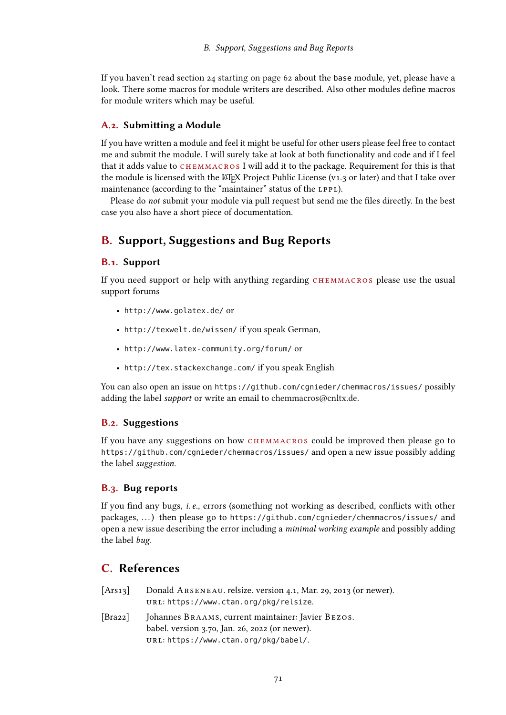If you haven't read section [24 starting on page 62](#page-61-0) about the base module, yet, please have a look. There some macros for module writers are described. Also other modules define macros for module writers which may be useful.

# <span id="page-70-3"></span>A.2. Submitting a Module

If you have written a module and feel it might be useful for other users please feel free to contact me and submit the module. I will surely take at look at both functionality and code and if I feel that it adds value to CHEMMACROS I will add it to the package. Requirement for this is that the module is licensed with the LATEX Project Public License (v1.3 or later) and that I take over maintenance (according to the "maintainer" status of the LPPL).

Please do not submit your module via pull request but send me the files directly. In the best case you also have a short piece of documentation.

# <span id="page-70-2"></span>B. Support, Suggestions and Bug Reports

# B.1. Support

If you need support or help with anything regarding CHEMMACROS please use the usual support forums

- <http://www.golatex.de/> or
- <http://texwelt.de/wissen/> if you speak German,
- <http://www.latex-community.org/forum/> or
- <http://tex.stackexchange.com/> if you speak English

You can also open an issue on <https://github.com/cgnieder/chemmacros/issues/> possibly adding the label support or write an email to [chemmacros@cnltx.de.](mailto:chemmacros@cnltx.de)

# B.2. Suggestions

If you have any suggestions on how CHEMMACROS could be improved then please go to <https://github.com/cgnieder/chemmacros/issues/> and open a new issue possibly adding the label suggestion.

## B.3. Bug reports

If you find any bugs, i.e., errors (something not working as described, conflicts with other packages, ...) then please go to <https://github.com/cgnieder/chemmacros/issues/> and open a new issue describing the error including a *minimal working example* and possibly adding the label bug.

# C. References

- <span id="page-70-0"></span>[Ars13] Donald ARSENEAU. relsize. version 4.1, Mar. 29, 2013 (or newer). url: <https://www.ctan.org/pkg/relsize>.
- <span id="page-70-1"></span>[Bra22] Johannes Braams, current maintainer: Javier Bezos. babel. version 3.70, Jan. 26, 2022 (or newer). url: <https://www.ctan.org/pkg/babel/>.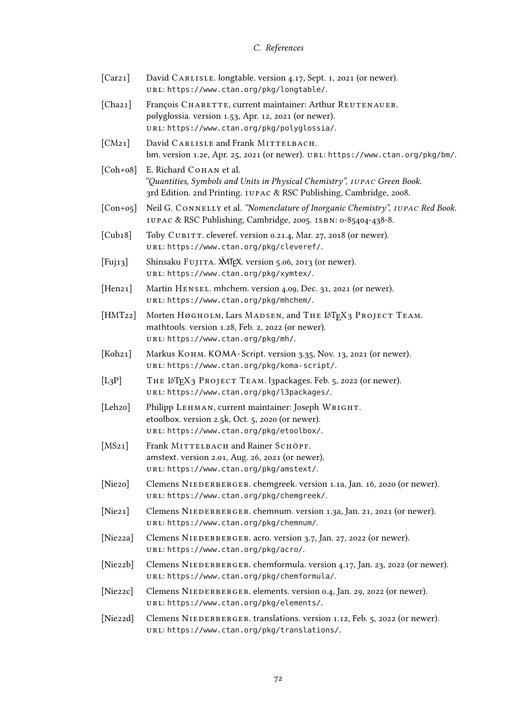# C. References

<span id="page-71-11"></span><span id="page-71-7"></span><span id="page-71-6"></span><span id="page-71-4"></span><span id="page-71-3"></span><span id="page-71-2"></span>

| [Car21]                   | David CARLISLE. longtable. version 4.17, Sept. 1, 2021 (or newer).<br>URL: https://www.ctan.org/pkg/longtable/.                                                            |
|---------------------------|----------------------------------------------------------------------------------------------------------------------------------------------------------------------------|
| [Chaz1]                   | François CHARETTE, current maintainer: Arthur REUTENAUER.<br>polyglossia. version 1.53, Apr. 12, 2021 (or newer).<br>URL: https://www.ctan.org/pkg/polyglossia/.           |
| [CM21]                    | David CARLISLE and Frank MITTELBACH.<br>bm. version 1.2e, Apr. 25, 2021 (or newer). URL: https://www.ctan.org/pkg/bm/.                                                     |
| $[Coh+o8]$                | E. Richard Сонам et al.<br>"Quantities, Symbols and Units in Physical Chemistry", IUPAC Green Book.<br>3rd Edition. 2nd Printing. IUPAC & RSC Publishing, Cambridge, 2008. |
| $[Con+og]$                | Neil G. CONNELLY et al. "Nomenclature of Inorganic Chemistry", IUPAC Red Book.<br>IUPAC & RSC Publishing, Cambridge, 2005. ISBN: 0-85404-438-8.                            |
| [Cub18]                   | Toby CUBITT. cleveref. version 0.21.4, Mar. 27, 2018 (or newer).<br>URL: https://www.ctan.org/pkg/cleveref/.                                                               |
| $[$ Fuj <sub>13</sub> $]$ | Shinsaku FUJITA. MJEX. version 5.06, 2013 (or newer).<br>URL: https://www.ctan.org/pkg/xymtex/.                                                                            |
| [Hen21]                   | Martin HENSEL. mhchem. version 4.09, Dec. 31, 2021 (or newer).<br>URL: https://www.ctan.org/pkg/mhchem/.                                                                   |
| [HMT22]                   | Morten Нøgногм, Lars MADSEN, and THE LATEX3 PROJECT ТЕАМ.<br>mathtools. version 1.28, Feb. 2, 2022 (or newer).<br>URL: https://www.ctan.org/pkg/mh/.                       |
| [Koh21]                   | Markus Конм. KOMA-Script. version 3.35, Nov. 13, 2021 (or newer).<br>URL: https://www.ctan.org/pkg/koma-script/.                                                           |
| $[L_3P]$                  | THE LATEX3 PROJECT TEAM. I3packages. Feb. 5, 2022 (or newer).<br>URL: https://www.ctan.org/pkg/l3packages/.                                                                |
| [Leh <sub>20</sub> ]      | Philipp LEHMAN, current maintainer: Joseph WRIGHT.<br>etoolbox. version 2.5k, Oct. 5, 2020 (or newer).<br>URL: https://www.ctan.org/pkg/etoolbox/.                         |
| [MS21]                    | Frank MITTELBACH and Rainer SCHÖPF.<br>amstext. version 2.01, Aug. 26, 2021 (or newer).<br>URL: https://www.ctan.org/pkg/amstext/.                                         |
| [Nie20]                   | Clemens NIEDERBERGER. chemgreek. version 1.1a, Jan. 16, 2020 (or newer).<br>URL: https://www.ctan.org/pkg/chemgreek/.                                                      |
| [Nie21]                   | Clemens NIEDERBERGER. chemnum. version 1.3a, Jan. 21, 2021 (or newer).<br>URL: https://www.ctan.org/pkg/chemnum/.                                                          |
| [Nie22a]                  | Clemens NIEDERBERGER. acro. version 3.7, Jan. 27, 2022 (or newer).<br>URL: https://www.ctan.org/pkg/acro/.                                                                 |
| [Nie22b]                  | Clemens NIEDERBERGER. chemformula. version 4.17, Jan. 23, 2022 (or newer).<br>URL: https://www.ctan.org/pkg/chemformula/.                                                  |
| [Nie22c]                  | Clemens NIEDERBERGER. elements. version 0.4, Jan. 29, 2022 (or newer).<br>URL: https://www.ctan.org/pkg/elements/.                                                         |
| [Nie22d]                  | Clemens NIEDERBERGER. translations. version 1.12, Feb. 5, 2022 (or newer).                                                                                                 |

<span id="page-71-10"></span><span id="page-71-9"></span><span id="page-71-8"></span><span id="page-71-5"></span><span id="page-71-1"></span><span id="page-71-0"></span>url: <https://www.ctan.org/pkg/translations/>.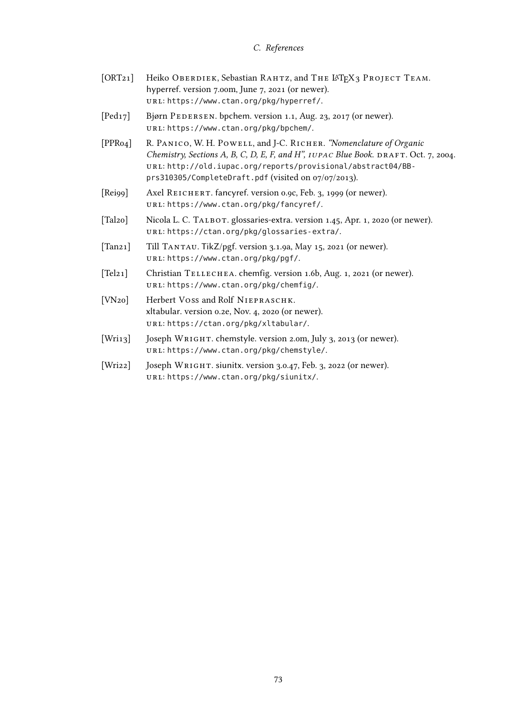### C. References

- [ORT21] Heiko Oberdiek, Sebastian RAHTZ, and THE LATEX3 PROJECT TEAM. hyperref. version 7.00m, June 7, 2021 (or newer). url: <https://www.ctan.org/pkg/hyperref/>.
- [Ped17] Bjørn PEDERSEN. bpchem. version 1.1, Aug. 23, 2017 (or newer). url: <https://www.ctan.org/pkg/bpchem/>.
- [PPR04] R. PANICO, W. H. POWELL, and J-C. RICHER. "Nomenclature of Organic Chemistry, Sections A, B, C, D, E, F, and H", IUPAC Blue Book. DRAFT. Oct. 7, 2004. url: [http://old.iupac.org/reports/provisional/abstract04/BB](http://old.iupac.org/reports/provisional/abstract04/BB-prs310305/CompleteDraft.pdf)[prs310305/CompleteDraft.pdf](http://old.iupac.org/reports/provisional/abstract04/BB-prs310305/CompleteDraft.pdf) (visited on 07/07/2013).
- [Rei99] Axel REICHERT. fancyref. version 0.9c, Feb. 3, 1999 (or newer). url: <https://www.ctan.org/pkg/fancyref/>.
- [Tal2o] Nicola L. C. TALBOT. glossaries-extra. version 1.45, Apr. 1, 2020 (or newer). url: <https://ctan.org/pkg/glossaries-extra/>.
- [Tan21] Till TANTAU. TikZ/pgf. version 3.1.9a, May 15, 2021 (or newer). url: <https://www.ctan.org/pkg/pgf/>.
- [Tel21] Christian TELLECHEA. chemfig. version 1.6b, Aug. 1, 2021 (or newer). url: <https://www.ctan.org/pkg/chemfig/>.
- [VN20] Herbert Voss and Rolf NIEPRASCHK. xltabular. version 0.2e, Nov. 4, 2020 (or newer). url: <https://ctan.org/pkg/xltabular/>.
- [Wri13] Joseph WRIGHT. chemstyle. version 2.0m, July 3, 2013 (or newer). url: <https://www.ctan.org/pkg/chemstyle/>.
- [Wri22] Joseph WRIGHT. siunitx. version 3.0.47, Feb. 3, 2022 (or newer). url: <https://www.ctan.org/pkg/siunitx/>.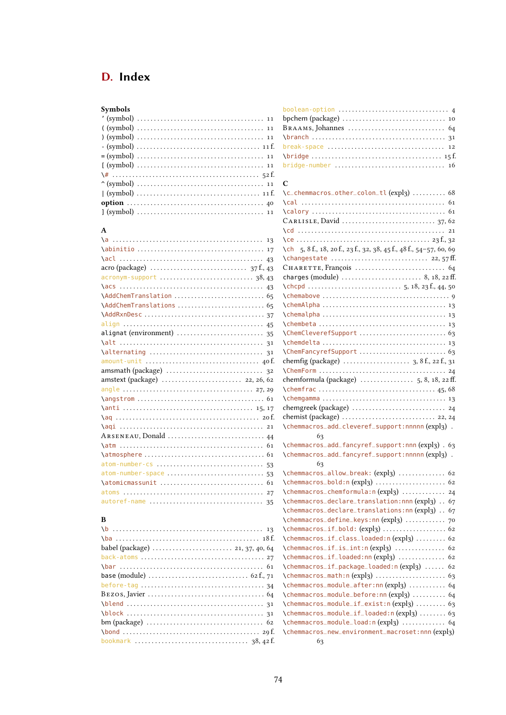# D. Index

| Symbols                                                                                      |
|----------------------------------------------------------------------------------------------|
|                                                                                              |
|                                                                                              |
|                                                                                              |
|                                                                                              |
|                                                                                              |
|                                                                                              |
|                                                                                              |
|                                                                                              |
|                                                                                              |
| option $\ldots \ldots \ldots \ldots \ldots \ldots \ldots \ldots \ldots \ldots \ldots \ldots$ |
|                                                                                              |

### A

B

| acronym-support  38,43    |  |
|---------------------------|--|
|                           |  |
|                           |  |
|                           |  |
|                           |  |
|                           |  |
| alignat (environment)  35 |  |
|                           |  |
|                           |  |
| amount-unit  40 f.        |  |
|                           |  |
|                           |  |
|                           |  |
|                           |  |
|                           |  |
|                           |  |
|                           |  |
|                           |  |
|                           |  |
|                           |  |
| atom-number-cs  53        |  |
| atom-number-space  53     |  |
|                           |  |
|                           |  |
| autoref-name  35          |  |
|                           |  |

### boolean-option . . . . . . . . . . . . . . . . . . . . . . . . . . . . . . . . . [4](#page-3-0) bpchem (package) . . . . . . . . . . . . . . . . . . . . . . . . . . . . . . . [10](#page-9-0) Braams, Johannes . . . . . . . . . . . . . . . . . . . . . . . . . . . . . [64](#page-63-0) \branch . . . . . . . . . . . . . . . . . . . . . . . . . . . . . . . . . . . . . . . . [31](#page-30-0) break-space . . . . . . . . . . . . . . . . . . . . . . . . . . . . . . . . . . . [12](#page-11-0) \bridge . . . . . . . . . . . . . . . . . . . . . . . . . . . . . . . . . . . . . . . [15](#page-14-0) f. bridge-number . . . . . . . . . . . . . . . . . . . . . . . . . . . . . . . . . [16](#page-15-0)

### $\Gamma$

| \c_chemmacros_other_colon_tl (expl3)  68                           |                      |
|--------------------------------------------------------------------|----------------------|
|                                                                    |                      |
|                                                                    |                      |
|                                                                    |                      |
|                                                                    |                      |
|                                                                    |                      |
| \ch 5, 8 f., 18, 20 f., 23 f., 32, 38, 45 f., 48 f., 54-57, 60, 69 |                      |
| \changestate  22, 57 ff.                                           |                      |
|                                                                    |                      |
| charges (module)  8, 18, 22 ff.                                    |                      |
|                                                                    |                      |
|                                                                    |                      |
|                                                                    |                      |
|                                                                    |                      |
|                                                                    |                      |
|                                                                    |                      |
|                                                                    |                      |
|                                                                    |                      |
|                                                                    |                      |
|                                                                    |                      |
|                                                                    |                      |
|                                                                    |                      |
|                                                                    |                      |
|                                                                    |                      |
|                                                                    |                      |
| \chemmacros_add_cleveref_support:nnnnn(expl3).                     |                      |
| 63                                                                 |                      |
| \chemmacros_add_fancyref_support:nnn(expl3). 63                    |                      |
| \chemmacros_add_fancyref_support:nnnnn (expl3)                     | $\ddot{\phantom{a}}$ |
| 63                                                                 |                      |
| \chemmacros_allow_break: (expl3)  62                               |                      |
| \chemmacros_bold:n(expl3)  62                                      |                      |
| \chemmacros_chemformula:n(expl3)  24                               |                      |
| \chemmacros_declare_translation:nnn(expl3)                         | 67                   |
| \chemmacros_declare_translations:nn(expl3)                         | 67                   |
| \chemmacros_define_keys:nn(expl3)                                  | 70                   |
| \chemmacros_if_bold: (expl3)  62                                   |                      |
| \chemmacros_if_class_loaded:n(expl3)  62                           |                      |
| \chemmacros_if_is_int:n(expl3)  62                                 |                      |
| \chemmacros_if_loaded:nn(expl3)  62                                |                      |
| \chemmacros_if_package_loaded:n(expl3)  62                         |                      |
| \chemmacros_math:n(expl3)  63                                      |                      |
| \chemmacros_module_after:nn(expl3)                                 | 64                   |
| \chemmacros_module_before:nn(expl3)  64                            |                      |
| \chemmacros_module_if_exist:n(expl3)  63                           |                      |
| \chemmacros_module_if_loaded:n(expl3)  63                          |                      |
| \chemmacros_module_load:n(expl3)  64                               |                      |
| \chemmacros_new_environment_macroset:nnn(expl3)                    |                      |
| 63                                                                 |                      |

### \b . . . . . . . . . . . . . . . . . . . . . . . . . . . . . . . . . . . . . . . . . . . . . [13](#page-12-0) \ba . . . . . . . . . . . . . . . . . . . . . . . . . . . . . . . . . . . . . . . . . . . [18](#page-17-0) f. babel (package) . . . . . . . . . . . . . . . . . . . . . . . . [21,](#page-20-0) [37,](#page-36-0) [40,](#page-39-0) [64](#page-63-0) back-atoms . . . . . . . . . . . . . . . . . . . . . . . . . . . . . . . . . . . . . [27](#page-26-0) \bar . . . . . . . . . . . . . . . . . . . . . . . . . . . . . . . . . . . . . . . . . . . [61](#page-60-0) base (module) . . . . . . . . . . . . . . . . . . . . . . . . . . . . . . [62](#page-61-0) f., [71](#page-70-0) before-tag . . . . . . . . . . . . . . . . . . . . . . . . . . . . . . . . . . . . . [34](#page-33-0) Bezos, Javier . . . . . . . . . . . . . . . . . . . . . . . . . . . . . . . . . . . [64](#page-63-0) \blend . . . . . . . . . . . . . . . . . . . . . . . . . . . . . . . . . . . . . . . . . [31](#page-30-0) \block . . . . . . . . . . . . . . . . . . . . . . . . . . . . . . . . . . . . . . . . . [31](#page-30-0) bm (package) . . . . . . . . . . . . . . . . . . . . . . . . . . . . . . . . . . . [62](#page-61-0) \bond . . . . . . . . . . . . . . . . . . . . . . . . . . . . . . . . . . . . . . . . . [29](#page-28-0) f. bookmark . . . . . . . . . . . . . . . . . . . . . . . . . . . . . . . . . . [38,](#page-37-0) [42](#page-41-0) f.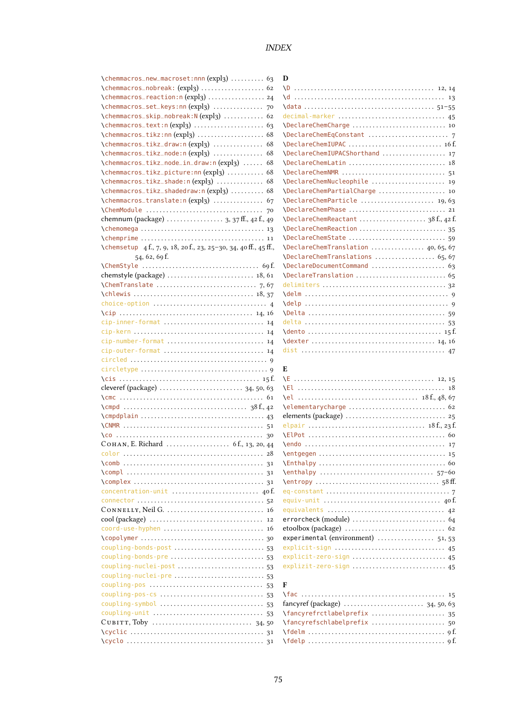# INDEX

| \chemmacros_new_macroset:nnn(expl3)  63                              |
|----------------------------------------------------------------------|
| \chemmacros_nobreak: (expl3)  62                                     |
| \chemmacros_reaction:n(expl3)  24                                    |
| \chemmacros_set_keys:nn(expl3)<br>70                                 |
| \chemmacros_skip_nobreak:N(expl3)<br>62<br>\chemmacros_text:n(expl3) |
| 63<br>\chemmacros_tikz:nn(expl3)<br>68                               |
| \chemmacros_tikz_draw:n(expl3)<br>68                                 |
| \chemmacros_tikz_node:n(expl3)<br>68                                 |
| \chemmacros_tikz_node_in_draw:n(expl3)<br>68                         |
| \chemmacros_tikz_picture:nn(expl3)<br>68                             |
| \chemmacros_tikz_shade:n(expl3)<br>68                                |
| \chemmacros_tikz_shadedraw:n(expl3)<br>68                            |
| \chemmacros_translate:n(expl3)<br>67                                 |
| 70                                                                   |
| chemnum (package)  3, 37 ff., 42 f., 49                              |
| 13                                                                   |
| 11                                                                   |
| \chemsetup 4f., 7, 9, 18, 20f., 23, 25-30, 34, 40ff., 45ff.,         |
| 54, 62, 69 f.                                                        |
|                                                                      |
| chemstyle (package)  18, 61                                          |
|                                                                      |
|                                                                      |
|                                                                      |
|                                                                      |
| cip-inner-format<br>14                                               |
|                                                                      |
| cip-number-format  14                                                |
| cip-outer-format  14                                                 |
|                                                                      |
|                                                                      |
|                                                                      |
|                                                                      |
|                                                                      |
|                                                                      |
|                                                                      |
|                                                                      |
|                                                                      |
| color                                                                |
|                                                                      |
|                                                                      |
|                                                                      |
|                                                                      |
|                                                                      |
| 16                                                                   |
| 12                                                                   |
| coord-use-hyphen  16                                                 |
|                                                                      |
| coupling-bonds-post  53                                              |
|                                                                      |
| coupling-nuclei-post  53                                             |
| coupling-nuclei-pre  53                                              |
| coupling-pos<br>53                                                   |
|                                                                      |
|                                                                      |
| coupling-unit<br>53                                                  |
|                                                                      |
|                                                                      |
|                                                                      |

| D                                   |
|-------------------------------------|
|                                     |
|                                     |
|                                     |
| decimal-marker  45                  |
|                                     |
|                                     |
| \DeclareChemIUPAC  16f              |
| \DeclareChemIUPACShorthand  17      |
| \DeclareChemLatin  18               |
|                                     |
| \DeclareChemNucleophile<br>19       |
| \DeclareChemPartialCharge  10       |
| \DeclareChemParticle  19,63         |
| \DeclareChemPhase  21               |
|                                     |
| \DeclareChemReaction  35            |
|                                     |
| \DeclareChemTranslation  40, 65, 67 |
| \DeclareChemTranslations  65, 67    |
| \DeclareDocumentCommand  63         |
|                                     |
|                                     |
|                                     |
|                                     |
|                                     |
|                                     |
|                                     |
|                                     |
|                                     |

## E

| equivalents  42                   |
|-----------------------------------|
|                                   |
|                                   |
| experimental (environment)  51,53 |
| explicit-sign  45                 |
| explicit-zero-sign  45            |
|                                   |
|                                   |

# $\mathbf{F}$ <br> $\setminus$ fa

| \fancyrefrctlabelprefix  35 |
|-----------------------------|
|                             |
|                             |
|                             |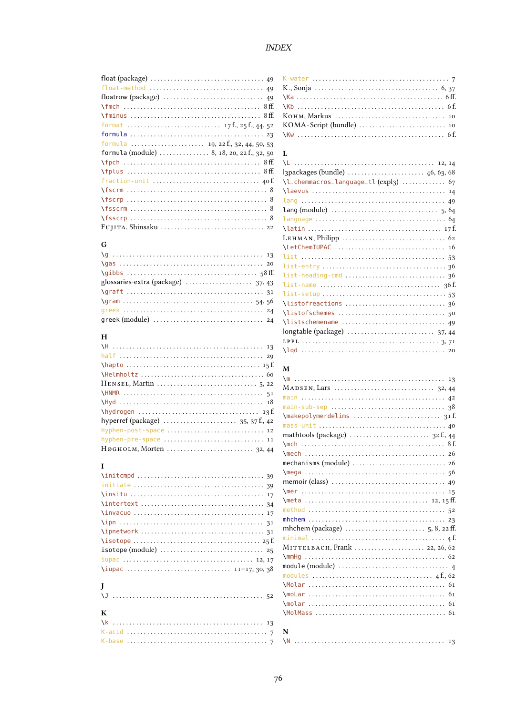|                                                                          | K         |
|--------------------------------------------------------------------------|-----------|
|                                                                          | К         |
|                                                                          | $\lambda$ |
|                                                                          | N         |
|                                                                          | К         |
|                                                                          | К         |
|                                                                          | N         |
|                                                                          |           |
| formula (module) $\ldots \ldots \ldots \ldots 8$ , 18, 20, 22 f., 32, 50 | L         |
|                                                                          | $\lambda$ |
|                                                                          | Ŀ         |
|                                                                          | $\lambda$ |
|                                                                          | $\lambda$ |
|                                                                          | T         |
|                                                                          | ı         |
| $\frac{8}{155}$                                                          | ı         |
|                                                                          | N         |

### $\overline{G}$

|                                    | N            |
|------------------------------------|--------------|
|                                    | $-1$         |
|                                    | $\mathbf{1}$ |
|                                    | $\mathbf{1}$ |
| glossaries-extra (package)  37, 43 | $\mathbf{1}$ |
| $\qquad$                           | $\mathbf{1}$ |
|                                    | $\chi^2$     |
|                                    | $\mathbf{v}$ |
|                                    | $\Delta$     |

### $\mathbf H$

|                       | 1. F 1<br>$\lambda$ lo |
|-----------------------|------------------------|
|                       |                        |
|                       | $\mathbf{M}$           |
|                       | $\mathbb{M}$           |
|                       | $M \land$              |
|                       | mai                    |
|                       | mai                    |
|                       | $\Im$ ma               |
|                       | mas                    |
| hyphen-post-space  12 | ma                     |
| hyphen-pre-space  11  | $\Im$                  |
|                       | $\mathcal{L}$ me       |

### $\mathbf{I}$

| $\{initcmpd \ldots \ldots \ldots \ldots \ldots \ldots \ldots \}$ |
|------------------------------------------------------------------|
|                                                                  |
|                                                                  |
|                                                                  |
|                                                                  |
|                                                                  |
|                                                                  |
|                                                                  |
|                                                                  |
|                                                                  |
|                                                                  |
| J                                                                |
|                                                                  |
|                                                                  |
| К                                                                |
|                                                                  |
|                                                                  |
|                                                                  |

| כ.כ             |                                       |
|-----------------|---------------------------------------|
| $50^{\circ}$    | L                                     |
| ff.             |                                       |
| ff.             | I3packages (bundle)  46, 63, 68       |
| οf.             | \l_chemmacros_language_tl (expl3)  67 |
| 8               |                                       |
| 8               |                                       |
| 8               |                                       |
| 8               |                                       |
| $22^{2}$        |                                       |
|                 |                                       |
|                 | \LetChemIUPAC  16                     |
| 13              |                                       |
| 20              |                                       |
| ff.             |                                       |
| 13              |                                       |
| 31              |                                       |
| 56              |                                       |
| 24              |                                       |
| 24              |                                       |
|                 |                                       |
|                 |                                       |
| 13              |                                       |
| $\overline{10}$ |                                       |

| ,U                |                               |
|-------------------|-------------------------------|
| $2^{\circ}$       |                               |
| $\mathbf{1}$<br>8 |                               |
| f.                |                               |
|                   |                               |
| $ 2\rangle$       |                               |
| $\overline{2}$    |                               |
| $\mathbf{1}$      |                               |
| $\overline{4}$    |                               |
|                   |                               |
| $\overline{9}$    |                               |
| 9                 |                               |
| .7                |                               |
| $\frac{1}{4}$     |                               |
| .7                |                               |
| $\overline{1}$    |                               |
| $\overline{1}$    |                               |
| f.                |                               |
| 5                 | MITTELBACH, Frank  22, 26, 62 |
| .7                |                               |
| 8                 |                               |
|                   |                               |
|                   |                               |
| $\overline{2}$    |                               |
|                   |                               |
|                   |                               |
| 3                 |                               |
| $\overline{7}$    | N                             |
| $\overline{7}$    |                               |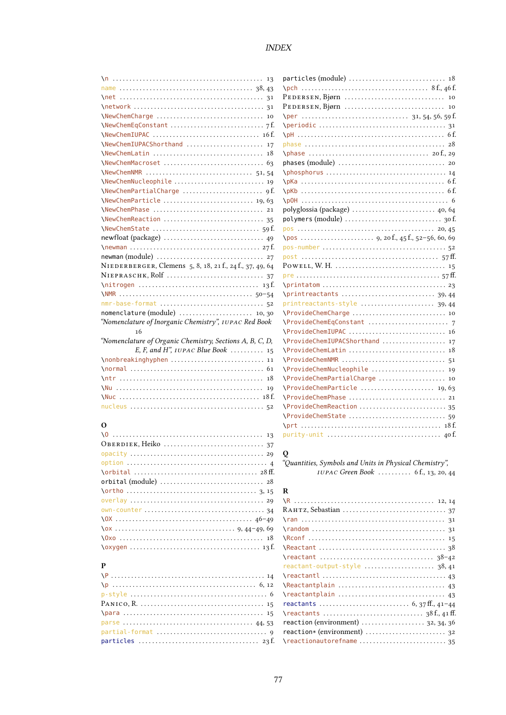| \NewChemNMR  51,54                                       |
|----------------------------------------------------------|
|                                                          |
|                                                          |
|                                                          |
| \NewChemPhase  21                                        |
|                                                          |
|                                                          |
|                                                          |
|                                                          |
|                                                          |
| NIEDERBERGER, Clemens 5, 8, 18, 21 f., 24 f., 37, 49, 64 |
|                                                          |
|                                                          |
|                                                          |
| nmr-base-format  52                                      |
| nomenclature (module)  10,30                             |
| "Nomenclature of Inorganic Chemistry", IUPAC Red Book    |
| 16                                                       |
| "Nomenclature of Organic Chemistry, Sections A, B, C, D, |
| E, F, and H", $IUPAC$ Blue Book  15                      |
| \nonbreakinghyphen  11                                   |
|                                                          |
|                                                          |
|                                                          |
|                                                          |
|                                                          |

### $\mathbf{o}$

| orbital (module) $\ldots \ldots \ldots \ldots \ldots \ldots \ldots \ldots \ldots$ 28 |
|--------------------------------------------------------------------------------------|
|                                                                                      |
|                                                                                      |
|                                                                                      |
|                                                                                      |
|                                                                                      |
|                                                                                      |
|                                                                                      |
|                                                                                      |

| P |
|---|
|   |
|   |
|   |
|   |
|   |
|   |
|   |
|   |

| \NewChemCharge  10                                       |                                                                                   |
|----------------------------------------------------------|-----------------------------------------------------------------------------------|
|                                                          | $\perp$                                                                           |
|                                                          |                                                                                   |
| \NewChemIUPACShorthand  17                               |                                                                                   |
| \NewChemLatin  18                                        |                                                                                   |
|                                                          |                                                                                   |
|                                                          |                                                                                   |
|                                                          |                                                                                   |
|                                                          |                                                                                   |
|                                                          |                                                                                   |
| \NewChemPhase  21                                        |                                                                                   |
|                                                          |                                                                                   |
|                                                          |                                                                                   |
|                                                          |                                                                                   |
|                                                          |                                                                                   |
|                                                          |                                                                                   |
| NIEDERBERGER, Clemens 5, 8, 18, 21 f., 24 f., 37, 49, 64 | POWELL, W. H. $\dots\dots\dots\dots\dots\dots\dots\dots\dots\dots\dots\dots\dots$ |
|                                                          |                                                                                   |
|                                                          |                                                                                   |
|                                                          |                                                                                   |
|                                                          |                                                                                   |
| nomenclature (module)  10,30                             |                                                                                   |
| "Nomenclature of Inorganic Chemistry", IUPAC Red Book    |                                                                                   |
| 16                                                       |                                                                                   |
| "Nomenclature of Organic Chemistry, Sections A, B, C, D, | \ProvideChemIUPACShorthand  17                                                    |
| E, F, and H", $IUPAC$ Blue Book  15                      |                                                                                   |
| \nonbreakinghyphen  11                                   |                                                                                   |
|                                                          | \ProvideChemNucleophile  19                                                       |
|                                                          | \ProvideChemPartialCharge  10                                                     |
|                                                          | \ProvideChemParticle  19.63                                                       |
|                                                          | \ProvideChemPhase  21                                                             |
|                                                          |                                                                                   |
|                                                          |                                                                                   |
| О                                                        |                                                                                   |
|                                                          |                                                                                   |

### $\bf{Q}$

"Quantities, Symbols and Units in Physical Chemistry", IUPAC Green Book .......... 6f., 13, 20, 44

### ${\bf R}$

| $reactant$ -output-style  38,41                                        |
|------------------------------------------------------------------------|
|                                                                        |
|                                                                        |
|                                                                        |
|                                                                        |
|                                                                        |
| reaction (environment) $\ldots \ldots \ldots \ldots \ldots$ 32, 34, 36 |
|                                                                        |
|                                                                        |
|                                                                        |

### **INDEX**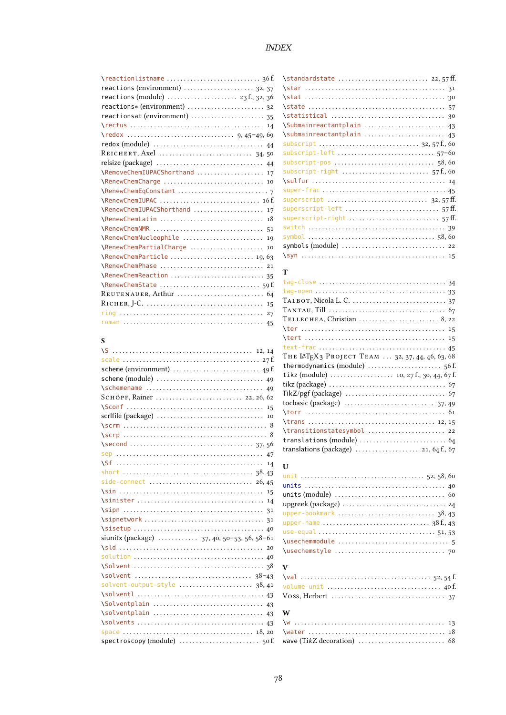### $\emph{INDEX}$

| reactions (environment)  32, 37                                          |  |
|--------------------------------------------------------------------------|--|
|                                                                          |  |
| reactions* (environment)  32                                             |  |
| reactionsat (environment)  35                                            |  |
|                                                                          |  |
|                                                                          |  |
|                                                                          |  |
|                                                                          |  |
|                                                                          |  |
| \RemoveChemIUPACShorthand  17                                            |  |
| \RenewChemCharge  10                                                     |  |
|                                                                          |  |
| \RenewChemIUPAC  16f.                                                    |  |
| \RenewChemIUPACShorthand  17                                             |  |
| \RenewChemLatin  18                                                      |  |
|                                                                          |  |
| \RenewChemNucleophile  19                                                |  |
| \RenewChemPartialCharge  10                                              |  |
| \RenewChemParticle  19,63                                                |  |
| \RenewChemPhase  21                                                      |  |
|                                                                          |  |
|                                                                          |  |
| REUTENAUER, Arthur $\ldots \ldots \ldots \ldots \ldots \ldots \ldots$ 64 |  |
|                                                                          |  |
|                                                                          |  |
|                                                                          |  |
|                                                                          |  |

# $\mathbf{s}$

| SCHÖPF, Rainer  22, 26, 62                  |
|---------------------------------------------|
|                                             |
|                                             |
|                                             |
|                                             |
|                                             |
|                                             |
| 14                                          |
|                                             |
|                                             |
|                                             |
|                                             |
|                                             |
|                                             |
|                                             |
| siunitx (package)  37, 40, 50-53, 56, 58-61 |
|                                             |
|                                             |
|                                             |
|                                             |
| solvent-output-style  38,41                 |
|                                             |
| \Solventplain  43                           |
| \solventplain  43                           |
|                                             |
|                                             |
|                                             |

| \Submainreactantplain  43 |
|---------------------------|
| \submainreactantplain  43 |
|                           |
|                           |
|                           |
|                           |
|                           |
|                           |
|                           |
| superscript-left  57ff.   |
|                           |
|                           |
|                           |
|                           |
|                           |

# $\mathbf T$

| $T$ ELLECHEA, Christian $\ldots \ldots \ldots \ldots \ldots \ldots \ldots$ 8, 22 |
|----------------------------------------------------------------------------------|
|                                                                                  |
|                                                                                  |
|                                                                                  |
| ТНЕ IATEX3 РROJECT ТЕАМ  32, 37, 44, 46, 63, 68                                  |
|                                                                                  |
|                                                                                  |
|                                                                                  |
|                                                                                  |
|                                                                                  |
|                                                                                  |
|                                                                                  |
| \transitionstatesymbol  22                                                       |
|                                                                                  |
| translations (package)  21, 64 f., 67                                            |

# ${\bf U}$

# $\mathbf{V}$

| $\mathbf{w}$                                                                   |  |  |  |
|--------------------------------------------------------------------------------|--|--|--|
|                                                                                |  |  |  |
|                                                                                |  |  |  |
| wave $(TikZ$ decoration) $\ldots \ldots \ldots \ldots \ldots \ldots \ldots$ 68 |  |  |  |